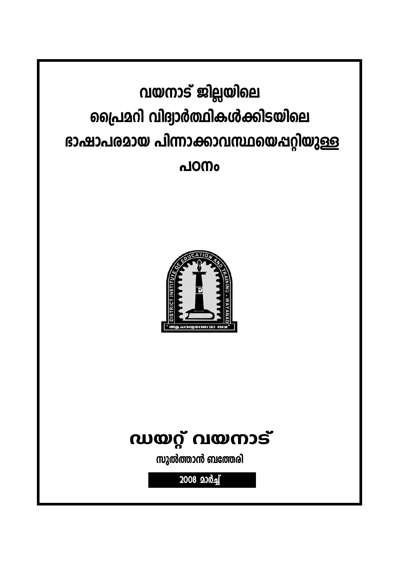വയനാട് ജില്ലയിലെ പ്രൈമറി വിദ്വാർത്ഥികൾക്കിടയിലെ ഭാഷാപരമായ പിന്നാക്കാവസ്ഥയെപ്പറ്റിയുള്ള പഠനം



# ഡയറ്റ് വയനാട്

സുൽത്താൻ ബത്തേരി

2008 20 ஜி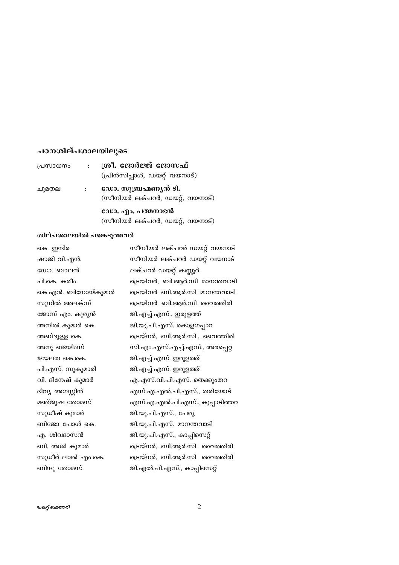# പഠനശില്പശാലയിലൂടെ

| പ്രസാധനം |                      | ശ്രീ. ജോർജ്ജ് ജോസഫ്<br>(പ്രിൻസിപ്പാൾ, ഡയറ്റ് വയനാട്)    |
|----------|----------------------|---------------------------------------------------------|
| ചുമതല    | $\ddot{\phantom{a}}$ | ഡോ. സുബ്രഹ്മണ്യൻ ടി.<br>(സീനിയർ ലക്ചറർ, ഡയറ്റ്, വയനാട്) |
|          |                      | ഡോ. എം. പത്മനാഭൻ<br>(സീനിയർ ലക്ചറർ, ഡയറ്റ്, വയനാട്)     |

# ശില്പശാലയിൽ പങ്കെടുത്തവർ

| കെ. ഇന്ദിര         | സീനീയർ ലക്ചറർ ഡയറ്റ് വയനാട്     |
|--------------------|---------------------------------|
| ഷാജി വി.എൻ.        | സീനിയർ ലക്ചറർ ഡയറ്റ് വയനാട്     |
| ഡോ. ബാലൻ           | ലക്ചറർ ഡയറ്റ് കണ്ണൂർ            |
| പി.കെ. കരീം        | ട്രെയിനർ, ബി.ആർ.സി മാനന്തവാടി   |
| കെ.എൻ. ബിനോയ്കുമാർ | ട്രെയിനർ ബി.ആർ.സി മാനന്തവാടി    |
| സുനിൽ അലക്സ്       | ട്രെയിനർ ബി.ആർ.സി വൈത്തിരി      |
| ജോസ് എം. കുര്യൻ    | ജി.എച്ച്.എസ്., ഇരുളത്ത്         |
| അനിൽ കുമാർ കെ.     | ജി.യു.പി.എസ്. കൊളഗപ്പാറ         |
| അബ്ദുള്ള കെ.       | ട്രെയ്നർ, ബി.ആർ.സി., വൈത്തിരി   |
| അനു ജെയിംസ്        | സി.എം.എസ്.എച്ച്.എസ്., അരപ്പെറ്റ |
| ജയലത കെ.കെ.        | ജി.എച്ച്.എസ്. ഇരുളത്ത്          |
| പി.എസ്. സുകുമാരി   | ജി.എച്ച്.എസ്. ഇരുളത്ത്          |
| വി. ദിനേഷ് കുമാർ   | എ.എസ്.വി.പി.എസ്. തെക്കുംതറ      |
| ദിവ്യ അഗസ്റ്റിൻ    | എസ്.എ.എൽ.പി.എസ്., തരിയോട്       |
| മഞ്ജുഷ തോമസ്       | എസ്.എ.എൽ.പി.എസ്., കുപ്പാടിത്തറ  |
| സുധീഷ് കുമാർ       | ജി.യു.പി.എസ്., പേര്യ            |
| ബിജോ പോൾ കെ.       | ജി.യു.പി.എസ്. മാനന്തവാടി        |
| എ. ശിവദാസൻ         | ജി.യു.പി.എസ്., കാപ്പിസെറ്റ്     |
| ബി. അജി കുമാർ      | ട്രെയ്നർ, ബി.ആർ.സി. വൈത്തിരി    |
| സുധീർ ലാൽ എം.കെ.   | ട്രെയ്നർ, ബി.ആർ.സി. വൈത്തിരി    |
| ബിന്ദു തോമസ്       | ജി.എൽ.പി.എസ്., കാപ്പിസെറ്റ്     |
|                    |                                 |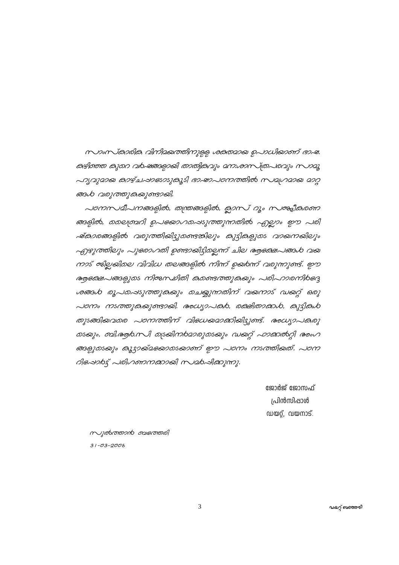സാംസ്കാരിക വിനിമേത്തിനുള്ള ശക്തമായ ഉപാധിയാണ് ഭാഷ. asloro ajoo obecasood ooolaajo amiooniconoojo moaj ഹൃവുമായ കാഴ്ചപ്പാക്കാടുകൂടി ഭാഷാപഠനത്തിൽ സമഗ്രമായ മാറ്റ ങ്ങൾ വരുത്തുകുരുണ്ടായി.

 $\sim$ o $m$ wanangino, mpo ang ko agaw ng mongkanom ങ്ങളിൽ, മെല്യമ്പറി ഉപക്കോഗമപ്പടുത്തുന്നതിൽ എല്ലാം ഈ പരി ഷ്കാരങ്ങളിൽ വരുത്തിയിട്ടുണ്ടെങ്കിലും കുട്ടികളുടെ വാഖനയിലും എഴുത്തിലും പുരോഗതി ഉണ്ടാഖിട്ടിമല്ലന്ന് ചില ആക്ഷേപങ്ങൾ വഖ നാട് ജില്ലയിലെ വിവിധ തലങ്ങളിൽ നിന്ന് ഉയർന്ന് വരുന്നുണ്ട്. ഈ ആക്ഷേപങ്ങളുടെ നിരുസ്ഥിതി കാണ്ടത്തുകയും പരിഹാരനി6ദ്ദേ ശങ്ങൾ രൂപമ്പെടുത്തുകുരും മചയ്യുന്നതിന് വഖനാട് ഡഖറ്റ് ഒരു പഠനം നടത്തുകുമുണ്ടായി. അധ്യാപകർ, രക്ഷിതാക്കൾ, കുട്ടികൾ തുടങ്ങിയവരെ പഠനത്തിന് വിധേയമാക്കിയിട്ടുണ്ട്. അധ്യാപകരു อรอบู. อามิ. ลอง. กาง อเรอะไทรของอบูอรอบู. ณอชู *200*000 สอง ങ്ങളുടെയും കൂട്ടായ്മക്കോടെയാണ് ഈ പഠനം നടത്തിയത്. പഠന ด่ไหม่อยู่ มีอาจากของอาจารณ์ สามา

> ജോർജ് ജോസഫ് പ്രിൻസിപ്പാൾ ഡയറ്റ്, വയനാട്.

സുൽത്താൻ ബഭത്തരി  $31 - 03 - 2008$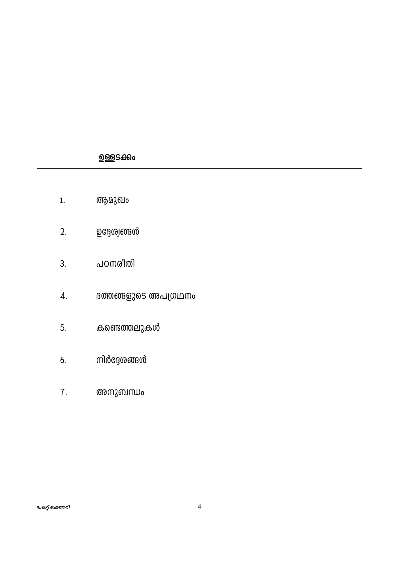# <u>ഉള്</u>ക്ക്കം

- ആമുഖം  $\overline{1}$ .
- ഉദ്ദേശ്വങ്ങൾ  $2.$
- പഠനരിതി  $3.$
- ദത്തങ്ങളുടെ അപഗ്രഥനം  $\overline{4}$ .
- കണ്ടെത്തലുകൾ 5.
- നിർദ്ദേശങ്ങൾ 6.
- $\overline{1}$ . അനുബന്ധം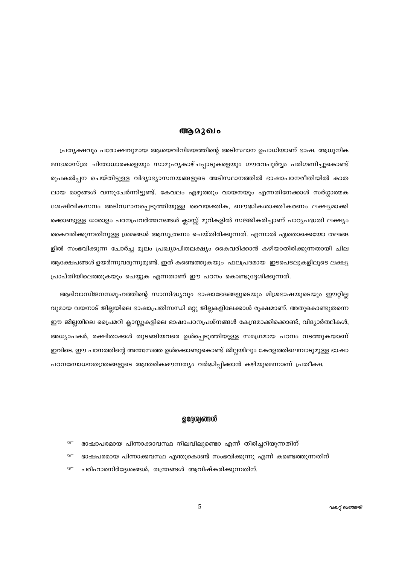#### ആമുഖം

പ്രത്യക്ഷവും പരോക്ഷവുമായ ആശയവിനിമയത്തിന്റെ അടിസ്ഥാന ഉപാധിയാണ് ഭാഷ. ആധുനിക മനഃശാസ്ത്ര ചിന്താധാരകളെയും സാമൂഹ്യകാഴ്ചപ്പാടുകളെയും ഗൗരവപൂർവ്വം പരിഗണിച്ചുകൊണ്ട് രൂപകൽപ്പന ചെയ്തിട്ടുള്ള വിദ്യാഭ്യാസനയങ്ങളുടെ അടിസ്ഥാനത്തിൽ ഭാഷാപഠനരീതിയിൽ കാത ലായ മാറ്റങ്ങൾ വന്നുചേർന്നിട്ടുണ്ട്. കേവലം എഴുത്തും വായനയും എന്നതിനേക്കാൾ സർഗ്ഗാത്മക ശേഷിവികസനം അടിസ്ഥാനപ്പെടുത്തിയുള്ള വൈയക്തിക, ബൗദ്ധികശാക്തീകരണം ലക്ഷ്യമാക്കി ക്കൊണ്ടുള്ള ധാരാളം പഠനപ്രവർത്തനങ്ങൾ ക്ലാസ്സ് മുറികളിൽ സജ്ജീകരിച്ചാണ് പാഠ്യപദ്ധതി ലക്ഷ്യം കൈവരിക്കുന്നതിനുള്ള ശ്രമങ്ങൾ ആസൂത്രണം ചെയ്തിരിക്കുന്നത്. എന്നാൽ ഏതൊക്കെയോ തലങ്ങ ളിൽ സംഭവിക്കുന്ന ചോർച്ച മൂലം പ്രഖ്യാപിതലക്ഷ്യം കൈവരിക്കാൻ കഴിയാതിരിക്കുന്നതായി ചില ആക്ഷേപങ്ങൾ ഉയർന്നുവരുന്നുമുണ്ട്. ഇത് കണ്ടെത്തുകയും ഫലപ്രദമായ ഇടപെടലുകളിലൂടെ ലക്ഷ്യ പ്രാപ്തിയിലെത്തുകയും ചെയ്യുക എന്നതാണ് ഈ പഠനം കൊണ്ടുദ്ദേശിക്കുന്നത്.

ആദിവാസിജനസമൂഹത്തിന്റെ സാന്നിദ്ധ്യവും ഭാഷാഭേദങ്ങളുടെയും മിശ്രഭാഷയുടെയും ഈറ്റില്ല വുമായ വയനാട് ജില്ലയിലെ ഭാഷാപ്രതിസന്ധി മറ്റു ജില്ലകളിലേക്കാൾ രൂക്ഷമാണ്. അതുകൊണ്ടുതന്നെ ഈ ജില്ലയിലെ പ്രൈമറി ക്ലാസ്സുകളിലെ ഭാഷാപഠനപ്രശ്നങ്ങൾ കേന്ദ്രമാക്കിക്കൊണ്ട്, വിദ്യാർത്ഥികൾ, അധ്യാപകർ, രക്ഷിതാക്കൾ തുടങ്ങിയവരെ ഉൾപ്പെടുത്തിയുള്ള സമഗ്രമായ പഠനം നടത്തുകയാണ് ഇവിടെ. ഈ പഠനത്തിന്റെ അന്തഃസത്ത ഉൾക്കൊണ്ടുകൊണ്ട് ജില്ലയിലും കേരളത്തിലെമ്പാടുമുള്ള ഭാഷാ പഠനബോധനതന്ത്രങ്ങളുടെ ആന്തരികഔന്നത്യം വർദ്ധിപ്പിക്കാൻ കഴിയുമെന്നാണ് പ്രതീക്ഷ.

#### ഉദ്ദേശ്വങ്ങൾ

- ক্ত ഭാഷാപരമായ പിന്നാക്കാവസ്ഥ നിലവിലുണ്ടൊ എന്ന് തിരിച്ചറിയുന്നതിന്
- ☞ ഭാഷപരമായ പിന്നാക്കവസ്ഥ എന്തുകൊണ്ട് സംഭവിക്കുന്നു എന്ന് കണ്ടെത്തുന്നതിന്
- œ പരിഹാരനിർദ്ദേശങ്ങൾ, തന്ത്രങ്ങൾ ആവിഷ്കരിക്കുന്നതിന്.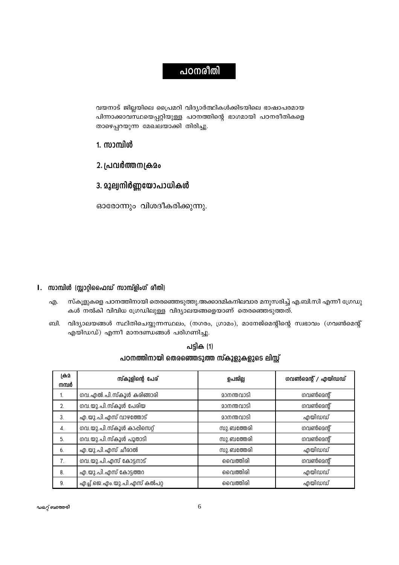# പഠനരീതി

വയനാട് ജില്ലയിലെ പ്രൈമറി വിദ്യാർത്ഥികൾക്കിടയിലെ ഭാഷാപരമായ പിന്നാക്കാവസ്ഥയെപ്പറ്റിയുള്ള പഠനത്തിന്റെ ഭാഗമായി പഠനരീതികളെ താഴെപ്പറയുന്ന മേഖലയാക്കി തിരിച്ചു.

### 1. സാമ്പിൾ

2. പ്രവർത്തനക്രമം

# 3. മൂല്വനിർണ്ണയോപാധികൾ

ഓരോന്നും വിശദീകരിക്കുന്നു.

### I. സാമ്പിൾ (സ്റ്റാറ്റിഫൈഡ് സാമ്പ്ളിംഗ് രീതി)

- സ്കൂളുകളെ പഠനത്തിനായി തെരഞ്ഞെടുത്തു.അക്കാദമികനിലവാര മനുസരിച്ച് എ.ബി.സി എന്നീ ഗ്രേഡു എ. കൾ നൽകി വിവിധ ഗ്രേഡിലുള്ള വിദ്യാലയങ്ങളെയാണ് തെരഞ്ഞെടുത്തത്.
- ബി. വിദ്യാലയങ്ങൾ സ്ഥിതിചെയ്യുന്നസ്ഥലം, (നഗരം, ഗ്രാമം), മാനേജ്മെന്റിന്റെ സ്വഭാവം (ഗവൺമെന്റ് എയിഡഡ്) എന്നീ മാനദണ്ഡങ്ങൾ പരിഗണിച്ചു.

പട്ടിക (1)

### പഠനത്തിനായി തെരഞ്ഞെടുത്ത സ്കൂളുകളുടെ ലിസ്റ്റ്

| ക്രമ<br>നമ്പർ    | സ്കൂളിന്റെ പേര്              | ഉപജില്ല    | ഗവൺമെന്റ് / എയിഡഡ് |
|------------------|------------------------------|------------|--------------------|
| 1.               | ഗവ.എൽ.പി.സ്കൂൾ കരിങ്ങാരി     | മാനന്തവാടി | ഗവൺമെന്റ്          |
| $\overline{2}$ . | ഗവ.യു.പി.സ്കൂൾ പേരിയ         | മാനന്തവാടി | ഗവൺമെന്റ്          |
| 3.               | എ.യു.പി.എസ് വാഴത്തോട്        | മാനന്തവാടി | എയിഡഡ്             |
| $\overline{4}$ . | ഗവ.യു.പി.സ്കൂൾ കാപ്പിസെറ്റ്  | സു.ബത്തേരി | ഗവൺമെന്റ്          |
| 5 <sub>1</sub>   | ഗവ.യു.പി.സ്കൂൾ പൂതാടി        | സു.ബത്തേരി | ഗവൺമെന്റ്          |
| 6.               | എ.യു.പി.എസ് ചീരാൽ            | സു.ബത്തേരി | എയിഡഡ്             |
| 7.               | ഗവ.യു.പി.എസ് കോട്ടനാട്       | വൈത്തിരി   | ഗവൺമെന്റ്          |
| 8.               | എ.യു.പി.എസ് കോട്ടത്തറ        | വൈത്തിരി   | എയിഡഡ്             |
| 9.               | എച്ച്.ജെ.എം.യു.പി.എസ് കൽപറ്റ | വൈത്തിരി   | എയിഡഡ്             |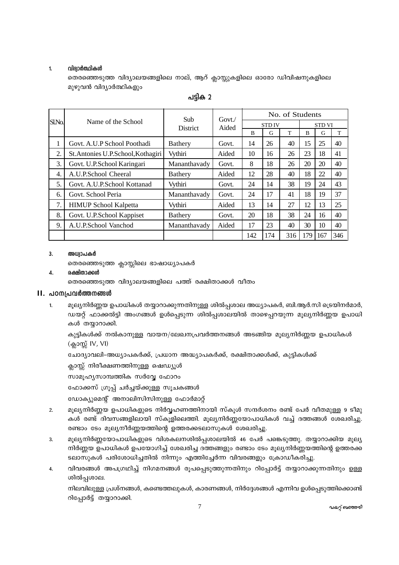#### $\mathbf{1}$ വിദ്വാർത്ഥികൾ

തെരഞ്ഞെടുത്ത വിദ്യാലയങ്ങളിലെ നാല്, ആറ് ക്ലാസ്സുകളിലെ ഓരോ ഡിവിഷനുകളിലെ മുഴുവൻ വിദ്യാർത്ഥികളും

|       |                                     | <b>Sub</b>      | Govt./ | No. of Students |              |     |     |               |     |  |
|-------|-------------------------------------|-----------------|--------|-----------------|--------------|-----|-----|---------------|-----|--|
| SlNo. | Name of the School                  | <b>District</b> | Aided  |                 | <b>STDIV</b> |     |     | <b>STD VI</b> |     |  |
|       |                                     |                 |        | B               | G            | T   | B   | G             | T   |  |
| 1     | Govt. A.U.P School Poothadi         | <b>Bathery</b>  | Govt.  | 14              | 26           | 40  | 15  | 25            | 40  |  |
| 2.    | St. Antonies U.P. School, Kothagiri | Vythiri         | Aided  | 10              | 16           | 26  | 23  | 18            | 41  |  |
| 3.    | Govt. U.P.School Karingari          | Mananthavady    | Govt.  | 8               | 18           | 26  | 20  | 20            | 40  |  |
| 4.    | A.U.P.School Cheeral                | <b>Bathery</b>  | Aided  | 12              | 28           | 40  | 18  | 22            | 40  |  |
| 5.    | Govt. A.U.P.School Kottanad         | Vythiri         | Govt.  | 24              | 14           | 38  | 19  | 24            | 43  |  |
| 6.    | Govt. School Peria                  | Mananthavady    | Govt.  | 24              | 17           | 41  | 18  | 19            | 37  |  |
| 7.    | <b>HIMUP School Kalpetta</b>        | <b>Vythiri</b>  | Aided  | 13              | 14           | 27  | 12  | 13            | 25  |  |
| 8.    | Govt. U.P.School Kappiset           | <b>Bathery</b>  | Govt.  | 20              | 18           | 38  | 24  | 16            | 40  |  |
| 9.    | A.U.P.School Vanchod                | Mananthavady    | Aided  | 17              | 23           | 40  | 30  | 10            | 40  |  |
|       |                                     |                 |        | 142             | 174          | 316 | 179 | 167           | 346 |  |

പട്ടിക 2

#### $3.$ അധ്വാപകർ

തെരഞ്ഞെടുത്ത ക്ലാസ്സിലെ ഭാഷാധ്യാപകർ

#### രക്ഷിതാക്കൾ 4.

തെരഞ്ഞെടുത്ത വിദ്യാലയങ്ങളിലെ പത്ത് രക്ഷിതാക്കൾ വീതം

#### II. പഠനപ്രവർത്തനങ്ങൾ

 $\overline{1}$ മൂല്യനിർണ്ണയ ഉപാധികൾ തയ്യാറാക്കുന്നതിനുള്ള ശിൽപ്പശാല അധ്യാപകർ, ബി.ആർ.സി ട്രെയിനർമാർ, ഡയറ്റ് ഫാക്കൽട്ടി അംഗങ്ങൾ ഉൾപ്പെടുന്ന ശിൽപ്പശാലയിൽ താഴെപ്പറയുന്ന മൂല്യനിർണ്ണയ ഉപാധി കൾ തയ്യാറാക്കി.

കുട്ടികൾക്ക് നൽകാനുള്ള വായന/ലേഖനപ്രവർത്തനങ്ങൾ അടങ്ങിയ മുല്യനിർണ്ണയ ഉപാധികൾ (ക്ലാസ്സ് IV, VI)

ചോദ്യാവലി-അധ്യാപകർക്ക്, പ്രധാന അദ്ധ്യാപകർക്ക്, രക്ഷിതാക്കൾക്ക്, കുട്ടികൾക്ക്

ക്ലാസ്സ് നിരീക്ഷണത്തിനുള്ള ഷെഡ്യൂൾ

സാമൂഹ്യസാമ്പത്തിക സർവ്വേ ഫോറം

ഫോക്കസ് ഗ്രൂപ്പ് ചർച്ചയ്ക്കുള്ള സൂചകങ്ങൾ

ഡോക്യുമെന്റ് അനാലിസിസിനുള്ള ഫോർമാറ്റ്

- $2.$ മൂല്യനിർണ്ണയ ഉപാധികളുടെ നിർവ്വഹണത്തിനായി സ്കൂൾ സന്ദർശനം രണ്ട് പേർ വീതമുള്ള 9 ടീമു കൾ രണ്ട് ദിവസങ്ങളിലായി സ്കൂളിലെത്തി. മൂല്യനിർണ്ണയോപാധികൾ വച്ച് ദത്തങ്ങൾ ശേഖരിച്ചു. രണ്ടാം ടേം മൂല്യനീർണ്ണയത്തിന്റെ ഉത്തരക്കടലാസുകൾ ശേഖരിച്ചു.
- മൂല്യനിർണ്ണയോപാധികളുടെ വിശകലനശിൽപ്പശാലയിൽ 46 പേർ പങ്കെടുത്തു. തയ്യാറാക്കിയ മൂല്യ  $\overline{3}$ . നിർണ്ണയ ഉപാധികൾ ഉപയോഗിച്ച് ശേഖരിച്ച ദത്തങ്ങളും രണ്ടാം ടേം മൂല്യനിർണ്ണയത്തിന്റെ ഉത്തരക്ക ടലാസുകൾ പരിശോധിച്ചതിൽ നിന്നും എത്തിച്ചേർന്ന വിവരങ്ങളും ക്രോഡീകരിച്ചു.
- വിവരങ്ങൾ അപഗ്രഥിച്ച് നിഗമനങ്ങൾ രുപപ്പെടുത്തുന്നതിനും റിപ്പോർട്ട് തയ്യാറാക്കുന്നതിനും ഉള്ള  $\mathbf{A}$ ശിൽപ്പശാല.

നിലവിലുള്ള പ്രശ്നങ്ങൾ, കണ്ടെത്തലുകൾ, കാരണങ്ങൾ, നിർദ്ദേശങ്ങൾ എന്നിവ ഉൾപെടുത്തിക്കൊണ്ട് റിപ്പോർട്ട് തയ്യാറാക്കി.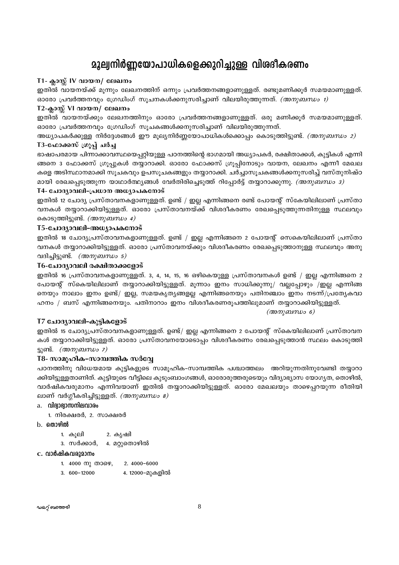# **മൂല്വനിർണ്ണയോപാധികളെക്കുറിച്ചുള്ള വി**ശദീകരണം

#### T1- ക്ലാസ്സ് IV വായന/ ലേഖനം

ഇതിൽ വായനയ്ക്ക് മുന്നും ലേഖനത്തിന് ഒന്നും പ്രവർത്തനങ്ങളാണുള്ളത്. രണ്ടുമണിക്കുർ സമയമാണുള്ളത്. ഓരോ പ്രവർത്തനവും ഗ്രേഡിംഗ് സൂചനകൾക്കനുസരിച്ചാണ് വിലയിരുത്തുന്നത്. *(അനുബന്ധം 1)* 

#### T2-ക്ലാസ്സ് VI വായന/ ലേഖനം

ഇതിൽ വായനയ്ക്കും ലേഖനത്തിനും ഓരോ പ്രവർത്തനങ്ങളാണുള്ളത്. ഒരു മണിക്കുർ സമയമാണുള്ളത്. ഓരോ പ്രവർത്തനവും ഗ്രേഡിംഗ് സുചകങ്ങൾക്കനുസരിച്ചാണ് വിലയിരുത്തുന്നത്.

അധ്യാപകർക്കുള്ള നിർദ്ദേശങ്ങൾ ഈ മൂല്യനിർണ്ണയോപാധികൾക്കൊപ്പം കൊടുത്തിട്ടുണ്ട്. *(അനുബന്ധം 2)* T3-ഫോക്കസ് ഗ്രൂപ്പ് ചർച്ച

### ഭാഷാപരമായ പിന്നാക്കാവസ്ഥയെപ്പറ്റിയുള്ള പഠനത്തിന്റെ ഭാഗമായി അധ്യാപകർ, രക്ഷിതാക്കൾ, കുട്ടികൾ എന്നി ങ്ങനെ 3 ഫോക്കസ് ഗ്രൂപ്പുകൾ തയ്യാറാക്കി. ഓരോ ഫോക്കസ് ഗ്രൂപ്പിനോടും വായന, ലേഖനം എന്നീ മേഖല കളെ അടിസ്ഥാനമാക്കി സൂചകവും ഉപസൂചകങ്ങളും തയ്യാറാക്കി. ചർച്ചാസൂചകങ്ങൾക്കനുസരിച്ച് വസ്തുനിഷ്ഠ മായി രേഖപ്പെടുത്തുന്ന യാഥാർത്ഥ്യങ്ങൾ വേർതിരിച്ചെടുത്ത് റിപ്പോർട്ട് തയ്യാറാക്കുന്നു. *(അനുബന്ധം 3)*

#### T4- ചോദ്യാവലി-പ്രധാന അധ്യാപകനോട്

ഇതിൽ 12 ചോദ്യ പ്രസ്താവനകളാണുള്ളത്. ഉണ്ട് / ഇല്ല എന്നിങ്ങനെ രണ്ട് പോയന്റ് സ്കേയിലിലാണ് പ്രസ്താ വനകൾ തയ്യാറാക്കിയിട്ടുള്ളത്. ഓരോ പ്രസ്താവനയ്ക്ക് വിശദീകരണം രേഖപ്പെടുത്തുന്നതിനുള്ള സ്ഥലവും കൊടുത്തിട്ടുണ്ട്. *(അനുബന്ധം 4)* 

#### T5-ചോദ്യാവലി-അധ്യാപകനോട്

ഇതിൽ 18 ചോദ്യപ്രസ്താവനകളാണുള്ളത്. ഉണ്ട് / ഇല്ല എന്നിങ്ങനെ 2 പോയന്റ് സെകെയിലിലാണ് പ്രസ്താ വനകൾ തയ്യാറാക്കിയിട്ടുള്ളത്. ഓരോ പ്രസ്താവനയ്ക്കും വിശദീകരണം രേഖപ്പെടുത്താനുള്ള സ്ഥലവും അനു വദിച്ചിട്ടുണ്ട്.  $(mn n)$ ബന്ധം 5)

#### T6-ചോദ്യാവലി രക്ഷിതാക്കളോട്

ഇതിൽ 16 പ്രസ്താവനകളാണുള്ളത്. 3, 4, 14, 15, 16 ഒഴികെയുള്ള പ്രസ്താവനകൾ ഉണ്ട് / ഇല്ല എന്നിങ്ങനെ 2 പോയന്റ് സ്കെയിലിലാണ് തയ്യാറാക്കിയിട്ടുള്ളത്. മുന്നാം ഇനം സാധിക്കുന്നു/ വല്ലപ്പോഴും /ഇല്ല എന്നിങ്ങ നെയും നാലാം ഇനം ഉണ്ട്/ ഇല്ല, സമയകൃത്യങ്ങളല്ല എന്നിങ്ങനെയും പതിനഞ്ചാം ഇനം നടന്ന്/പ്രത്യേകവാ ഹനം / ബസ് എന്നിങ്ങനെയും. പതിനാറാം ഇനം വിശദീകരണരുപത്തിലുമാണ് തയ്യാറാക്കിയിട്ടുള്ളത്.

(അനുബന്ധം 6)

### T7 ചോദ്യാവലി-കുട്ടികളോട്

ഇതിൽ 15 ചോദ്യപ്രസ്താവനകളാണുള്ളത്. ഉണ്ട്/ ഇല്ല എന്നിങ്ങനെ 2 പോയന്റ് സ്കെയിലിലാണ് പ്രസ്താവന കൾ തയ്യാറാക്കിയിട്ടുള്ളത്. ഓരോ പ്രസ്താവനയോടൊപ്പം വിശദീകരണം രേഖപ്പെടുത്താൻ സ്ഥലം കൊടുത്തി ട്ടുണ്ട്. *(അനുബന്ധം 7)* 

#### T8- സാമുഹിക-സാമ്പത്തിക സർവ്വേ

പഠനത്തിനു വിധേയമായ കുട്ടികളുടെ സാമൂഹിക-സാമ്പത്തിക പശ്ചാത്തലം അറിയുന്നതിനുവേണ്ടി തയ്യാറാ ക്കിയിട്ടുള്ളതാണിത്. കുട്ടിയുടെ വീട്ടിലെ കുടുംബാംഗങ്ങൾ, ഓരോരുത്തരുടെയും വിദ്യാഭ്യാസ യോഗൃത, തൊഴിൽ, വാർഷികവരുമാനം എന്നിവയാണ് ഇതിൽ തയ്യാറാക്കിയിട്ടുള്ളത്. ഓരോ മേഖലയും താഴെപ്പറയുന്ന രീതിയി ലാണ് വർഗ്ഗീകരിച്ചിട്ടുള്ളത്. *(അനുബന്ധം 8)* 

#### a. വിദ്യാഭ്യാസനിലവാരം

1. നിരക്ഷരർ, 2. സാക്ഷരർ

### b. തൊഴിൽ

1. കുലി 2. കൃഷി

3. സർക്കാർ, 4. മറ്റുതൊഴിൽ

#### c. വാർഷികവരുമാനം

- 1. 4000 നു താഴെ, 2. 4000-6000
- $3.600 12000$ 4. 12000-മുകളിൽ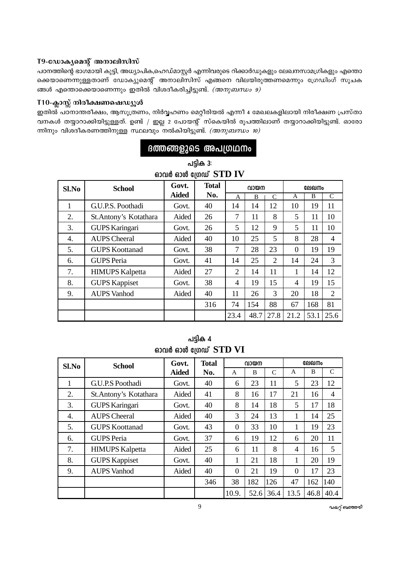#### T9-ഡോകൃമെന്റ് അനാലിസിസ്

പഠനത്തിന്റെ ഭാഗമായി കുട്ടി, അധ്യാപിക,ഹെഡ്മാസ്റ്റർ എന്നിവരുടെ റിക്കാർഡുകളും ലേഖനസാമഗ്രികളും എന്തൊ ക്കെയാണെന്നുള്ളതാണ് ഡോക്യുമെന്റ് അനാലിസിസ് എങ്ങനെ വിലയിരുത്തണമെന്നും ഗ്രേഡിംഗ് സൂചക ങ്ങൾ എന്തൊക്കെയാണെന്നും ഇതിൽ വിശദീകരിച്ചിട്ടുണ്ട്. *(അനുബന്ധം 9)* 

#### T10-ക്ലാസ്സ് നിരീക്ഷണഷെഡ്യൂൾ

ഇതിൽ പഠനാന്തരീക്ഷം, ആസൂത്രണം, നിർവ്വഹണം മെറ്റീരിയൽ എന്നീ 4 മേഖലകളിലായി നിരീക്ഷണ പ്രസ്താ വനകൾ തയ്യാറാക്കിയിട്ടുള്ളത്. ഉണ്ട് / ഇല്ല 2 പോയന്റ് സ്കെയിൽ രൂപത്തിലാണ് തയ്യാറാക്കിയിട്ടുണ്ട്. ഓരോ ന്നിനും വിശദീകരണത്തിനുള്ള സ്ഥലവും നൽകിയിട്ടുണ്ട്. (അ*നുബന്ധം 10)* 

|              | ദത്തങ്ങളുടെ അപഗ്രഥനം                                                             |                      |              |                          |      |                |                |       |                |  |
|--------------|----------------------------------------------------------------------------------|----------------------|--------------|--------------------------|------|----------------|----------------|-------|----------------|--|
|              | പട്ടിക 3:                                                                        |                      |              |                          |      |                |                |       |                |  |
|              |                                                                                  | ഓവർ ഓൾ ம്രേഡ് STD IV |              |                          |      |                |                |       |                |  |
| Sl.No        | <b>School</b>                                                                    | Govt.                | <b>Total</b> |                          | വായന |                |                | ലേഖനം |                |  |
|              |                                                                                  | <b>Aided</b>         | No.          | A                        | B    | $\mathcal{C}$  | A              | B     | C              |  |
| $\mathbf{1}$ | G.U.P.S. Poothadi                                                                | Govt.                | 40           | 14                       | 14   | 12             | 10             | 19    | 11             |  |
| 2.           | St. Antony's Kotathara                                                           | Aided                | 26           | 7                        | 11   | 8              | 5              | 11    | 10             |  |
| 3.           | <b>GUPS Karingari</b>                                                            | Govt.                | 26           | 5                        | 12   | 9              | 5              | 11    | 10             |  |
| 4.           | <b>AUPS Cheeral</b>                                                              | Aided                | 40           | 10                       | 25   | 5              | 8              | 28    | $\overline{4}$ |  |
| 5.           | <b>GUPS Koottanad</b>                                                            | Govt.                | 38           | 7                        | 28   | 23             | $\Omega$       | 19    | 19             |  |
| 6.           | <b>GUPS</b> Peria                                                                | Govt.                | 41           | 14                       | 25   | $\overline{2}$ | 14             | 24    | 3              |  |
| 7.           | <b>HIMUPS Kalpetta</b>                                                           | Aided                | 27           | $\overline{2}$           | 14   | 11             | 1              | 14    | 12             |  |
| 8.           | <b>GUPS Kappiset</b>                                                             | Govt.                | 38           | $\overline{\mathcal{A}}$ | 19   | 15             | $\overline{4}$ | 19    | 15             |  |
| 9.           | 3<br>$\overline{2}$<br><b>AUPS Vanhod</b><br>20<br>18<br>Aided<br>40<br>26<br>11 |                      |              |                          |      |                |                |       |                |  |
|              |                                                                                  |                      | 316          | 74                       | 154  | 88             | 67             | 168   | 81             |  |
|              |                                                                                  |                      |              | 23.4                     | 48.7 | 27.8           | 21.2           | 53.1  | 25.6           |  |

പട്ടിക 4 ഓവർ ഓൾ ശ്രേഡ് STD VI

| Sl.No | <b>School</b>          | Govt.        | <b>Total</b> | വായന          |      |      | ലേഖനം    |      |                |
|-------|------------------------|--------------|--------------|---------------|------|------|----------|------|----------------|
|       |                        | <b>Aided</b> | No.          | A             | B    | C    | A        | B    | $\mathcal{C}$  |
| 1     | G.U.P.S Poothadi       | Govt.        | 40           | 6             | 23   | 11   | 5        | 23   | 12             |
| 2.    | St.Antony's Kotathara  | Aided        | 41           | 8             | 16   | 17   | 21       | 16   | $\overline{4}$ |
| 3.    | <b>GUPS Karingari</b>  | Govt.        | 40           | 8             | 14   | 18   | 5        | 17   | 18             |
| 4.    | <b>AUPS Cheeral</b>    | Aided        | 40           | $\mathcal{R}$ | 24   | 13   | 1        | 14   | 25             |
| 5.    | <b>GUPS Koottanad</b>  | Govt.        | 43           | $\Omega$      | 33   | 10   |          | 19   | 23             |
| 6.    | <b>GUPS</b> Peria      | Govt.        | 37           | 6             | 19   | 12   | 6        | 20   | 11             |
| 7.    | <b>HIMUPS Kalpetta</b> | Aided        | 25           | 6             | 11   | 8    | 4        | 16   | 5              |
| 8.    | <b>GUPS Kappiset</b>   | Govt.        | 40           |               | 21   | 18   | 1        | 20   | 19             |
| 9.    | <b>AUPS Vanhod</b>     | Aided        | 40           | $\Omega$      | 21   | 19   | $\Omega$ | 17   | 23             |
|       |                        |              | 346          | 38            | 182  | 126  | 47       | 162  | 140            |
|       |                        |              |              | 10.9.         | 52.6 | 36.4 | 13.5     | 46.8 | 40.4           |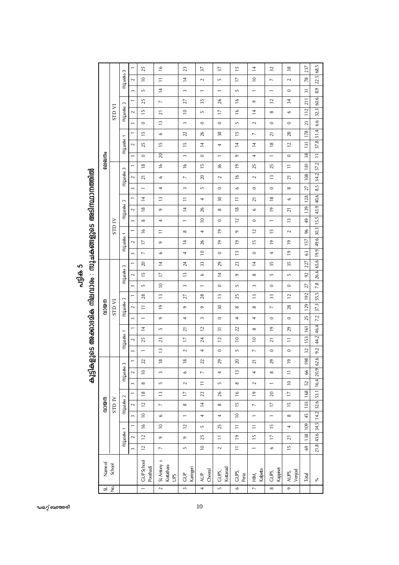|   | ພບເບເຟຊະເພະ      |
|---|------------------|
|   |                  |
|   |                  |
|   |                  |
|   |                  |
|   |                  |
|   |                  |
|   | ່ນອບເອຍພອງຕັນ ເພ |
|   |                  |
|   |                  |
|   |                  |
|   |                  |
|   |                  |
|   |                  |
|   |                  |
|   |                  |
|   |                  |
|   |                  |
|   |                  |
| J |                  |
|   |                  |
|   | mlainna          |
|   |                  |
|   |                  |
|   |                  |
|   |                  |
|   |                  |
|   |                  |
|   |                  |
|   |                  |
|   |                  |
|   |                  |
|   |                  |
|   |                  |
|   |                  |
|   | າຣ ແກລ ລວດ       |

| 68.5<br>സൂചകം 3<br>22.5<br>$\overline{10}$<br>$\equiv$<br>$\overline{1}$<br>$\overline{1}$<br>$\overline{10}$<br>78<br>$\sim$<br>$\overline{a}$<br>$\sim$<br>S<br>$\sim$<br>8.9<br>$\overline{1}$<br>$\overline{\mathfrak{z}}$<br>$\overline{5}$<br>3<br>$\overline{5}$<br>$\sim$<br>$\circ$<br>$\overline{\phantom{0}}$<br>$\overline{\phantom{0}}$<br>60.6<br>211<br>26<br>$\frac{9}{1}$<br>25<br>27<br>35<br>34<br>32<br>$\overline{a}$<br>$\circ$<br>സൂചകം 2<br><b>IN GLS</b><br>32.3<br>112<br>$\approx$<br>$\overline{1}$<br>$\frac{9}{1}$<br>$\overline{15}$<br>$\overline{4}$<br>$\overline{21}$<br>$\sim$<br>$\overline{5}$<br>$\infty$<br>$\circ$<br>6.6<br>$\overline{1}$<br>23<br>$\circ$<br>3<br>$\circ$<br>$\circ$<br>$\overline{5}$<br>$\sim$<br>$\circ$<br>$\circ$<br>$\sim$<br>51.4<br>178<br>$\overline{1}$<br>26<br>38<br>$\overline{15}$<br>28<br>$\overline{2}$<br>$\circ$<br>$\overline{\phantom{a}}$<br>$\overline{z}$<br>സൂചകം 1<br>37.8<br>131<br>25<br>$\overline{15}$<br>$\overline{15}$<br>$\overline{4}$<br>$\overline{4}$<br>$\frac{8}{2}$<br>$\overline{12}$<br>$\sim$<br>$\overline{4}$<br>4<br>ലേഖനം<br>$\overline{38}$<br>20<br>$\equiv$<br>$\circ$<br>$\circ$<br>$\mathbf 0$<br>4<br>$\circ$<br>3<br>3<br>$\overline{ }$<br>57.2<br>181<br>$\frac{9}{1}$<br>$\frac{8}{16}$<br>$\frac{6}{2}$<br>$\overline{15}$<br>36<br>$\overline{19}$<br>25<br>25<br>$\equiv$<br>സൂചകം 3<br>കുട്ടികളുടെ അക്കാദമിക നിലവാരം : സൂചകങ്ങളുടെ അടിസ്ഥാനത്തിൽ<br>34.2<br>108<br>20<br>$\frac{9}{2}$<br>$\overline{1}$<br>$\sim$<br>$\overline{21}$<br>$\overline{21}$<br>$\circ$<br>$\overline{ }$<br>$\sim$<br>$\sim$<br>8.5<br>$\overline{27}$<br>$\circ$<br>$\circ$<br>$\circ$<br>$\circ$<br>4<br>S<br>$\infty$<br>3<br>$\overline{ }$<br>3<br>40.6<br>128<br>$30\,$<br>$\frac{8}{16}$<br>$\overline{1}$<br>$\tilde{1}$<br>$\equiv$<br>Ξ<br>$\overline{21}$<br>4<br>$\circ$<br>സൂചകം 2<br>43.9<br>139<br>$18$<br>$\approx$<br>$\overline{4}$<br>26<br>$\overline{19}$<br>$\sim$<br>$\mathbf{\hat{e}}$<br>$\infty$<br>$\circ$<br>$\overline{z}$<br>15.5<br><b>STD IV</b><br>49<br>$\approx$<br>$\overline{c}$<br>$\overline{1}$<br>$\circ$<br>$\infty$<br>4<br>$\circ$<br>$\sim$<br>49.6 30.3<br>$96$<br>$\frac{6}{1}$<br>$\overline{19}$<br>$\overline{12}$<br>$\overline{15}$<br>$\equiv$<br>4<br>$\Theta$<br>$\infty$<br>$\overline{\mathcal{C}}$<br>സൂചകം 1<br>157<br>$\overline{19}$<br>$\frac{15}{1}$<br>$\overline{1}$<br>$\overline{1}$<br>26<br>$\overline{19}$<br>$\overline{19}$<br>$\overline{19}$<br>$\sim$<br>$\sigma$<br>26.6 65.6 19.9<br>$\supseteq$<br>$\mathbb{G}$<br>$\overline{1}$<br>$\overline{19}$<br>$\circ$<br>$\circ$<br>$\circ$<br>$\overline{\phantom{a}}$<br>4<br>4<br>3<br>227<br>$\overline{4}$<br>33<br>35<br>35<br>$\Omega$<br>$^{24}$<br>29<br>23<br>$\overline{4}$<br>പട്ടിക 5<br>സൂചകം 3<br>$\overline{1}$<br>$\overline{17}$<br>$\overline{1}$<br>$\overline{4}$<br>92<br>$\sim$<br>$\circ$<br>$\mathbf 0$<br>$\infty$<br>S<br>S<br>7.8<br>$\overline{10}$<br>$\overline{z}$<br>$\circ$<br>$\overline{5}$<br>$\overline{5}$<br>$\overline{\phantom{a}}$<br>$\circ$<br>$\circ$<br>3<br>3<br>$\overline{\phantom{0}}$<br>55.5<br>192<br>$\overline{1}$<br>28<br>25<br>$\overline{ }$<br>28<br>$\overline{27}$<br>$\overline{1}$<br>$\mathbf{r}$<br>33<br>$\approx$<br>സൂചകം 2<br>mooru<br><b>IN GIS</b><br>37.3<br>129<br>$\overline{19}$<br>$30\,$<br>28<br>$\equiv$<br>$\sim$<br>$\sigma$<br>$\infty$<br>$\sigma$<br>$\infty$<br>$\overline{\phantom{a}}$<br>7.2<br>25<br>$\circ$<br>3<br>4<br>$\circ$<br>$\circ$<br>4<br>4<br>$\circ$<br>3<br>46.4<br>161<br>$\overline{19}$<br>$\frac{4}{3}$<br>$\overline{c}$<br>22<br>29<br>$\overline{21}$<br>$\overline{31}$<br>S<br>$\infty$<br>സൂചകം 1<br>44.2<br>153<br>$\approx$<br>$\overline{\phantom{0}}$<br>$\overline{c}$<br>$\approx$<br>25<br>$\overline{24}$<br>$\equiv$<br>$\sim$<br>23<br>$\overline{z}$<br>9.2<br>32<br>$\frac{3}{2}$<br>$\circ$<br>S<br>$\overline{\phantom{a}}$<br>$\circ$<br>$\circ$<br>$\sim$<br>4<br>$\overline{ }$<br>3<br>6<br>198<br>22<br>$\frac{8}{18}$<br>$\frac{8}{18}$<br>22<br>29<br>20<br>$\overline{21}$<br>29<br>$\overline{19}$<br>$\mathcal{S}$<br>സൂചകം 3<br>53.1   16.4   20.9<br>$\rm ^{66}$<br>$\equiv$<br>$\overline{\phantom{0}}$<br>$\overline{1}$<br>$\sim$<br>$\sim$<br>$\overline{\phantom{a}}$<br>$\circ$<br>4<br>$\infty$<br>4<br>$\overline{\phantom{0}}$<br>$\mathbb S$<br>$\equiv$<br>$\infty$<br>$\mathsf{L}\cap$<br>$\mathsf{L}\cap$<br>$\infty$<br>$\overline{\phantom{0}}$<br>$\sim$<br>$\sim$<br>$\sim$<br>168<br>$18$<br>$\overline{1}$<br>$\overline{1}$<br>26<br>$\frac{6}{2}$<br>$\overline{19}$<br>$\overline{1}$<br>20<br>$\overline{ }$<br>22<br>സൂചകം 2<br><b>STDIV</b><br>mocro<br>21.8 43.6 34.5 14.2 32.6<br>103<br>$\overline{15}$<br>$\overline{15}$<br>$\overline{\phantom{a}}$<br>$\overline{4}$<br>$\overline{1}$<br>$\overline{\phantom{a}}$<br>$\sim$<br>$\infty$<br>$\overline{\phantom{a}}$<br>$^{\circ}$<br>45<br>$\overline{\phantom{0}}$<br>$\Xi$<br>$\circ$<br>$\infty$<br>4<br>4<br>$\overline{\phantom{0}}$<br>$\sim$<br>$\overline{ }$<br>109<br>$\frac{9}{1}$<br>$\approx$<br>$\equiv$<br>$\overline{\phantom{0}}$<br>25<br>$\overline{15}$<br>$\overline{\phantom{0}}$<br>$\equiv$<br>LN.<br>4<br>സൂചകം 1<br>138<br>$\overline{19}$<br>15<br>$\overline{c}$<br>$\overline{\phantom{0}}$<br>25<br>$\equiv$<br>$\sim$<br>$\mathfrak{S}$<br>$\overline{21}$<br>$\circ$<br>$\overline{12}$<br>$\supseteq$<br>$\overline{1}$<br>$\mathbb{G}^9$<br>$\equiv$<br>$\mathbb N$<br>S<br>$\sim$<br>$\circ$<br>$\overline{\phantom{0}}$<br>$\sim$<br>St. Antony s<br><b>CUP</b> School<br>Name of<br>School<br>Kottathara<br>UPS<br>Poothadi<br>CUP<br>Karingeri<br>Kottanad<br>Kappiset<br>Kalpetta<br>Cheeral<br>AUPS,<br>Venjod<br>GUPS,<br>GUPS,<br>GUPS,<br>Peria<br>$\sum\limits_{i=1}^{n}$<br>$\overline{\mathsf{AUP}}$<br>Total<br>$\%$ |
|----------------------------------------------------------------------------------------------------------------------------------------------------------------------------------------------------------------------------------------------------------------------------------------------------------------------------------------------------------------------------------------------------------------------------------------------------------------------------------------------------------------------------------------------------------------------------------------------------------------------------------------------------------------------------------------------------------------------------------------------------------------------------------------------------------------------------------------------------------------------------------------------------------------------------------------------------------------------------------------------------------------------------------------------------------------------------------------------------------------------------------------------------------------------------------------------------------------------------------------------------------------------------------------------------------------------------------------------------------------------------------------------------------------------------------------------------------------------------------------------------------------------------------------------------------------------------------------------------------------------------------------------------------------------------------------------------------------------------------------------------------------------------------------------------------------------------------------------------------------------------------------------------------------------------------------------------------------------------------------------------------------------------------------------------------------------------------------------------------------------------------------------------------------------------------------------------------------------------------------------------------------------------------------------------------------------------------------------------------------------------------------------------------------------------------------------------------------------------------------------------------------------------------------------------------------------------------------------------------------------------------------------------------------------------------------------------------------------------------------------------------------------------------------------------------------------------------------------------------------------------------------------------------------------------------------------------------------------------------------------------------------------------------------------------------------------------------------------------------------------------------------------------------------------------------------------------------------------------------------------------------------------------------------------------------------------------------------------------------------------------------------------------------------------------------------------------------------------------------------------------------------------------------------------------------------------------------------------------------------------------------------------------------------------------------------------------------------------------------------------------------------------------------------------------------------------------------------------------------------------------------------------------------------------------------------------------------------------------------------------------------------------------------------------------------------------------------------------------------------------------------------------------------------------------------------------------------------------------------------------------------------------------------------------------------------------------------------------------------------------------------------------------------------------------------------------------------------------------------------------------------------------------------------------------------------------------------------------------------------------------------------------------------------------------------------------------------------------------------------------------------------------------------------------------------------------------------------------------------------------------------------------------------------------------------------------------------------------------------------------------------------------------------------------------------------------------------------------------------------------------------------------------------------------------------------------------------------------------------------------------------------------------------------------------------------------------------------------------------------------------------------------------------------------------------------------------------------------------------------------------------------------------------------------------------------------------------------------------------------------------------------------------------------------------------------------------------------------------------------------------------------------------------------------------------------------------------------------------------------------------------------------------------------------------------|
|                                                                                                                                                                                                                                                                                                                                                                                                                                                                                                                                                                                                                                                                                                                                                                                                                                                                                                                                                                                                                                                                                                                                                                                                                                                                                                                                                                                                                                                                                                                                                                                                                                                                                                                                                                                                                                                                                                                                                                                                                                                                                                                                                                                                                                                                                                                                                                                                                                                                                                                                                                                                                                                                                                                                                                                                                                                                                                                                                                                                                                                                                                                                                                                                                                                                                                                                                                                                                                                                                                                                                                                                                                                                                                                                                                                                                                                                                                                                                                                                                                                                                                                                                                                                                                                                                                                                                                                                                                                                                                                                                                                                                                                                                                                                                                                                                                                                                                                                                                                                                                                                                                                                                                                                                                                                                                                                                                                                                                                                                                                                                                                                                                                                                                                                                                                                                                                                                                                                  |
|                                                                                                                                                                                                                                                                                                                                                                                                                                                                                                                                                                                                                                                                                                                                                                                                                                                                                                                                                                                                                                                                                                                                                                                                                                                                                                                                                                                                                                                                                                                                                                                                                                                                                                                                                                                                                                                                                                                                                                                                                                                                                                                                                                                                                                                                                                                                                                                                                                                                                                                                                                                                                                                                                                                                                                                                                                                                                                                                                                                                                                                                                                                                                                                                                                                                                                                                                                                                                                                                                                                                                                                                                                                                                                                                                                                                                                                                                                                                                                                                                                                                                                                                                                                                                                                                                                                                                                                                                                                                                                                                                                                                                                                                                                                                                                                                                                                                                                                                                                                                                                                                                                                                                                                                                                                                                                                                                                                                                                                                                                                                                                                                                                                                                                                                                                                                                                                                                                                                  |
|                                                                                                                                                                                                                                                                                                                                                                                                                                                                                                                                                                                                                                                                                                                                                                                                                                                                                                                                                                                                                                                                                                                                                                                                                                                                                                                                                                                                                                                                                                                                                                                                                                                                                                                                                                                                                                                                                                                                                                                                                                                                                                                                                                                                                                                                                                                                                                                                                                                                                                                                                                                                                                                                                                                                                                                                                                                                                                                                                                                                                                                                                                                                                                                                                                                                                                                                                                                                                                                                                                                                                                                                                                                                                                                                                                                                                                                                                                                                                                                                                                                                                                                                                                                                                                                                                                                                                                                                                                                                                                                                                                                                                                                                                                                                                                                                                                                                                                                                                                                                                                                                                                                                                                                                                                                                                                                                                                                                                                                                                                                                                                                                                                                                                                                                                                                                                                                                                                                                  |
|                                                                                                                                                                                                                                                                                                                                                                                                                                                                                                                                                                                                                                                                                                                                                                                                                                                                                                                                                                                                                                                                                                                                                                                                                                                                                                                                                                                                                                                                                                                                                                                                                                                                                                                                                                                                                                                                                                                                                                                                                                                                                                                                                                                                                                                                                                                                                                                                                                                                                                                                                                                                                                                                                                                                                                                                                                                                                                                                                                                                                                                                                                                                                                                                                                                                                                                                                                                                                                                                                                                                                                                                                                                                                                                                                                                                                                                                                                                                                                                                                                                                                                                                                                                                                                                                                                                                                                                                                                                                                                                                                                                                                                                                                                                                                                                                                                                                                                                                                                                                                                                                                                                                                                                                                                                                                                                                                                                                                                                                                                                                                                                                                                                                                                                                                                                                                                                                                                                                  |
|                                                                                                                                                                                                                                                                                                                                                                                                                                                                                                                                                                                                                                                                                                                                                                                                                                                                                                                                                                                                                                                                                                                                                                                                                                                                                                                                                                                                                                                                                                                                                                                                                                                                                                                                                                                                                                                                                                                                                                                                                                                                                                                                                                                                                                                                                                                                                                                                                                                                                                                                                                                                                                                                                                                                                                                                                                                                                                                                                                                                                                                                                                                                                                                                                                                                                                                                                                                                                                                                                                                                                                                                                                                                                                                                                                                                                                                                                                                                                                                                                                                                                                                                                                                                                                                                                                                                                                                                                                                                                                                                                                                                                                                                                                                                                                                                                                                                                                                                                                                                                                                                                                                                                                                                                                                                                                                                                                                                                                                                                                                                                                                                                                                                                                                                                                                                                                                                                                                                  |
|                                                                                                                                                                                                                                                                                                                                                                                                                                                                                                                                                                                                                                                                                                                                                                                                                                                                                                                                                                                                                                                                                                                                                                                                                                                                                                                                                                                                                                                                                                                                                                                                                                                                                                                                                                                                                                                                                                                                                                                                                                                                                                                                                                                                                                                                                                                                                                                                                                                                                                                                                                                                                                                                                                                                                                                                                                                                                                                                                                                                                                                                                                                                                                                                                                                                                                                                                                                                                                                                                                                                                                                                                                                                                                                                                                                                                                                                                                                                                                                                                                                                                                                                                                                                                                                                                                                                                                                                                                                                                                                                                                                                                                                                                                                                                                                                                                                                                                                                                                                                                                                                                                                                                                                                                                                                                                                                                                                                                                                                                                                                                                                                                                                                                                                                                                                                                                                                                                                                  |
|                                                                                                                                                                                                                                                                                                                                                                                                                                                                                                                                                                                                                                                                                                                                                                                                                                                                                                                                                                                                                                                                                                                                                                                                                                                                                                                                                                                                                                                                                                                                                                                                                                                                                                                                                                                                                                                                                                                                                                                                                                                                                                                                                                                                                                                                                                                                                                                                                                                                                                                                                                                                                                                                                                                                                                                                                                                                                                                                                                                                                                                                                                                                                                                                                                                                                                                                                                                                                                                                                                                                                                                                                                                                                                                                                                                                                                                                                                                                                                                                                                                                                                                                                                                                                                                                                                                                                                                                                                                                                                                                                                                                                                                                                                                                                                                                                                                                                                                                                                                                                                                                                                                                                                                                                                                                                                                                                                                                                                                                                                                                                                                                                                                                                                                                                                                                                                                                                                                                  |
|                                                                                                                                                                                                                                                                                                                                                                                                                                                                                                                                                                                                                                                                                                                                                                                                                                                                                                                                                                                                                                                                                                                                                                                                                                                                                                                                                                                                                                                                                                                                                                                                                                                                                                                                                                                                                                                                                                                                                                                                                                                                                                                                                                                                                                                                                                                                                                                                                                                                                                                                                                                                                                                                                                                                                                                                                                                                                                                                                                                                                                                                                                                                                                                                                                                                                                                                                                                                                                                                                                                                                                                                                                                                                                                                                                                                                                                                                                                                                                                                                                                                                                                                                                                                                                                                                                                                                                                                                                                                                                                                                                                                                                                                                                                                                                                                                                                                                                                                                                                                                                                                                                                                                                                                                                                                                                                                                                                                                                                                                                                                                                                                                                                                                                                                                                                                                                                                                                                                  |
|                                                                                                                                                                                                                                                                                                                                                                                                                                                                                                                                                                                                                                                                                                                                                                                                                                                                                                                                                                                                                                                                                                                                                                                                                                                                                                                                                                                                                                                                                                                                                                                                                                                                                                                                                                                                                                                                                                                                                                                                                                                                                                                                                                                                                                                                                                                                                                                                                                                                                                                                                                                                                                                                                                                                                                                                                                                                                                                                                                                                                                                                                                                                                                                                                                                                                                                                                                                                                                                                                                                                                                                                                                                                                                                                                                                                                                                                                                                                                                                                                                                                                                                                                                                                                                                                                                                                                                                                                                                                                                                                                                                                                                                                                                                                                                                                                                                                                                                                                                                                                                                                                                                                                                                                                                                                                                                                                                                                                                                                                                                                                                                                                                                                                                                                                                                                                                                                                                                                  |
|                                                                                                                                                                                                                                                                                                                                                                                                                                                                                                                                                                                                                                                                                                                                                                                                                                                                                                                                                                                                                                                                                                                                                                                                                                                                                                                                                                                                                                                                                                                                                                                                                                                                                                                                                                                                                                                                                                                                                                                                                                                                                                                                                                                                                                                                                                                                                                                                                                                                                                                                                                                                                                                                                                                                                                                                                                                                                                                                                                                                                                                                                                                                                                                                                                                                                                                                                                                                                                                                                                                                                                                                                                                                                                                                                                                                                                                                                                                                                                                                                                                                                                                                                                                                                                                                                                                                                                                                                                                                                                                                                                                                                                                                                                                                                                                                                                                                                                                                                                                                                                                                                                                                                                                                                                                                                                                                                                                                                                                                                                                                                                                                                                                                                                                                                                                                                                                                                                                                  |
|                                                                                                                                                                                                                                                                                                                                                                                                                                                                                                                                                                                                                                                                                                                                                                                                                                                                                                                                                                                                                                                                                                                                                                                                                                                                                                                                                                                                                                                                                                                                                                                                                                                                                                                                                                                                                                                                                                                                                                                                                                                                                                                                                                                                                                                                                                                                                                                                                                                                                                                                                                                                                                                                                                                                                                                                                                                                                                                                                                                                                                                                                                                                                                                                                                                                                                                                                                                                                                                                                                                                                                                                                                                                                                                                                                                                                                                                                                                                                                                                                                                                                                                                                                                                                                                                                                                                                                                                                                                                                                                                                                                                                                                                                                                                                                                                                                                                                                                                                                                                                                                                                                                                                                                                                                                                                                                                                                                                                                                                                                                                                                                                                                                                                                                                                                                                                                                                                                                                  |
|                                                                                                                                                                                                                                                                                                                                                                                                                                                                                                                                                                                                                                                                                                                                                                                                                                                                                                                                                                                                                                                                                                                                                                                                                                                                                                                                                                                                                                                                                                                                                                                                                                                                                                                                                                                                                                                                                                                                                                                                                                                                                                                                                                                                                                                                                                                                                                                                                                                                                                                                                                                                                                                                                                                                                                                                                                                                                                                                                                                                                                                                                                                                                                                                                                                                                                                                                                                                                                                                                                                                                                                                                                                                                                                                                                                                                                                                                                                                                                                                                                                                                                                                                                                                                                                                                                                                                                                                                                                                                                                                                                                                                                                                                                                                                                                                                                                                                                                                                                                                                                                                                                                                                                                                                                                                                                                                                                                                                                                                                                                                                                                                                                                                                                                                                                                                                                                                                                                                  |
|                                                                                                                                                                                                                                                                                                                                                                                                                                                                                                                                                                                                                                                                                                                                                                                                                                                                                                                                                                                                                                                                                                                                                                                                                                                                                                                                                                                                                                                                                                                                                                                                                                                                                                                                                                                                                                                                                                                                                                                                                                                                                                                                                                                                                                                                                                                                                                                                                                                                                                                                                                                                                                                                                                                                                                                                                                                                                                                                                                                                                                                                                                                                                                                                                                                                                                                                                                                                                                                                                                                                                                                                                                                                                                                                                                                                                                                                                                                                                                                                                                                                                                                                                                                                                                                                                                                                                                                                                                                                                                                                                                                                                                                                                                                                                                                                                                                                                                                                                                                                                                                                                                                                                                                                                                                                                                                                                                                                                                                                                                                                                                                                                                                                                                                                                                                                                                                                                                                                  |
|                                                                                                                                                                                                                                                                                                                                                                                                                                                                                                                                                                                                                                                                                                                                                                                                                                                                                                                                                                                                                                                                                                                                                                                                                                                                                                                                                                                                                                                                                                                                                                                                                                                                                                                                                                                                                                                                                                                                                                                                                                                                                                                                                                                                                                                                                                                                                                                                                                                                                                                                                                                                                                                                                                                                                                                                                                                                                                                                                                                                                                                                                                                                                                                                                                                                                                                                                                                                                                                                                                                                                                                                                                                                                                                                                                                                                                                                                                                                                                                                                                                                                                                                                                                                                                                                                                                                                                                                                                                                                                                                                                                                                                                                                                                                                                                                                                                                                                                                                                                                                                                                                                                                                                                                                                                                                                                                                                                                                                                                                                                                                                                                                                                                                                                                                                                                                                                                                                                                  |
|                                                                                                                                                                                                                                                                                                                                                                                                                                                                                                                                                                                                                                                                                                                                                                                                                                                                                                                                                                                                                                                                                                                                                                                                                                                                                                                                                                                                                                                                                                                                                                                                                                                                                                                                                                                                                                                                                                                                                                                                                                                                                                                                                                                                                                                                                                                                                                                                                                                                                                                                                                                                                                                                                                                                                                                                                                                                                                                                                                                                                                                                                                                                                                                                                                                                                                                                                                                                                                                                                                                                                                                                                                                                                                                                                                                                                                                                                                                                                                                                                                                                                                                                                                                                                                                                                                                                                                                                                                                                                                                                                                                                                                                                                                                                                                                                                                                                                                                                                                                                                                                                                                                                                                                                                                                                                                                                                                                                                                                                                                                                                                                                                                                                                                                                                                                                                                                                                                                                  |
|                                                                                                                                                                                                                                                                                                                                                                                                                                                                                                                                                                                                                                                                                                                                                                                                                                                                                                                                                                                                                                                                                                                                                                                                                                                                                                                                                                                                                                                                                                                                                                                                                                                                                                                                                                                                                                                                                                                                                                                                                                                                                                                                                                                                                                                                                                                                                                                                                                                                                                                                                                                                                                                                                                                                                                                                                                                                                                                                                                                                                                                                                                                                                                                                                                                                                                                                                                                                                                                                                                                                                                                                                                                                                                                                                                                                                                                                                                                                                                                                                                                                                                                                                                                                                                                                                                                                                                                                                                                                                                                                                                                                                                                                                                                                                                                                                                                                                                                                                                                                                                                                                                                                                                                                                                                                                                                                                                                                                                                                                                                                                                                                                                                                                                                                                                                                                                                                                                                                  |
|                                                                                                                                                                                                                                                                                                                                                                                                                                                                                                                                                                                                                                                                                                                                                                                                                                                                                                                                                                                                                                                                                                                                                                                                                                                                                                                                                                                                                                                                                                                                                                                                                                                                                                                                                                                                                                                                                                                                                                                                                                                                                                                                                                                                                                                                                                                                                                                                                                                                                                                                                                                                                                                                                                                                                                                                                                                                                                                                                                                                                                                                                                                                                                                                                                                                                                                                                                                                                                                                                                                                                                                                                                                                                                                                                                                                                                                                                                                                                                                                                                                                                                                                                                                                                                                                                                                                                                                                                                                                                                                                                                                                                                                                                                                                                                                                                                                                                                                                                                                                                                                                                                                                                                                                                                                                                                                                                                                                                                                                                                                                                                                                                                                                                                                                                                                                                                                                                                                                  |
|                                                                                                                                                                                                                                                                                                                                                                                                                                                                                                                                                                                                                                                                                                                                                                                                                                                                                                                                                                                                                                                                                                                                                                                                                                                                                                                                                                                                                                                                                                                                                                                                                                                                                                                                                                                                                                                                                                                                                                                                                                                                                                                                                                                                                                                                                                                                                                                                                                                                                                                                                                                                                                                                                                                                                                                                                                                                                                                                                                                                                                                                                                                                                                                                                                                                                                                                                                                                                                                                                                                                                                                                                                                                                                                                                                                                                                                                                                                                                                                                                                                                                                                                                                                                                                                                                                                                                                                                                                                                                                                                                                                                                                                                                                                                                                                                                                                                                                                                                                                                                                                                                                                                                                                                                                                                                                                                                                                                                                                                                                                                                                                                                                                                                                                                                                                                                                                                                                                                  |
|                                                                                                                                                                                                                                                                                                                                                                                                                                                                                                                                                                                                                                                                                                                                                                                                                                                                                                                                                                                                                                                                                                                                                                                                                                                                                                                                                                                                                                                                                                                                                                                                                                                                                                                                                                                                                                                                                                                                                                                                                                                                                                                                                                                                                                                                                                                                                                                                                                                                                                                                                                                                                                                                                                                                                                                                                                                                                                                                                                                                                                                                                                                                                                                                                                                                                                                                                                                                                                                                                                                                                                                                                                                                                                                                                                                                                                                                                                                                                                                                                                                                                                                                                                                                                                                                                                                                                                                                                                                                                                                                                                                                                                                                                                                                                                                                                                                                                                                                                                                                                                                                                                                                                                                                                                                                                                                                                                                                                                                                                                                                                                                                                                                                                                                                                                                                                                                                                                                                  |
|                                                                                                                                                                                                                                                                                                                                                                                                                                                                                                                                                                                                                                                                                                                                                                                                                                                                                                                                                                                                                                                                                                                                                                                                                                                                                                                                                                                                                                                                                                                                                                                                                                                                                                                                                                                                                                                                                                                                                                                                                                                                                                                                                                                                                                                                                                                                                                                                                                                                                                                                                                                                                                                                                                                                                                                                                                                                                                                                                                                                                                                                                                                                                                                                                                                                                                                                                                                                                                                                                                                                                                                                                                                                                                                                                                                                                                                                                                                                                                                                                                                                                                                                                                                                                                                                                                                                                                                                                                                                                                                                                                                                                                                                                                                                                                                                                                                                                                                                                                                                                                                                                                                                                                                                                                                                                                                                                                                                                                                                                                                                                                                                                                                                                                                                                                                                                                                                                                                                  |
|                                                                                                                                                                                                                                                                                                                                                                                                                                                                                                                                                                                                                                                                                                                                                                                                                                                                                                                                                                                                                                                                                                                                                                                                                                                                                                                                                                                                                                                                                                                                                                                                                                                                                                                                                                                                                                                                                                                                                                                                                                                                                                                                                                                                                                                                                                                                                                                                                                                                                                                                                                                                                                                                                                                                                                                                                                                                                                                                                                                                                                                                                                                                                                                                                                                                                                                                                                                                                                                                                                                                                                                                                                                                                                                                                                                                                                                                                                                                                                                                                                                                                                                                                                                                                                                                                                                                                                                                                                                                                                                                                                                                                                                                                                                                                                                                                                                                                                                                                                                                                                                                                                                                                                                                                                                                                                                                                                                                                                                                                                                                                                                                                                                                                                                                                                                                                                                                                                                                  |
|                                                                                                                                                                                                                                                                                                                                                                                                                                                                                                                                                                                                                                                                                                                                                                                                                                                                                                                                                                                                                                                                                                                                                                                                                                                                                                                                                                                                                                                                                                                                                                                                                                                                                                                                                                                                                                                                                                                                                                                                                                                                                                                                                                                                                                                                                                                                                                                                                                                                                                                                                                                                                                                                                                                                                                                                                                                                                                                                                                                                                                                                                                                                                                                                                                                                                                                                                                                                                                                                                                                                                                                                                                                                                                                                                                                                                                                                                                                                                                                                                                                                                                                                                                                                                                                                                                                                                                                                                                                                                                                                                                                                                                                                                                                                                                                                                                                                                                                                                                                                                                                                                                                                                                                                                                                                                                                                                                                                                                                                                                                                                                                                                                                                                                                                                                                                                                                                                                                                  |
|                                                                                                                                                                                                                                                                                                                                                                                                                                                                                                                                                                                                                                                                                                                                                                                                                                                                                                                                                                                                                                                                                                                                                                                                                                                                                                                                                                                                                                                                                                                                                                                                                                                                                                                                                                                                                                                                                                                                                                                                                                                                                                                                                                                                                                                                                                                                                                                                                                                                                                                                                                                                                                                                                                                                                                                                                                                                                                                                                                                                                                                                                                                                                                                                                                                                                                                                                                                                                                                                                                                                                                                                                                                                                                                                                                                                                                                                                                                                                                                                                                                                                                                                                                                                                                                                                                                                                                                                                                                                                                                                                                                                                                                                                                                                                                                                                                                                                                                                                                                                                                                                                                                                                                                                                                                                                                                                                                                                                                                                                                                                                                                                                                                                                                                                                                                                                                                                                                                                  |
|                                                                                                                                                                                                                                                                                                                                                                                                                                                                                                                                                                                                                                                                                                                                                                                                                                                                                                                                                                                                                                                                                                                                                                                                                                                                                                                                                                                                                                                                                                                                                                                                                                                                                                                                                                                                                                                                                                                                                                                                                                                                                                                                                                                                                                                                                                                                                                                                                                                                                                                                                                                                                                                                                                                                                                                                                                                                                                                                                                                                                                                                                                                                                                                                                                                                                                                                                                                                                                                                                                                                                                                                                                                                                                                                                                                                                                                                                                                                                                                                                                                                                                                                                                                                                                                                                                                                                                                                                                                                                                                                                                                                                                                                                                                                                                                                                                                                                                                                                                                                                                                                                                                                                                                                                                                                                                                                                                                                                                                                                                                                                                                                                                                                                                                                                                                                                                                                                                                                  |
|                                                                                                                                                                                                                                                                                                                                                                                                                                                                                                                                                                                                                                                                                                                                                                                                                                                                                                                                                                                                                                                                                                                                                                                                                                                                                                                                                                                                                                                                                                                                                                                                                                                                                                                                                                                                                                                                                                                                                                                                                                                                                                                                                                                                                                                                                                                                                                                                                                                                                                                                                                                                                                                                                                                                                                                                                                                                                                                                                                                                                                                                                                                                                                                                                                                                                                                                                                                                                                                                                                                                                                                                                                                                                                                                                                                                                                                                                                                                                                                                                                                                                                                                                                                                                                                                                                                                                                                                                                                                                                                                                                                                                                                                                                                                                                                                                                                                                                                                                                                                                                                                                                                                                                                                                                                                                                                                                                                                                                                                                                                                                                                                                                                                                                                                                                                                                                                                                                                                  |
|                                                                                                                                                                                                                                                                                                                                                                                                                                                                                                                                                                                                                                                                                                                                                                                                                                                                                                                                                                                                                                                                                                                                                                                                                                                                                                                                                                                                                                                                                                                                                                                                                                                                                                                                                                                                                                                                                                                                                                                                                                                                                                                                                                                                                                                                                                                                                                                                                                                                                                                                                                                                                                                                                                                                                                                                                                                                                                                                                                                                                                                                                                                                                                                                                                                                                                                                                                                                                                                                                                                                                                                                                                                                                                                                                                                                                                                                                                                                                                                                                                                                                                                                                                                                                                                                                                                                                                                                                                                                                                                                                                                                                                                                                                                                                                                                                                                                                                                                                                                                                                                                                                                                                                                                                                                                                                                                                                                                                                                                                                                                                                                                                                                                                                                                                                                                                                                                                                                                  |
|                                                                                                                                                                                                                                                                                                                                                                                                                                                                                                                                                                                                                                                                                                                                                                                                                                                                                                                                                                                                                                                                                                                                                                                                                                                                                                                                                                                                                                                                                                                                                                                                                                                                                                                                                                                                                                                                                                                                                                                                                                                                                                                                                                                                                                                                                                                                                                                                                                                                                                                                                                                                                                                                                                                                                                                                                                                                                                                                                                                                                                                                                                                                                                                                                                                                                                                                                                                                                                                                                                                                                                                                                                                                                                                                                                                                                                                                                                                                                                                                                                                                                                                                                                                                                                                                                                                                                                                                                                                                                                                                                                                                                                                                                                                                                                                                                                                                                                                                                                                                                                                                                                                                                                                                                                                                                                                                                                                                                                                                                                                                                                                                                                                                                                                                                                                                                                                                                                                                  |
|                                                                                                                                                                                                                                                                                                                                                                                                                                                                                                                                                                                                                                                                                                                                                                                                                                                                                                                                                                                                                                                                                                                                                                                                                                                                                                                                                                                                                                                                                                                                                                                                                                                                                                                                                                                                                                                                                                                                                                                                                                                                                                                                                                                                                                                                                                                                                                                                                                                                                                                                                                                                                                                                                                                                                                                                                                                                                                                                                                                                                                                                                                                                                                                                                                                                                                                                                                                                                                                                                                                                                                                                                                                                                                                                                                                                                                                                                                                                                                                                                                                                                                                                                                                                                                                                                                                                                                                                                                                                                                                                                                                                                                                                                                                                                                                                                                                                                                                                                                                                                                                                                                                                                                                                                                                                                                                                                                                                                                                                                                                                                                                                                                                                                                                                                                                                                                                                                                                                  |
|                                                                                                                                                                                                                                                                                                                                                                                                                                                                                                                                                                                                                                                                                                                                                                                                                                                                                                                                                                                                                                                                                                                                                                                                                                                                                                                                                                                                                                                                                                                                                                                                                                                                                                                                                                                                                                                                                                                                                                                                                                                                                                                                                                                                                                                                                                                                                                                                                                                                                                                                                                                                                                                                                                                                                                                                                                                                                                                                                                                                                                                                                                                                                                                                                                                                                                                                                                                                                                                                                                                                                                                                                                                                                                                                                                                                                                                                                                                                                                                                                                                                                                                                                                                                                                                                                                                                                                                                                                                                                                                                                                                                                                                                                                                                                                                                                                                                                                                                                                                                                                                                                                                                                                                                                                                                                                                                                                                                                                                                                                                                                                                                                                                                                                                                                                                                                                                                                                                                  |
|                                                                                                                                                                                                                                                                                                                                                                                                                                                                                                                                                                                                                                                                                                                                                                                                                                                                                                                                                                                                                                                                                                                                                                                                                                                                                                                                                                                                                                                                                                                                                                                                                                                                                                                                                                                                                                                                                                                                                                                                                                                                                                                                                                                                                                                                                                                                                                                                                                                                                                                                                                                                                                                                                                                                                                                                                                                                                                                                                                                                                                                                                                                                                                                                                                                                                                                                                                                                                                                                                                                                                                                                                                                                                                                                                                                                                                                                                                                                                                                                                                                                                                                                                                                                                                                                                                                                                                                                                                                                                                                                                                                                                                                                                                                                                                                                                                                                                                                                                                                                                                                                                                                                                                                                                                                                                                                                                                                                                                                                                                                                                                                                                                                                                                                                                                                                                                                                                                                                  |
|                                                                                                                                                                                                                                                                                                                                                                                                                                                                                                                                                                                                                                                                                                                                                                                                                                                                                                                                                                                                                                                                                                                                                                                                                                                                                                                                                                                                                                                                                                                                                                                                                                                                                                                                                                                                                                                                                                                                                                                                                                                                                                                                                                                                                                                                                                                                                                                                                                                                                                                                                                                                                                                                                                                                                                                                                                                                                                                                                                                                                                                                                                                                                                                                                                                                                                                                                                                                                                                                                                                                                                                                                                                                                                                                                                                                                                                                                                                                                                                                                                                                                                                                                                                                                                                                                                                                                                                                                                                                                                                                                                                                                                                                                                                                                                                                                                                                                                                                                                                                                                                                                                                                                                                                                                                                                                                                                                                                                                                                                                                                                                                                                                                                                                                                                                                                                                                                                                                                  |
|                                                                                                                                                                                                                                                                                                                                                                                                                                                                                                                                                                                                                                                                                                                                                                                                                                                                                                                                                                                                                                                                                                                                                                                                                                                                                                                                                                                                                                                                                                                                                                                                                                                                                                                                                                                                                                                                                                                                                                                                                                                                                                                                                                                                                                                                                                                                                                                                                                                                                                                                                                                                                                                                                                                                                                                                                                                                                                                                                                                                                                                                                                                                                                                                                                                                                                                                                                                                                                                                                                                                                                                                                                                                                                                                                                                                                                                                                                                                                                                                                                                                                                                                                                                                                                                                                                                                                                                                                                                                                                                                                                                                                                                                                                                                                                                                                                                                                                                                                                                                                                                                                                                                                                                                                                                                                                                                                                                                                                                                                                                                                                                                                                                                                                                                                                                                                                                                                                                                  |
|                                                                                                                                                                                                                                                                                                                                                                                                                                                                                                                                                                                                                                                                                                                                                                                                                                                                                                                                                                                                                                                                                                                                                                                                                                                                                                                                                                                                                                                                                                                                                                                                                                                                                                                                                                                                                                                                                                                                                                                                                                                                                                                                                                                                                                                                                                                                                                                                                                                                                                                                                                                                                                                                                                                                                                                                                                                                                                                                                                                                                                                                                                                                                                                                                                                                                                                                                                                                                                                                                                                                                                                                                                                                                                                                                                                                                                                                                                                                                                                                                                                                                                                                                                                                                                                                                                                                                                                                                                                                                                                                                                                                                                                                                                                                                                                                                                                                                                                                                                                                                                                                                                                                                                                                                                                                                                                                                                                                                                                                                                                                                                                                                                                                                                                                                                                                                                                                                                                                  |
|                                                                                                                                                                                                                                                                                                                                                                                                                                                                                                                                                                                                                                                                                                                                                                                                                                                                                                                                                                                                                                                                                                                                                                                                                                                                                                                                                                                                                                                                                                                                                                                                                                                                                                                                                                                                                                                                                                                                                                                                                                                                                                                                                                                                                                                                                                                                                                                                                                                                                                                                                                                                                                                                                                                                                                                                                                                                                                                                                                                                                                                                                                                                                                                                                                                                                                                                                                                                                                                                                                                                                                                                                                                                                                                                                                                                                                                                                                                                                                                                                                                                                                                                                                                                                                                                                                                                                                                                                                                                                                                                                                                                                                                                                                                                                                                                                                                                                                                                                                                                                                                                                                                                                                                                                                                                                                                                                                                                                                                                                                                                                                                                                                                                                                                                                                                                                                                                                                                                  |
| 237<br>25<br>$\frac{9}{1}$<br>37<br>$\frac{15}{1}$<br>$\overline{4}$<br>32<br>38<br>23<br>37                                                                                                                                                                                                                                                                                                                                                                                                                                                                                                                                                                                                                                                                                                                                                                                                                                                                                                                                                                                                                                                                                                                                                                                                                                                                                                                                                                                                                                                                                                                                                                                                                                                                                                                                                                                                                                                                                                                                                                                                                                                                                                                                                                                                                                                                                                                                                                                                                                                                                                                                                                                                                                                                                                                                                                                                                                                                                                                                                                                                                                                                                                                                                                                                                                                                                                                                                                                                                                                                                                                                                                                                                                                                                                                                                                                                                                                                                                                                                                                                                                                                                                                                                                                                                                                                                                                                                                                                                                                                                                                                                                                                                                                                                                                                                                                                                                                                                                                                                                                                                                                                                                                                                                                                                                                                                                                                                                                                                                                                                                                                                                                                                                                                                                                                                                                                                                     |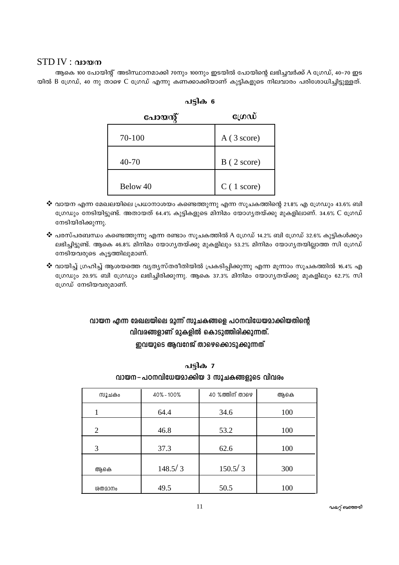### $STD IV : 20000$

ആകെ 100 പോയിന്റ് അടിസ്ഥാനമാക്കി 70നും 100നും ഇടയിൽ പോയിന്റെ ലഭിച്ചവർക്ക് A ഗ്രേഡ്, 40–70 ഇട യിൽ B ഗ്രേഡ്, 40 നു താഴെ C ഗ്രേഡ് എന്നു കണക്കാക്കിയാണ് കുട്ടികളുടെ നിലവാരം പരിശോധിച്ചിട്ടുള്ളത്.

| പോയൻ്     | <b>GLOQU</b> |
|-----------|--------------|
| 70-100    | A(3 score)   |
| $40 - 70$ | B(2 score)   |
| Below 40  | C(1 score)   |

| പടിക | n |
|------|---|
|      |   |

- $\bm{\hat{V}}$  വായന എന്ന മേഖലയിലെ പ്രധാനാശയം കണ്ടെത്തുന്നു എന്ന സൂചകത്തിന്റെ 21.8% എ ഗ്രേഡും 43.6% ബി ഗ്രേഡും നേടിയിട്ടുണ്ട്. അതായത് 64.4% കുട്ടികളുടെ മിനിമം യോഗൃതയ്ക്കു മുകളിലാണ്. 34.6% C ഗ്രേഡ് നേടിയിരിക്കുന്നു.
- ❖ പരസ്പരബന്ധം കണ്ടെത്തുന്നു എന്ന രണ്ടാം സൂചകത്തിൽ A ഗ്രേഡ് 14.2% ബി ഗ്രേഡ് 32.6% കുട്ടികൾക്കും ലഭിച്ചിട്ടുണ്ട്. ആകെ 46.8% മിനിമം യോഗൃതയ്ക്കു മുകളിലും 53.2% മിനിമം യോഗൃതയില്ലാത്ത സി ഗ്രേഡ് നേടിയവരുടെ കുട്ടത്തിലുമാണ്.
- ❖ വായിച്ച് ഗ്രഹിച്ച് ആശയത്തെ വ്യത്യസ്തരീതിയിൽ പ്രകടിപ്പിക്കുന്നു എന്ന മൂന്നാം സൂചകത്തിൽ 16.4% എ ഗ്രേഡും 20.9% ബി ഗ്രേഡും ലഭിച്ചിരിക്കുന്നു. ആകെ 37.3% മിനിമം യോഗ്യതയ്ക്കു മുകളിലും 62.7% സി ഗ്രേഡ് നേടിയവരുമാണ്.

# വായന എന്ന മേഖലയിലെ മൂന്ന് സൂചകങ്ങളെ പഠനവിധേയമാക്കിയതിന്റെ വിവരങ്ങളാണ് മുകളിൽ കൊടുത്തിരിക്കുന്നത്. ഇവയുടെ ആവറേജ് താഴെക്കൊടുക്കുന്നത്

| സൂചകം          | 40%-100% | 40 %ത്തിന് താഴെ | ആകെ |
|----------------|----------|-----------------|-----|
|                | 64.4     | 34.6            | 100 |
| $\overline{2}$ | 46.8     | 53.2            | 100 |
| 3              | 37.3     | 62.6            | 100 |
| ആകെ            | 148.5/3  | 150.5/3         | 300 |
| ശതമാനം         | 49.5     | 50.5            | 100 |

| പട്ടിക 7                                  |  |
|-------------------------------------------|--|
| വായന– പഠനവിധേയമാക്കിയ 3 സൂചകങ്ങളുടെ വിവരം |  |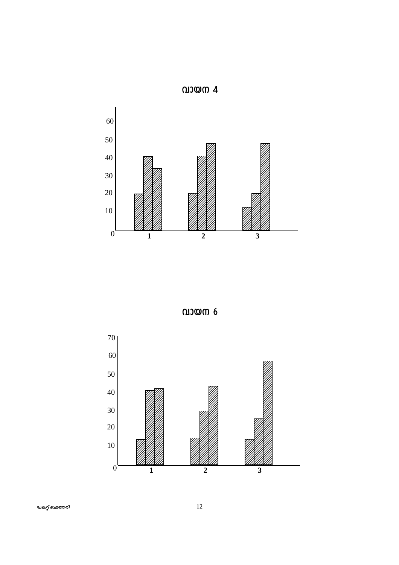

**hmb\ 4**

**hmb\ 6**



 $w$ കറ്റ് ബത്തേരി സാധാന സാധി വി $2$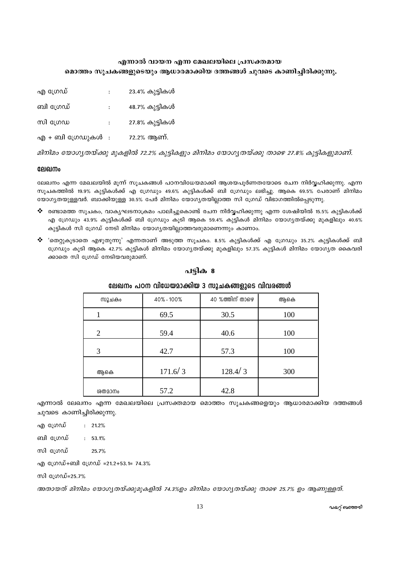### എന്നാൽ വായന എന്ന മേഖലയിലെ പ്രസക്തമായ മൊത്തം സൂചകങ്ങളുടെയും ആധാരമാക്കിയ ദത്തങ്ങൾ ചുവടെ കാണിച്ചിരിക്കുന്നു.

| എ ഗ്രേഡ്          |                | 23.4% കുട്ടികൾ |
|-------------------|----------------|----------------|
| ബി ഗ്രേഡ്         |                | 48.7% കുട്ടികൾ |
| സി ഗ്രേഡ          | $\ddot{\cdot}$ | 27.8% കുട്ടികൾ |
| എ + ബി ഗ്രേഡുകൾ : |                | 72.2% ആണ്.     |

മിനിമം യോഗ്യതയ്ക്കു മുകളിൽ 72.2% കുട്ടികളും മിനിമം യോഗ്യതയ്ക്കു താഴെ 27.8% കുട്ടികളുമാണ്.

#### ലേഖനം

ലേഖനം എന്ന മേഖലയിൽ മൂന്ന് സൂചകങ്ങൾ പഠനവിധേയമാക്കി ആശയപൂർണതയോടെ രചന നിർവ്വഹിക്കുന്നു. എന്ന സൂചകത്തിൽ 19.9% കുട്ടികൾക്ക് എ ഗ്രേഡും 49.6% കുട്ടികൾക്ക് ബി ഗ്രേഡും ലഭിച്ചു. ആകെ 69.5% പേരാണ് മിനിമം യോഗ്യതയുള്ളവർ. ബാക്കിയുള്ള 30.5% പേർ മിനിമം യോഗ്യതയില്ലാത്ത സി ഗ്രേഡ് വിഭാഗത്തിൽപെടുന്നു.

- ❖ രണ്ടാമത്ത സൂചകം, വാകൃഘടനാക്രമം പാലിച്ചുകൊണ്ട് രചന നിർവ്വഹിക്കുന്നു എന്ന ശേഷിയിൽ 15.5% കുട്ടികൾക്ക് എ ഗ്രേഡും 43.9% കുട്ടികൾക്ക് ബി ഗ്രേഡും കുടി ആകെ 59.4% കുട്ടികൾ മിനിമം യോഗ്യതയ്ക്കു മുകളിലും 40.6% കുട്ടികൾ സി ഗ്രേഡ് നേടി മിനിമം യോഗൃതയില്ലാത്തവരുമാണെന്നും കാണാം.
- ❖ 'തെറ്റുകൂടാതെ എഴുതുന്നു' എന്നതാണ് അടുത്ത സുചകം. 8.5% കുട്ടികൾക്ക് എ ഗ്രേഡും 35.2% കുട്ടികൾക്ക് ബി ഗ്രേഡും കൂടി ആകെ 42.7% കൂട്ടികൾ മിനിമം യോഗ്യതയ്ക്കു മുകളിലും 57.3% കൂട്ടികൾ മിനിമം യോഗ്യത കൈവരി ക്കാതെ സി ഗ്രേഡ് നേടിയവരുമാണ്.

### പടിക 8

#### ലേഖനം പഠന വിധേയമാക്കിയ 3 സൂചകങ്ങളുടെ വിവരങ്ങൾ

| സൂചകം          | 40%-100% | 40 %ത്തിന് താഴെ | ആകെ |
|----------------|----------|-----------------|-----|
|                | 69.5     | 30.5            | 100 |
| $\overline{2}$ | 59.4     | 40.6            | 100 |
| 3              | 42.7     | 57.3            | 100 |
| ആകെ            | 171.6/3  | 128.4/3         | 300 |
| ശതമാനം         | 57.2     | 42.8            |     |

എന്നാൽ ലേഖനം എന്ന മേഖലയിലെ പ്രസക്തമായ മൊത്തം സുചകങ്ങളെയും ആധാരമാക്കിയ ദത്തങ്ങൾ ചുവടെ കാണിച്ചിരിക്കുന്നു.

 $: 21.2\%$ എ ഗ്രേഡ്

ബി ഗ്രേഡ്  $: 53.1%$ 

സി ഗ്രേഡ് 25.7%

എ ഗ്രേഡ്+ബി ഗ്രേഡ് =21.2+53.1= 74.3%

സി ഗ്രേഡ്=25.7%

അതായത് മിനിമം യോഗ്യതയ്ക്കുമുകളിൽ 74.3%ഉം മിനിമം യോഗ്യതയ്ക്കു താഴെ 25.7% ഉം ആണുള്ളത്.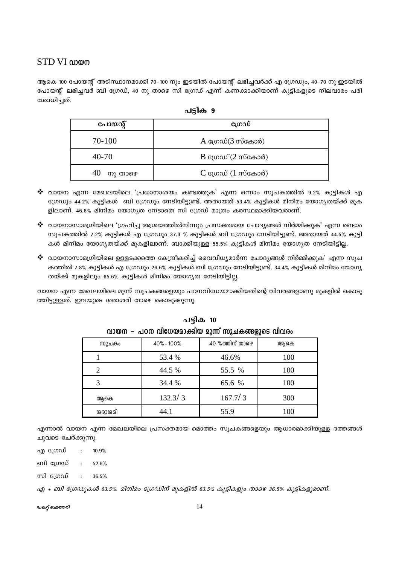### **STD VI வல**ை

ആകെ 100 പോയന്റ് അടിസ്ഥാനമാക്കി 70–100 നും ഇടയിൽ പോയന്റ് ലഭിച്ചവർക്ക് എ ഗ്രേഡും, 40–70 നു ഇടയിൽ പോയന്റ് ലഭിച്ചവർ ബി ഗ്രേഡ്, 40 നു താഴെ സി ഗ്രേഡ് എന്ന് കണക്കാക്കിയാണ് കുട്ടികളുടെ നിലവാരം പരി ശോധിചത്.

| പോയന്റ്       | cow                                      |
|---------------|------------------------------------------|
| 70-100        | A ഗ്രേഡ് $(3 \text{ m} \times \text{m})$ |
| $40 - 70$     | B ഗ്രേഡ് $(2 \text{ m} \times \text{m})$ |
| 40<br>നു താഴെ | C ഗ്രേഡ് $(1 \text{ m} \times \text{m})$ |

പട്ടിക 9

- $\bm{\hat{P}}$  വായന എന്ന മേഖലയിലെ 'പ്രധാനാശയം കണ്ടത്തുക' എന്ന ഒന്നാം സൂചകത്തിൽ 9.2% കുട്ടികൾ എ ഗ്രേഡും 44.2% കുട്ടികൾ ബി ഗ്രേഡും നേടിയിട്ടുണ്ട്. അതായത് 53.4% കുട്ടികൾ മിനിമം യോഗൃതയ്ക്ക് മുക ളിലാണ്. 46.6% മിനിമം യോഗ്യത നേടാതെ സി ഗ്രേഡ് മാത്രം കരസ്ഥമാക്കിയവരാണ്.
- $\bm{\cdot}$  വായനാസാമഗ്രിയിലെ 'ഗ്രഹിച്ച ആശയത്തിൽനിന്നും പ്രസക്തമായ ചോദ്യങ്ങൾ നിർമ്മിക്കുക' എന്ന രണ്ടാം സൂചകത്തിൽ 7.2% കുട്ടികൾ എ ഗ്രേഡും 37.3 % കുട്ടികൾ ബി ഗ്രേഡും നേടിയിട്ടുണ്ട്. അതായത് 44.5% കുട്ടി കൾ മിനിമം യോഗൃതയ്ക്ക് മുകളിലാണ്. ബാക്കിയുള്ള 55.5% കുട്ടികൾ മിനിമം യോഗൃത നേടിയിട്ടില്ല.
- $\bm{\hat{P}}$  വായനാസാമഗ്രിയിലെ ഉള്ളടക്കത്തെ കേന്ദ്രീകരിച്ച് വൈവിധ്യമാർന്ന ചോദ്യങ്ങൾ നിർമ്മിക്കുക' എന്ന സൂച കത്തിൽ 7.8% കുട്ടികൾ എ ഗ്രേഡും 26.6% കുട്ടികൾ ബി ഗ്രേഡും നേടിയിട്ടുണ്ട്. 34.4% കുട്ടികൾ മിനിമം യോഗ്യ തയ്ക്ക് മുകളിലും 65.6% കുട്ടികൾ മിനിമം യോഗ്യത നേടിയിട്ടില്ല.

വായന എന്ന മേഖലയിലെ മുന്ന് സുചകങ്ങളെയും പഠനവിധേയമാക്കിയതിന്റെ വിവരങ്ങളാണു മുകളിൽ കൊടു ത്തിട്ടുള്ളത്. ഇവയുടെ ശരാശരി താഴെ കൊടുക്കുന്നു.

| സൂചകം                       | 40%-100% | 40 %ത്തിന് താഴെ | ആകെ |
|-----------------------------|----------|-----------------|-----|
|                             | 53.4 %   | 46.6%           | 100 |
| $\mathcal{D}_{\mathcal{A}}$ | 44.5 %   | 55.5 %          | 100 |
| 3                           | 34.4 %   | 65.6 %          | 100 |
| ആകെ                         | 132.3/3  | 167.7/3         | 300 |
| രരാരരി                      | 44.1     | 55.9            | 100 |

| പട്ടിക 10 |  |  |  |                                                  |  |
|-----------|--|--|--|--------------------------------------------------|--|
|           |  |  |  | വായന – പഠന വിധേയമാക്കിയ മൂന്ന് സൂചകങ്ങളുടെ വിവരം |  |

എന്നാൽ വായന എന്ന മേഖലയിലെ പ്രസക്തമായ മൊത്തം സൂചകങ്ങളെയും ആധാരമാക്കിയുള്ള ദത്തങ്ങൾ ചുവടെ ചേർക്കുന്നു.

എ ഗ്രേഡ് 10.9%

ബി ഗ്രേഡ് 52.6%  $\ddot{\phantom{a}}$ 

സി ഗ്രേഡ് 36.5%  $\Box$ 

എ + ബി ഗ്രേഡുകൾ 63.5%. മിനിമം ഗ്രേഡിന് മുകളിൽ 63.5% കുട്ടികളും താഴെ 36.5% കുട്ടികളുമാണ്.

**ഡ**കറ്റ് ബത്തേരി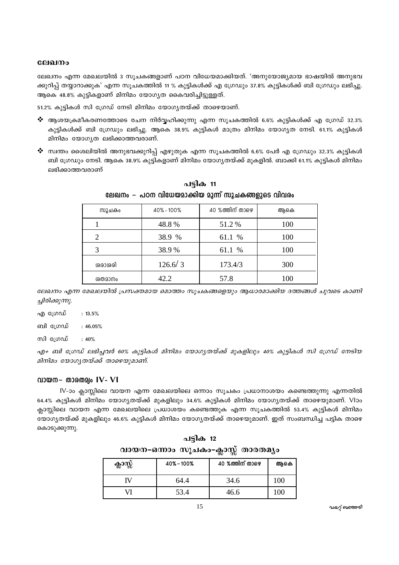#### ലേഖനം

ലേഖനം എന്ന മേഖലയിൽ 3 സൂചകങ്ങളാണ് പഠന വിധേയമാക്കിയത്. 'അനുയോജ്യമായ ഭാഷയിൽ അനുഭവ ക്കുറിപ്പ് തയ്യാറാക്കുക' എന്ന സുചകത്തിൽ 11 % കുട്ടികൾക്ക് എ ഗ്രേഡും 37.8% കുട്ടികൾക്ക് ബി ഗ്രേഡും ലഭിച്ചു. ആകെ 48.8% കുട്ടികളാണ് മിനിമം യോഗൃത കൈവരിച്ചിട്ടുള്ളത്.

51.2% കുട്ടികൾ സി ഗ്രേഡ് നേടി മിനിമം യോഗൃതയ്ക്ക് താഴെയാണ്.

- $\bm{\hat{\cdot}}$  ആശയക്രമീകരണത്തോടെ രചന നിർവ്വഹിക്കുന്നു എന്ന സുചകത്തിൽ 6.6% കുട്ടികൾക്ക് എ ഗ്രേഡ് 32.3% കുട്ടികൾക്ക് ബി ഗ്രേഡും ലഭിച്ചു. ആകെ 38.9% കുട്ടികൾ മാത്രം മിനിമം യോഗ്യത നേടി. 61.1% കുട്ടികൾ മിനിമം യോഗൃത ലഭിക്കാത്തവരാണ്.
- ❖ സ്വന്തം ശൈലിയിൽ അനുഭവക്കുറിപ്പ് എഴുതുക എന്ന സൂചകത്തിൽ 6.6% പേർ എ ഗ്രേഡും 32.3% കുട്ടികൾ ബി ഗ്രേഡും നേടി. ആകെ 38.9% കൂട്ടികളാണ് മിനിമം യോഗ്യതയ്ക്ക് മുകളിൽ. ബാക്കി 61.1% കൂട്ടികൾ മിനിമം ലഭിക്കാത്തവരാണ്

| സൂചകം  | 40%-100% | 40 %ത്തിന് താഴെ | ആകെ |
|--------|----------|-----------------|-----|
|        | 48.8%    | 51.2%           | 100 |
| 2      | 38.9 %   | 61.1 %          | 100 |
| 3      | 38.9%    | 61.1 %          | 100 |
| രരാരരി | 126.6/3  | 173.4/3         | 300 |
| ശതമാനം | 42.2     | 57.8            | 100 |

പട്ടിക 11 ലേഖനം – പഠന വിധേയമാക്കിയ മൂന്ന് സൂചകങ്ങളുടെ വിവരം

ലേഖനം എന്ന മേഖലയിൽ പ്രസക്തമായ മൊത്തം സുചകങ്ങളെയും ആധാരമാക്കിയ ദത്തങ്ങൾ ചുവടെ കാണി ച്ചിരിക്കുന്നു.

എ ഗ്രേഡ്  $: 13.5\%$ ബി ശേഡ്  $: 46.05\%$ സി ഗ്രേഡ്  $:40%$ 

എ+ ബി ഗ്രേഡ് ലഭിച്ചവർ 60% കുട്ടികൾ മിനിമം യോഗ്യതയ്ക്ക് മുകളിലും 40% കുട്ടികൾ സി ഗ്രേഡ് നേടിയ മിനിമം യോഗ്യതയ്ക്ക് താഴെയുമാണ്.

#### വായന– താരതമ്യം IV- VI

IV-ാം ക്ലാസ്സിലെ വായന എന്ന മേഖലയിലെ ഒന്നാം സൂചകം പ്രധാനാശയം കണ്ടെത്തുന്നു എന്നതിൽ 64.4% കുട്ടികൾ മിനിമം യോഗ്യതയ്ക്ക് മുകളിലും 34.6% കുട്ടികൾ മിനിമം യോഗ്യതയ്ക്ക് താഴെയുമാണ്. Vloo ക്ലാസ്സിലെ വായന എന്ന മേഖലയിലെ പ്രധാശയം കണ്ടെത്തുക എന്ന സുചകത്തിൽ 53.4% കുട്ടികൾ മിനിമം യോഗ്യതയ്ക്ക് മുകളിലും 46.6% കുട്ടികൾ മിനിമം യോഗ്യതയ്ക്ക് താഴെയുമാണ്. ഇത് സംബന്ധിച്ച പട്ടിക താഴെ കൊടുക്കുന്നു.

| വായന-ഒന്നാം സൂചകം-ക്ലാസ്സ് താരതമ്യം |                |                 |     |
|-------------------------------------|----------------|-----------------|-----|
| ക്ലാസ്സ്                            | $40\% - 100\%$ | 40 %ത്തിന് താഴെ | ആകെ |
|                                     | 64.4           | 34.6            | 100 |
|                                     | 534            | 46.6            | 100 |

പടിക 12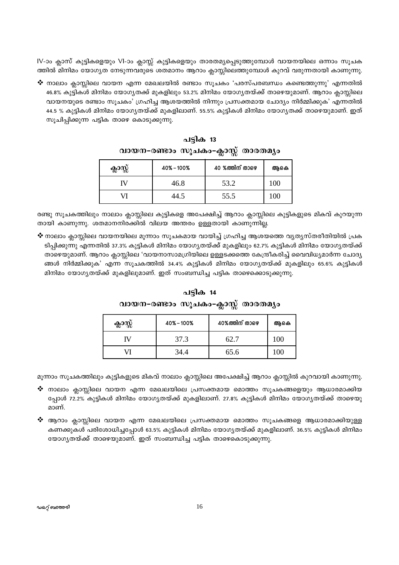IV-ാം ക്ലാസ് കുട്ടികളെയും VI-ാം ക്ലാസ്സ് കുട്ടികളെയും താരതമ്യപ്പെടുത്തുമ്പോൾ വായനയിലെ ഒന്നാം സൂചക ത്തിൽ മിനിമം യോഗൃത നേടുന്നവരുടെ ശതമാനം ആറാം ക്ലാസ്സിലെത്തുമ്പോൾ കുറവ് വരുന്നതായി കാണുന്നു.

 $\boldsymbol{\boldsymbol{\cdot}}$ നോലാം ക്ലാസ്സിലെ വായന എന്ന മേഖലയിൽ രണ്ടാം സൂചകം 'പരസ്പരബന്ധം കണ്ടെത്തുന്നു' എന്നതിൽ 46.8% കുട്ടികൾ മിനിമം യോഗ്യതക്ക് മുകളിലും 53.2% മിനിമം യോഗ്യതയ്ക്ക് താഴെയുമാണ്. ആറാം ക്ലാസ്സിലെ വായനയുടെ രണ്ടാം സുചകം' ഗ്രഹിച്ച ആശയത്തിൽ നിന്നും പ്രസക്തമായ ചോദ്യം നിർമ്മിക്കുക' എന്നതിൽ 44.5 % കൂട്ടികൾ മിനിമം യോഗ്യതയ്ക്ക് മുകളിലാണ്. 55.5% കൂട്ടികൾ മിനിമം യോഗ്യതക്ക് താഴെയുമാണ്. ഇത് സൂചിപ്പിക്കുന്ന പട്ടിക താഴെ കൊടുക്കുന്നു.

|          | . .            | σU.<br>w        | . . |
|----------|----------------|-----------------|-----|
| ക്ലാസ്സ് | $40\% - 100\%$ | 40 %ത്തിന് താഴെ | ആകെ |
|          | 46.8           | 53.2            | 100 |
|          | 44.5           | 55.5            | 100 |

| പട്ടിക 13                           |  |
|-------------------------------------|--|
| വായന−രണ്ടാം സൂചകം−ക്ലാസ്സ് താരതമ്യം |  |

രണ്ടു സൂചകത്തിലും നാലാം ക്ലാസ്സിലെ കുട്ടികളെ അപേക്ഷിച്ച് ആറാം ക്ലാസ്സിലെ കുട്ടികളുടെ മികവ് കുറയുന്ന തായി കാണുന്നു. ശതമാനനിരക്കിൽ വിലയ അന്തരം ഉള്ളതായി കാണുന്നില്ല.

❖ നാലാം ക്ലാസ്സിലെ വായനയിലെ മൂന്നാം സൂചകമായ വായിച്ച് ഗ്രഹിച്ച ആശയത്തെ വ്യത്യസ്തരീതിയിൽ പ്രക ടിപ്പിക്കുന്നു എന്നതിൽ 37.3% കുട്ടികൾ മിനിമം യോഗൃതയ്ക്ക് മുകളിലും 62.7% കുട്ടികൾ മിനിമം യോഗൃതയ്ക്ക് താഴെയുമാണ്. ആറാം ക്ലാസ്സിലെ 'വായനാസാമഗ്രിയിലെ ഉള്ളടക്കത്തെ കേന്ദ്രീകരിച്ച് വൈവിധ്യമാർന്ന ചോദ്യ ങ്ങൾ നിർമ്മിക്കുക' എന്ന സൂചകത്തിൽ 34.4% കുട്ടികൾ മിനിമം യോഗ്യതയ്ക്ക് മുകളിലും 65.6% കുട്ടികൾ മിനിമം യോഗ്യതയ്ക്ക് മുകളിലുമാണ്. ഇത് സംബന്ധിച്ച പട്ടിക താഴെക്കൊടുക്കുന്നു.

പട്ടിക 14 വായന-രണ്ടാം സൂചകം-ക്ലാസ്സ് താരതമൃം

| ക്ലാസ്സ് | 40%-100% | 40%ത്തിന് താഴെ | ആകെ           |
|----------|----------|----------------|---------------|
|          | 37.3     | 62.1           | 100           |
|          | 34.4     | 65.6           | $100^{\circ}$ |

മൂന്നാം സൂചകത്തിലും കുട്ടികളുടെ മികവ് നാലാം ക്ലാസ്സിലെ അപേക്ഷിച്ച് ആറാം ക്ലാസ്സിൽ കുറവായി കാണുന്നു.

- ❖ നാലാം ക്ലാസ്സിലെ വായന എന്ന മേഖലയിലെ പ്രസക്തമായ മൊത്തം സൂചകങ്ങളെയും ആധാരമാക്കിയ പ്പോൾ 72.2% കുട്ടികൾ മിനിമം യോഗ്യതയ്ക്ക് മുകളിലാണ്. 27.8% കുട്ടികൾ മിനിമം യോഗ്യതയ്ക്ക് താഴെയു മാണ്.
- ❖ ആറാം ക്ലാസ്സിലെ വായന എന്ന മേഖലയിലെ പ്രസക്തമായ മൊത്തം സൂചകങ്ങളെ ആധാരമാക്കിയുള്ള കണക്കുകൾ പരിശോധിച്ചപ്പോൾ 63.5% കുട്ടികൾ മിനിമം യോഗ്യതയ്ക്ക് മുകളിലാണ്. 36.5% കുട്ടികൾ മിനിമം യോഗ്യതയ്ക്ക് താഴെയുമാണ്. ഇത് സംബന്ധിച്ച പട്ടിക താഴെകൊടുക്കുന്നു.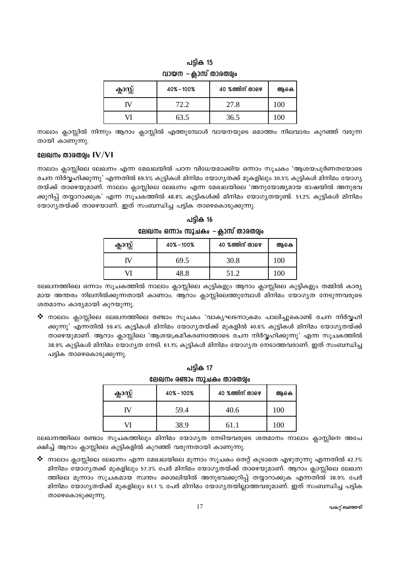|          | ່ວບ            |                 |     |
|----------|----------------|-----------------|-----|
| ക്ലാസ്സ് | $40\% - 100\%$ | 40 %ത്തിന് താഴെ | ആകെ |
|          | 72.2           | 27.8            | 100 |
|          | 63.5           | 36.5            | 100 |

പട്ടിക 15 വായന – കാസ് താരതമ്യം

നാലാം ക്ലാസ്സിൽ നിന്നും ആറാം ക്ലാസ്സിൽ എത്തുമ്പോൾ വായനയുടെ മൊത്തം നിലവാരം കുറഞ്ഞ് വരുന്ന തായി കാണുന്നു.

#### ലേഖനം താരതമ്യം  $IV/VI$

നാലാം ക്ലാസ്സിലെ ലേഖനം എന്ന മേഖലയിൽ പഠന വിധേയമാക്കിയ ഒന്നാം സൂചകം 'ആശയപൂർണതയോടെ രചന നിർവ്വഹിക്കുന്നു' എന്നതിൽ 69.5% കുട്ടികൾ മിനിമം യോഗ്യതക്ക് മുകളിലും 30.5% കുട്ടികൾ മിനിമം യോഗ്യ തയ്ക്ക് താഴെയുമാണ്. നാലാം ക്ലാസ്സിലെ ലേഖനം എന്ന മേഖലയിലെ 'അനുയോജ്യമായ ഭാഷയിൽ അനുഭവ ക്കുറിപ്പ് തയ്യാറാക്കുക' എന്ന സൂചകത്തിൽ 48.8% കുട്ടികൾക്ക് മിനിമം യോഗൃതയുണ്ട്. 51.2% കുട്ടികൾ മിനിമം യോഗൃതയ്ക്ക് താഴെയാണ്. ഇത് സംബന്ധിച്ച പട്ടിക താഴെകൊടുക്കുന്നു.

പട്ടിക 16 ലേഖനം ഒന്നാം സൂചകം – ക്ലാസ് താരതമ്യം

| ക്ലാസ്സ് | 40%-100% | 40 %ത്തിന് താഴെ | ആകെ |
|----------|----------|-----------------|-----|
|          | 69.5     | 30.8            | 100 |
|          | 48.8     | 51.2            | .00 |

ലേഖനത്തിലെ ഒന്നാം സൂചകത്തിൽ നാലാം ക്ലാസ്സിലെ കുട്ടികളും ആറാം ക്ലാസ്സിലെ കുട്ടികളും തമ്മിൽ കാര്യ മായ അന്തരം നിലനിൽക്കുന്നതായി കാണാം. ആറാം ക്ലാസ്സിലെത്തുമ്പോൾ മിനിമം യോഗൃത നേടുന്നവരുടെ ശതമാനം കാര്യമായി കുറയുന്നു.

❖ നാലാം ക്ലാസ്സിലെ ലേഖനത്തിലെ രണ്ടാം സൂചകം 'വാകൃഘടനാക്രമം പാലിച്ചുകൊണ്ട് രചന നിർവ്വഹി ക്കുന്നു' എന്നതിൽ 59.4% കുട്ടികൾ മിനിമം യോഗ്യതയ്ക്ക് മുകളിൽ 40.6% കുട്ടികൾ മിനിമം യോഗ്യതയ്ക്ക് താഴെയുമാണ്. ആറാം ക്ലാസ്സിലെ 'ആശയക്രമീകരണത്തോടെ രചന നിർവ്വഹിക്കുന്നു' എന്ന സുചകത്തിൽ 38.9% കുട്ടികൾ മിനിമം യോഗൃത നേടി. 61.1% കുട്ടികൾ മിനിമം യോഗൃത നേടാത്തവരാണ്. ഇത് സംബന്ധിച്ച പട്ടിക താഴെകൊടുക്കുന്നു.

പടിക 17 ലേഖനം രണ്ടാം സൂചകം താരതമ്യം

| ക്ലാസ്സ് | $40\% - 100\%$ | 40 %ത്തിന് താഴെ | ആകെ |  |
|----------|----------------|-----------------|-----|--|
|          | 59.4           | 40.6            | 100 |  |
|          | 38.9           | 61 1            | 100 |  |

ലേഖനത്തിലെ രണ്ടാം സുചകത്തിലും മിനിമം യോഗ്യത നേടിയവരുടെ ശതമാനം നാലാം ക്ലാസ്സിനെ അപേ ക്ഷിച്ച് ആറാം ക്ലാസ്സിലെ കുട്ടികളിൽ കുറഞ്ഞ് വരുന്നതായി കാണുന്നു.

❖ നാലാം ക്ലാസ്സിലെ ലേഖനം എന്ന മേഖലയിലെ മുന്നാം സുചകം തെറ്റ് കുടാതെ എഴുതുന്നു എന്നതിൽ 42.7% മിനിമം യോഗ്യതക്ക് മുകളിലും 57.3% പേർ മിനിമം യോഗ്യതയ്ക്ക് താഴെയുമാണ്. ആറാം ക്ലാസ്സിലെ ലേഖന ത്തിലെ മൂന്നാം സൂചകമായ സ്വന്തം ശൈലിയിൽ അനുഭവക്കുറിപ്പ് തയ്യാറാക്കുക എന്നതിൽ 38.9% പേർ മിനിമം യോഗൃതയ്ക്ക് മുകളിലും 61.1 % പേർ മിനിമം യോഗൃതയില്ലാത്തവരുമാണ്. ഇത് സംബന്ധിച്ച പട്ടിക താഴെകൊടുക്കുന്നു.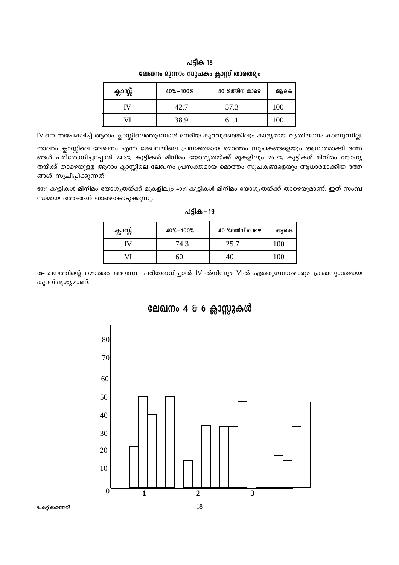| ക്ലാസ്സ് | $40\% - 100\%$ | 40 %ത്തിന് താഴെ | ആകെ             |  |
|----------|----------------|-----------------|-----------------|--|
|          | 42. J          | 57.3            | 100             |  |
|          | 38.9           | 61 <sub>1</sub> | 00 <sub>1</sub> |  |

|                                       | പട്ടിക 18 |  |
|---------------------------------------|-----------|--|
| ലേഖനം മൂന്നാം സൂചകം ക്ലാസ്സ് താരതമ്യം |           |  |

IV നെ അപേക്ഷിച്ച് ആറാം ക്ലാസ്സിലെത്തുമ്പോൾ നേരിയ കുറവുണ്ടെങ്കിലും കാര്യമായ വ്യതിയാനം കാണുന്നില്ല.

നാലാം ക്ലാസ്സിലെ ലേഖനം എന്ന മേഖലയിലെ പ്രസക്തമായ മൊത്തം സൂചകങ്ങളെയും ആധാരമാക്കി ദത്ത ങ്ങൾ പരിശോധിച്ചപ്പോൾ 74.3% കുട്ടികൾ മിനിമം യോഗൃതയ്ക്ക് മുകളിലും 25.7% കുട്ടികൾ മിനിമം യോഗൃ തയ്ക്ക് താഴെയുള്ള ആറാം ക്ലാസ്സിലെ ലേഖനം പ്രസക്തമായ മൊത്തം സൂചകങ്ങളെയും ആധാരമാക്കിയ ദത്ത ങ്ങൾ സൂചിപ്പിക്കുന്നത്

60% കുട്ടികൾ മിനിമം യോഗൃതയ്ക്ക് മുകളിലും 40% കുട്ടികൾ മിനിമം യോഗൃതയ്ക്ക് താഴെയുമാണ്. ഇത് സംബ ന്ധമായ ദത്തങ്ങൾ താഴെകൊടുക്കുന്നു.

| ക്ലാസ്സ് | 40%-100% | 40 %ത്തിന് താഴെ | ആകെ |
|----------|----------|-----------------|-----|
|          | 74.3     | 25.7            | 100 |
|          | 61       |                 | LOO |

പട്ടിക – 19

ലേഖനത്തിന്റെ മൊത്തം അവസ്ഥ പരിശോധിച്ചാൽ IV ൽനിന്നും VIൽ എത്തുമ്പോഴേക്കും ക്രമാനുഗതമായ കുറവ് ദൃശ്യമാണ്.



ലേഖനം 4 & 6 ക്ലാസ്സുകൾ

**ഡ**കറ്റ് ബത്തേരി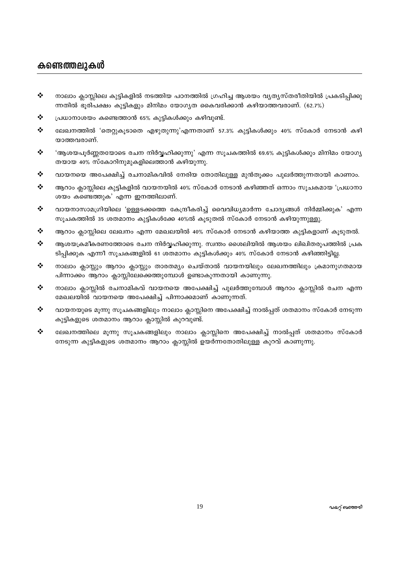# കണ്ടെത്തലുകൾ

- $\ddot{\bullet}$ നാലാം ക്ലാസ്സിലെ കുട്ടികളിൽ നടത്തിയ പഠനത്തിൽ ഗ്രഹിച്ച ആശയം വ്യത്യസ്തരീതിയിൽ പ്രകടിപ്പിക്കു ന്നതിൽ ഭൂരിപക്ഷം കുട്ടികളും മിനിമം യോഗൃത കൈവരിക്കാൻ കഴിയാത്തവരാണ്. (62.7%)
- $\frac{1}{2}$ പ്രധാനാശയം കണ്ടെത്താൻ 65% കുട്ടികൾക്കും കഴിവുണ്ട്.
- ÷ ലേഖനത്തിൽ 'തെറ്റുകൂടാതെ എഴുതുന്നു'എന്നതാണ് 57.3% കുട്ടികൾക്കും 40% സ്കോർ നേടാൻ കഴി യാത്തവരാണ്.
- 'ആശയപൂർണ്ണതയോടെ രചന നിർവ്വഹിക്കുന്നു' എന്ന സൂചകത്തിൽ 69.6% കുട്ടികൾക്കും മിനിമം യോഗ്യ  $\frac{1}{2}$ തയായ 40% സ്കോറിനുമുകളിലെത്താൻ കഴിയുന്നു.
- $\frac{1}{2}$ വായനയെ അപേക്ഷിച്ച് രചനാമികവിൽ നേരിയ തോതിലുള്ള മുൻതുക്കം പുലർത്തുന്നതായി കാണാം.
- $\mathbf{r}^{\star}_{\mathbf{r}^{\star}}$ ആറാം ക്ലാസ്സിലെ കുട്ടികളിൽ വായനയിൽ 40% സ്കോർ നേടാൻ കഴിഞ്ഞത് ഒന്നാം സുചകമായ 'പ്രധാനാ ശയം കണ്ടെത്തുക' എന്ന ഇനത്തിലാണ്.
- $\frac{1}{2}$ വായനാസാമഗ്രിയിലെ 'ഉള്ളടക്കത്തെ കേന്ദ്രീകരിച്ച് വൈവിധ്യമാർന്ന ചോദ്യങ്ങൾ നിർമ്മിക്കുക' എന്ന സൂചകത്തിൽ 35 ശതമാനം കുട്ടികൾക്കേ 40%ൽ കൂടുതൽ സ്കോർ നേടാൻ കഴിയുന്നുള്ളു.
- ആറാം ക്ലാസ്സിലെ ലേഖനം എന്ന മേഖലയിൽ 40% സ്കോർ നേടാൻ കഴിയാത്ത കുട്ടികളാണ് കുടുതൽ. ❖
- ❖ ആശയക്രമീകരണത്തോടെ രചന നിർവ്വഹിക്കുന്നു. സ്വന്തം ശൈലിയിൽ ആശയം ലിഖിതരൂപത്തിൽ പ്രക ടിപ്പിക്കുക എന്നീ സൂചകങ്ങളിൽ 61 ശതമാനം കുട്ടികൾക്കും 40% സ്കോർ നേടാൻ കഴിഞ്ഞിട്ടില്ല.
- $\cdot$ നാലാം ക്ലാസ്സും ആറാം ക്ലാസ്സും താരതമ്യം ചെയ്താൽ വായനയിലും ലേഖനത്തിലും ക്രമാനുഗതമായ പിന്നാക്കം ആറാം ക്ലാസ്സിലേക്കെത്തുമ്പോൾ ഉണ്ടാകുന്നതായി കാണുന്നു.
- $\mathbf{r}^{\star}_{\bullet}$ നാലാം ക്ലാസ്സിൽ രചനാമികവ് വായനയെ അപേക്ഷിച്ച് പുലർത്തുമ്പോൾ ആറാം ക്ലാസ്സിൽ രചന എന്ന മേഖലയിൽ വായനയെ അപേക്ഷിച്ച് പിന്നാക്കമാണ് കാണുന്നത്.
- $\frac{1}{2}$ വായനയുടെ മൂന്നു സൂചകങ്ങളിലും നാലാം ക്ലാസ്സിനെ അപേക്ഷിച്ച് നാൽപ്പത് ശതമാനം സ്കോർ നേടുന്ന കുട്ടികളുടെ ശതമാനം ആറാം ക്ലാസ്സിൽ കുറവുണ്ട്.
- $\frac{1}{2}$ ലേഖനത്തിലെ മൂന്നു സൂചകങ്ങളിലും നാലാം ക്ലാസ്സിനെ അപേക്ഷിച്ച് നാൽപ്പത് ശതമാനം സ്കോർ നേടുന്ന കുട്ടികളുടെ ശതമാനം ആറാം ക്ലാസ്സിൽ ഉയർന്നതോതിലുള്ള കുറവ് കാണുന്നു.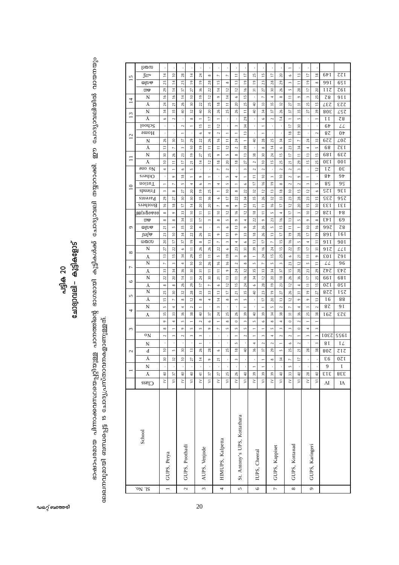# പട്ടിക 20<br>ചോദ്യാവലി– കുട്ടികളോട് വേദ്വാവലി– കുട്ടികളോട്

|                                                                                                          |                               | ഗ്രതന                        |                                             |                                  |                               |                                       |                          |                                    |                               |                            |                                     |                                 |                                          |                                             |                          |                                          |                                 |                               |                                |                                   |                         |                                    |
|----------------------------------------------------------------------------------------------------------|-------------------------------|------------------------------|---------------------------------------------|----------------------------------|-------------------------------|---------------------------------------|--------------------------|------------------------------------|-------------------------------|----------------------------|-------------------------------------|---------------------------------|------------------------------------------|---------------------------------------------|--------------------------|------------------------------------------|---------------------------------|-------------------------------|--------------------------------|-----------------------------------|-------------------------|------------------------------------|
|                                                                                                          | 5<br>$\overline{\phantom{0}}$ | <b>Scrv</b>                  | $\Xi$                                       | $\approx$                        | 28                            | $\overline{4}$                        | 24                       | $^\infty$                          | $\triangleright$              | $\triangleright$           | $\equiv$                            | $\overline{1}$                  | 25                                       | $\overline{1}$                              | $\overline{1}$           | $20\,$                                   | $\circ$                         | $\overline{1}$                | Þ                              | $\frac{8}{16}$                    | $6+1$                   | 771                                |
|                                                                                                          |                               | തിനക                         | 25                                          | $\overline{1}$                   | 25                            | $\overline{19}$                       | $\frac{6}{1}$            | $2\,8$                             | $\frac{15}{2}$                | $\infty$                   | $\overline{1}$                      | $\overline{1}$                  | $\overline{19}$                          | 23                                          | 28                       | 29                                       | $\sim$                          | Ξ                             | $\overline{1}$                 | $\infty$                          | 991                     | 6 S I                              |
|                                                                                                          |                               | ПΘ                           | 29                                          | $\overline{1}$                   | 37                            | 27                                    | 36                       | $22\,$                             | $\frac{4}{4}$                 | $\overline{12}$            | $\overline{c}$                      | $\frac{6}{2}$                   | $\overline{31}$                          | 27                                          | $30\,$                   | 26                                       | S                               | 28                            | $\overline{a}$                 | 20                                | IJΖ                     | 76I                                |
|                                                                                                          | 4<br>$\overline{\phantom{0}}$ | N<br>$\overline{\mathbf{A}}$ | $\frac{6}{2}$<br>$24\,$                     | $\frac{6}{1}$<br>$\overline{21}$ | $\overline{1}$<br>26          | $\overline{10}$<br>$\approx$          | $\overline{0}$<br>$22\,$ | $\overline{\phantom{a}}$<br>$25\,$ | $\circ$<br>$\overline{18}$    | $\overline{1}$             | $\circ$                             | $\frac{5}{1}$<br>25             | $\mathrel{\mathop{\mathsf{q}}\nolimits}$ | $\triangleright$<br>33                      | 4<br>35                  | $^\infty$<br>$\boldsymbol{\mathfrak{Z}}$ | Ξ                               | $\circ$                       | $\overline{\phantom{a}}$<br>25 | 25                                | 78<br>LEZ               | 9 I I<br>$\epsilon\tau\tau$        |
|                                                                                                          |                               | $\mathbf N$                  | 34                                          | 35                               | $\overline{40}$               | 32                                    | $\sqrt{4}$               | $20\,$                             | 26                            | $\equiv$<br>25             | 20<br>26                            | $\equiv$                        | $40$                                     | 34                                          | 57                       | $26\,$                                   | 27<br>57                        | $\overline{\mathbf{3}}$<br>35 | 27                             | $\overline{15}$<br>39             | 808                     | $LSZ$                              |
| േപാദ്യാലിയിൽ വായനയും                                                                                     | $\epsilon$<br>$\overline{ }$  | $\overline{\lambda}$         | $\circ$                                     | $\sim$                           |                               | $\infty$                              |                          | $\overline{1}$                     | $\overline{a}$                |                            |                                     | 29                              |                                          | $\circ$                                     | $\sim$                   | $\overline{1}$                           | $\overline{\phantom{0}}$        | $\mathbf{r}$                  |                                | $\overline{a}$                    | ΙI                      | $\overline{z}$                     |
|                                                                                                          |                               | <b>School</b>                | $\,$                                        |                                  | $\sim$                        | $\overline{\phantom{a}}$              | $\frac{15}{2}$           | $\equiv$                           | $\overline{c}$                |                            | $\sim$                              | $\frac{4}{3}$                   |                                          |                                             |                          |                                          | $\overline{1}$                  | $30\,$                        |                                |                                   | 64                      | $\cal LL$                          |
|                                                                                                          |                               | $a$ amo $H$                  | $\mathbf{u}$                                |                                  | $\overline{\phantom{a}}$      |                                       | $\circ$                  | $\Rightarrow$                      | $\sim$                        |                            | $\overline{ }$                      | $\overline{1}$                  |                                          | $\overline{\phantom{a}}$                    |                          |                                          | $\frac{8}{16}$                  | $\overline{19}$               |                                | $\sim$                            | 87                      | 0 <sup>2</sup>                     |
|                                                                                                          | 12                            | N                            | $26\,$                                      | 30                               | 37                            | 29                                    | 22                       | $26\,$                             | $\frac{6}{2}$                 | $\equiv$                   | 24                                  | $\overline{ }$                  | $40$                                     | 28                                          | 25                       | $^{\rm 34}$                              | $\ddot{ }$                      | $\triangleright$              | $^{24}$                        | 33                                | 677                     | L0Z                                |
|                                                                                                          |                               | $\overline{\Lambda}$         | $\mathrel{\mathop:}^{\circ}$                | $\triangleright$                 | $\sim$                        | $\approx$                             | $\overline{19}$          | $\equiv$                           | $\equiv$                      | $\overline{1}$             | $\sim$                              | 39                              | $\mathcal{A}$                            | $\infty$                                    | $\overline{1}$           | $\circ$                                  | 23                              | $\boldsymbol{\mathcal{Z}}$    | $\Rightarrow$                  | $\mathbf{u}$                      | 68                      | $\overline{z}\epsilon\overline{z}$ |
| ନ<br>ଜା                                                                                                  | $\equiv$                      | N                            | $30\,$                                      | 26                               | 23                            | $\overline{19}$                       | 27                       | 25                                 | $\sigma$                      | $\mathsf{L}\cap$           | $^{\circ}$                          | $\approx$                       | 38                                       | 30                                          | $^{24}$                  | $\frac{15}{2}$                           | Ħ                               | $\equiv$                      | $\overline{1}$                 | 15                                | 68I                     | 6 E Z                              |
|                                                                                                          |                               | $\lambda$                    | $\ensuremath{\mathop{\mathbb{C}}\nolimits}$ | $\equiv$                         | $\overline{1}$                | $\overline{z}$                        | $\overline{4}$           | $\Xi$                              | $18$                          | $20\,$                     | $\frac{8}{16}$                      | 27                              | $\sim$                                   | $\mathrel{\mathop{\scriptstyle\mathsf{=}}}$ | $\overline{1}$           | 25                                       | $\overline{z}$                  | 29                            | $\overline{1}$                 | 25                                | 0E <sub>L</sub>         | 001                                |
|                                                                                                          |                               | auo oN                       | 4                                           | $\overline{a}$                   | $\circ$                       | $\sim$                                |                          |                                    | $\triangleright$              | $\sim$                     |                                     | 3                               | $\sim$                                   | $\sim$                                      |                          | $\sim$                                   | $\sim$                          | $\sim$                        |                                | $\overline{12}$                   | $l\zeta$                | 0E                                 |
|                                                                                                          |                               | Others                       |                                             | $\circ$                          | $\frac{8}{18}$                | $\overline{\phantom{a}}$              | $\sigma$                 | $\overline{ }$                     | $\mathbf{I}$                  | $\overline{5}$             | 4                                   | $\overline{\phantom{0}}$        | $\equiv$                                 | $\overline{\phantom{0}}$                    | 3                        | $\stackrel{\circ}{\phantom{}_{\sim}}$    | $\sim$                          | $\circ$                       | $\overline{\phantom{0}}$       |                                   | 8t                      | $9\nu$                             |
|                                                                                                          | $\overline{10}$               | noituT                       | $\overline{\phantom{a}}$                    | $\triangleright$                 | $\overline{5}$                | $\Rightarrow$                         | $\circ$                  | $\sim$                             | 4                             | $\overline{5}$             | $\overline{ }$                      | $\circ$                         | $\overline{1}$                           | $\frac{6}{2}$                               | $\overline{19}$          | $^\infty$                                | $\sim$                          | $\sim$                        | $\sim$                         | $\sim$                            | 85                      | 9S                                 |
|                                                                                                          |                               | Friends<br>Parents           | $\sim$                                      | $\infty$                         | $\overline{27}$               | $20\,$                                | $\overline{19}$          | 25                                 | $\overline{ }$                | $\approx$                  | $^{\circ}$                          | 22                              | $\boldsymbol{\mathcal{Z}}$               | $\overline{1}$                              | $\approx$                | $\overline{\phantom{a}}^{\rm 8}$         | $\approx$                       | $\overline{1}$                | $\overline{1}$                 | $\circ$                           | SZI<br>$S\bar{z}$       | 9 E I<br>957                       |
|                                                                                                          |                               | Brothers                     | 29<br>$\frac{6}{1}$                         | $\overline{27}$<br>$\frac{8}{1}$ | $_{\rm 30}$<br>$\overline{1}$ | $_{\rm 30}$<br>$\overline{1}$         | $35\,$<br>$20\,$         | $36\,$                             | $\circ$                       | $\overline{1}$<br>$\infty$ | 22                                  | $\frac{4}{3}$<br>$\overline{1}$ | 35<br>$\overline{21}$                    | 26<br>$\equiv$                              | $32\,$<br>$\frac{6}{1}$  | $33\,$<br>$\overline{\phantom{a}}$       | $\mathbf{z}$<br>$\overline{12}$ | $28$<br>$20\,$                | 23<br>$\overline{1}$           | $\overline{15}$<br>$\overline{1}$ | EEI                     | IεI                                |
| ചോദ്യാവലി തയ്യാറാക്കി.                                                                                   |                               | დორდიდა                      | $\infty$                                    | $\circ$                          | 33                            | $\approx$                             | $\equiv$                 | $20\,$<br>$\equiv$                 | $\triangleright$<br>$\approx$ | $\overline{1}$             | $\circ$<br>$\approx$                | $\overline{12}$                 | $\frac{8}{16}$                           | $\equiv$                                    | $\overline{5}$           | $\overline{\phantom{a}}$                 | $\overline{\phantom{a}}$        | $\overline{3}$                | $\approx$                      | $\overline{1}$                    | 87I                     | $_{\rm F8}$                        |
|                                                                                                          |                               | ПΘ                           | $^\infty$                                   | $\infty$                         | $\frac{4}{3}$                 | $\equiv$                              | $\overline{\phantom{a}}$ | $\sim$                             | $\infty$                      | $\mathsf{L}\cap$           | $\circ$                             | 4                               | $\overline{\mathfrak{L}}$                | $\circ$                                     | $\mathbf{z}$             | $\frac{6}{2}$                            | $\overline{1}$                  | $\mathfrak{m}$                | $\circ$                        | $\infty$                          | $E$ † I                 | 69                                 |
|                                                                                                          | G                             | തിനക                         | $\overline{\mathbf{z}}$                     | S                                | 35                            | $\approx$                             | $\infty$                 |                                    | 3                             | $\circ$                    | $\overline{13}$                     | $\sigma$                        | $\frac{6}{2}$                            | 26                                          | $\overline{5}$           | $\Xi$                                    | Ξ                               | $\overline{a}$                | $\approx$                      | $\frac{6}{2}$                     | 997                     | $7\,8$                             |
|                                                                                                          |                               | ്നിക്ര                       | 23                                          | $\approx$                        | $\overline{34}$               | 22                                    | 26                       | $\overline{\phantom{0}}$           | $\circ$                       | $\equiv$                   | $\sigma$                            | 33                              | $\frac{8}{1}$                            | 26                                          | $\overline{1}$           | 17                                       | $\overline{0}$                  | 28                            | $\overline{1}$                 | $\overline{19}$                   | 89 <sub>I</sub>         | 16I                                |
|                                                                                                          |                               | ሠመርመ                         | $20\,$                                      | $\overline{1}$                   | 57                            | $\overline{1}$                        | $\infty$                 | $\frac{3}{2}$                      | $\triangleright$              | $\sim$                     | $\Rightarrow$                       | $\circ$                         | $\overline{1}$                           | $\overline{1}$                              | $\triangleright$         | $\frac{15}{2}$                           | $\frac{6}{1}$                   | $\overline{5}$                | $\overline{\phantom{a}}$       | $\Box$                            | 9 I I                   | 90I                                |
| ഭാഗമായി കുട്ടികൾക്ക്<br>ചോദ്യാവലി– കുട്ടികളോട്                                                           | ${}^{\circ}$                  | ${\rm N}$                    | $\overline{27}$                             | 22                               | $\circ$                       | $\equiv$                              | 26                       | 26                                 | 22                            | $\circ$                    | 23                                  | $\overline{5}$                  | $39$                                     | $\frac{6}{2}$                               | $^{24}$                  | $\frac{15}{2}$                           | 22                              | $\frac{9}{2}$                 | $\overline{1}$                 | $\overline{31}$                   | 9 I Z                   | LLI                                |
|                                                                                                          |                               | $\lambda$                    | $\overline{1}$                              | $\overline{1}$                   | $\overline{34}$               | 29                                    | $\frac{15}{2}$           | $\equiv$                           | $\mathsf{L}\cap$              | $\frac{9}{2}$              | 3                                   | $\sigma$                        | $\overline{a}$                           | $^{24}$                                     | $\frac{15}{2}$           | 25                                       | $\circ$                         | $\overline{21}$               | $\equiv$                       | $\sigma$                          | εoι                     | $\overline{z91}$                   |
|                                                                                                          | $\overline{ }$                | N                            | $\triangleright$                            | 3                                | 4                             | $\stackrel{\circ}{\phantom{}_{\sim}}$ | $\approx$                | 26                                 | $\frac{6}{1}$                 | $\frac{6}{1}$              | $\sim$                              | $\infty$                        | $\mathsf{L}\cap$                         | $\triangleright$                            | S                        | $\overline{\phantom{a}}$                 | 23                              | $\overline{12}$               | S                              | $\equiv$                          | LL                      | 96                                 |
| പട്ടിക 20                                                                                                |                               | $\lambda$                    | $33\,$                                      | $\boldsymbol{\ddot{x}}$          | 36                            | 30                                    | $\overline{5}$           | $\equiv$                           | $\equiv$                      | $\sigma$                   | $^{24}$                             | 32                              | 35                                       | $33\,$                                      | 34                       | $37\,$                                   | $\frac{15}{1}$                  | 28                            | 23                             | 29                                | 777                     | $\epsilon\nu\tau$                  |
|                                                                                                          | 6                             | $\overline{N}$               | 22                                          | 20                               | $\overline{1}$                | $\equiv$                              | $^{24}$                  | $30\,$                             | $\overline{z}$                | $\overline{13}$            | Ξ                                   | $\frac{6}{2}$                   | $\frac{34}{3}$                           | $\overline{c}$                              | $\overline{c}$           | $\overset{\circ}{=}$                     | $26\,$                          | 36                            | $\overline{1}$                 | 25                                | 66I                     | 68I                                |
|                                                                                                          |                               | $\lambda$<br>$\overline{N}$  | $^{\circ}$                                  | $^{\circ}$                       | 26                            | 29                                    | Ħ                        | N                                  | م                             | $\overline{12}$            | $\overline{15}$                     | $_{24}$                         | $\circ$                                  | 28                                          | $\overline{e}$           | $23\,$                                   | $\overline{c}$                  | 4                             | Ξ                              | $\overline{15}$                   | 071<br>877              | 05I<br>ISZ                         |
|                                                                                                          | 5                             | $\lambda$                    | 25<br>$\frac{15}{2}$                        | 30<br>$\triangleright$           | 32<br>$\infty$                | 28<br>$\overline{1}$                  | 33<br>$^\infty$          | $33\,$<br>4                        | $\approx$<br>$\overline{1}$   | $\overline{1}$<br>$\infty$ | $\overline{21}$<br>$\mathsf{L}\cap$ | 35<br>$\overline{5}$            | $40$                                     | 23<br>$\overline{1}$                        | $\frac{9}{2}$<br>20      | $27\,$<br>$\overline{1}$                 | 26<br>$\overline{1}$            | $\overline{31}$<br>$\circ$    | $\overline{1}$<br>$\circ$      | $\overline{27}$<br>1 <sup>3</sup> | I <sub>6</sub>          | $8\,8$                             |
|                                                                                                          |                               | $\overline{N}$               | $\mathsf{L}\cap$                            | 4                                | 4                             | $\sim$                                |                          |                                    | $\tilde{ }$                   |                            |                                     |                                 |                                          |                                             | S                        | $\sim$                                   | $\overline{ }$                  | $\Rightarrow$                 | 3                              | $\sim$                            | $8\,\rm{Z}$             | 9 I                                |
|                                                                                                          | 4                             | $\lambda$                    | $35\,$                                      | 33                               | 36                            | $38$                                  | $\downarrow$             | 22                                 | $\boldsymbol{\mathcal{Z}}$    | 25                         | 26                                  | 39                              | $\mathfrak{q}$                           | $39$                                        | $\frac{34}{3}$           | $38\,$                                   | $\Xi$                           | 36                            | 25                             | 38                                | 167                     | $\epsilon\tau\epsilon$             |
|                                                                                                          |                               |                              | $\circ$                                     | $\overline{ }$                   | $\overline{5}$                | $\overline{ }$                        | $\sim$                   | $\circ$                            | $\overline{\phantom{0}}$      | $\infty$                   | $\circ$                             | $\sim$                          | $\mathsf{L}\cap$                         | $\circ$                                     | $\infty$                 | $\Rightarrow$                            | $\circ$                         | $\sim$                        |                                | $\blacksquare$                    |                         |                                    |
| പഠനത്തിന്റെ                                                                                              | $\epsilon$                    |                              | $^\infty$                                   | $\overline{\phantom{a}}$         | $\circ$                       | $\overline{5}$                        | $\overline{5}$           | $\sigma$                           | $\triangleright$              | $\mathsf{L}\cap$           | S                                   | $\overline{5}$                  | $\overline{ }$                           | $\overline{\phantom{a}}$                    | $\mathsf{L}\cap$         | $\sim$                                   | $\sim$                          | $\circ$                       | $\Rightarrow$                  | $\sim$                            |                         |                                    |
|                                                                                                          |                               | 0 <sub>N</sub>               | $\sim$                                      | 3                                | $\sim$                        | 3                                     | 3                        |                                    | $\,$                          |                            | $\overline{\phantom{0}}$            | 2                               | $\overline{\phantom{0}}$                 | 3                                           | 4                        | $\sim$                                   | $\sim$                          |                               | $\overline{\phantom{a}}$       | $\sim$                            | 1087                    | SS6I                               |
|                                                                                                          |                               | N                            |                                             |                                  |                               |                                       |                          |                                    |                               |                            | S                                   |                                 | 4                                        | $\sim$                                      | 2                        | $\overline{ }$                           | $\circ$                         | $\sim$                        |                                | $\sim$                            | 8 I                     | I L                                |
|                                                                                                          | $\mathcal{L}$                 | ${\bf d}$                    | $\approx$                                   | $\mathsf{L}\cap$                 | $30\,$                        | $\overline{1}$                        | 26                       | 28                                 | $\circ$                       | 25                         | $\frac{8}{16}$                      | $\overline{a}$                  | 36                                       | 22                                          | $_{29}$                  | $\mathsf{L}\cap$                         | 25                              | $\overline{\mathbb{Z}}$       | 28                             | 38                                | 80Z                     | $717$                              |
|                                                                                                          |                               | $\lambda$                    | $\frac{8}{2}$                               | z                                | ≘                             | 27                                    | $\bar{z}$                | $\circ$                            | $\overline{21}$               |                            | $\mathfrak{g}$                      |                                 |                                          |                                             | $\infty$                 | $\frac{1}{24}$                           |                                 | $\overline{a}$                |                                |                                   | $\varepsilon$ 6         | $\overline{0\zeta\Gamma}$          |
|                                                                                                          |                               | ${\bf N}$                    |                                             |                                  |                               |                                       |                          |                                    |                               |                            |                                     |                                 |                                          |                                             |                          |                                          | $\sim$                          |                               |                                |                                   | 9                       | Ţ                                  |
|                                                                                                          |                               | $\lambda$                    | $\overline{40}$                             | $\overline{\mathcal{E}}$         | $\overline{40}$               | 40                                    | $\frac{4}{3}$            | $\sqrt{3}$                         | $27\,$                        | 25                         | 26                                  | 40                              | 39                                       | 39                                          | 39                       | $\uparrow$                               | 33                              | $^{40}$                       | $28\,$                         | $\uparrow$                        | $\epsilon$ i $\epsilon$ | 8E                                 |
|                                                                                                          |                               | $C$ <sub>lass</sub>          | $\geq$                                      | $\overline{>}$                   | $\geq$                        | $\overline{z}$                        | $\geq$                   | $\overline{5}$                     | $\geq$                        | $\overline{5}$             | $\geq$                              | $\overline{ }$                  | $\geq$                                   | $\overline{v}$                              | $\geq$                   | $\overline{z}$                           | $\geq$                          | $\overline{z}$                | $\geq$                         | $\overline{v}$                    | $\Lambda$ I             | $I\!\Lambda$                       |
|                                                                                                          |                               |                              |                                             |                                  |                               |                                       |                          |                                    |                               |                            |                                     |                                 |                                          |                                             |                          |                                          |                                 |                               |                                |                                   |                         |                                    |
| ലേഖനവൂമായി ബന്ധപ്പെട്ട 15 പോദ്യപ്രസ്താവനകളാണുള്ളത്<br>ള <b>്ത്യി<sup>816</sup>തായവായ്ക്കാ</b> യ തായമലംബം |                               | School                       |                                             |                                  |                               |                                       |                          |                                    |                               |                            |                                     | St. Antony's UPS, Kottathara    |                                          |                                             |                          |                                          |                                 |                               |                                |                                   |                         |                                    |
|                                                                                                          |                               |                              | GUPS, Perya                                 |                                  | GUPS, Poothadi                |                                       |                          | AUPS, Venjode                      | HIMUPS, Kalpetta              |                            |                                     |                                 | IUPS, Cheeral                            |                                             | GUPS, Kappiset           |                                          | GUPS, Kottanad                  |                               | GUPS, Karingeri                |                                   |                         |                                    |
|                                                                                                          |                               | ON IS                        | $\overline{\phantom{0}}$                    |                                  | $\sim$                        |                                       |                          | $\omega$                           | 4                             |                            |                                     | 5                               | $\circ$                                  |                                             | $\overline{\phantom{0}}$ |                                          | ${}^{\infty}$                   |                               | $\bullet$                      |                                   |                         |                                    |
| ഡകറ്റ് ബത്തേരി                                                                                           | 20                            |                              |                                             |                                  |                               |                                       |                          |                                    |                               |                            |                                     |                                 |                                          |                                             |                          |                                          |                                 |                               |                                |                                   |                         |                                    |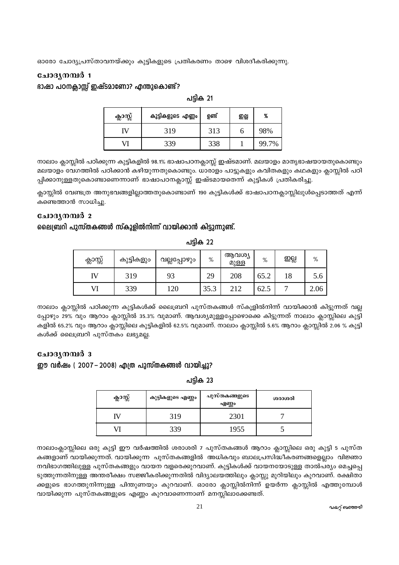ഓരോ ചോദ്യപ്രസ്താവനയ്ക്കും കുട്ടികളുടെ പ്രതികരണം താഴെ വിശദീകരിക്കുന്നു.

# ചോദൃനമ്പർ 1 ഭാഷാ പഠനക്ലാസ്സ് ഇഷ്ടമാണോ? എന്തുകൊണ്ട്?

പട്ടിക 21

| ക്ലാസ്സ് | കുട്ടികളുടെ എണ്ണം | ஹீ  | ഇല്ല | %     |
|----------|-------------------|-----|------|-------|
| ſV       | 319               | 313 |      | 98%   |
|          | 339               | 338 |      | 99.7% |

നാലാം ക്ലാസ്സിൽ പഠിക്കുന്ന കുട്ടികളിൽ 98.1% ഭാഷാപഠനക്ലാസ്സ് ഇഷ്ടമാണ്. മലയാളം മാതൃഭാഷയായതുകൊണ്ടും മലയാളം വേഗത്തിൽ പഠിക്കാൻ കഴിയുന്നതുകൊണ്ടും. ധാരാളം പാട്ടുകളും കവിതകളും കഥകളും ക്ലാസ്സിൽ പഠി പ്പിക്കാനുള്ളതുകൊണ്ടാണെന്നാണ് ഭാഷാപഠനക്ലാസ്സ് ഇഷ്ടമായതെന്ന് കുട്ടികൾ പ്രതികരിച്ചു.

ക്ലാസ്സിൽ വേണ്ടത്ര അനുഭവങ്ങളില്ലാത്തതുകൊണ്ടാണ് 190 കുട്ടികൾക്ക് ഭാഷാപഠനക്ലാസ്സിലുൾപ്പെടാത്തത് എന്ന് കണ്ടെത്താൻ സാധിച്ചു.

### ചോദൃനമ്പർ 2

#### ലൈബ്രറി പുസ്തകങ്ങൾ സ്കൂളിൽനിന്ന് വായിക്കാൻ കിട്ടുന്നുണ്ട്.

| ക്ലാസ്സ് | കുട്ടികളും | വല്ലപ്പോഴും | %    | ആവശ്യ<br>മുള്ള | %    | ഇല്ല | %    |
|----------|------------|-------------|------|----------------|------|------|------|
| IV       | 319        | 93          | 29   | 208            | 65.2 | 18   | 5.6  |
| VI       | 339        | 20          | 35.3 | 212            | 62.5 | ┍    | 2.06 |

പട്ടിക 22

നാലാം ക്ലാസ്സിൽ പഠിക്കുന്ന കുട്ടികൾക്ക് ലൈബ്രറി പുസ്തകങ്ങൾ സ്കൂളിൽനിന്ന് വായിക്കാൻ കിട്ടുന്നത് വല്ല പ്പോഴും 29% വും ആറാം ക്ലാസ്സിൽ 35.3% വുമാണ്. ആവശ്യമുള്ളപ്പോഴൊക്കെ കിട്ടുന്നത് നാലാം ക്ലാസ്സിലെ കുട്ടി കളിൽ 65.2% വും ആറാം ക്ലാസ്സിലെ കുട്ടികളിൽ 62.5% വുമാണ്. നാലാം ക്ലാസ്സിൽ 5.6% ആറാം ക്ലാസ്സിൽ 2.06 % കുട്ടി കൾക്ക് ലൈബ്രറി പുസ്തകം ലഭ്യമല്ല.

### ചോദൃനമ്പർ 3

#### ഈ വർഷം ( 2007–2008) എത്ര പുസ്തകങ്ങൾ വായിച്ചു?

പടിക 23

| ക്ലാസ്സ് | പുസ്തകങ്ങളുടെ<br>കുട്ടികളുടെ എണ്ണം<br>എണ്ണം |      | ശരാശരി |
|----------|---------------------------------------------|------|--------|
|          | 319                                         | 2301 |        |
|          | 339                                         | 1955 |        |

നാലാംക്ലാസ്സിലെ ഒരു കുട്ടി ഈ വർഷത്തിൽ ശരാശരി 7 പുസ്തകങ്ങൾ ആറാം ക്ലാസ്സിലെ ഒരു കുട്ടി 5 പുസ്ത കങ്ങളാണ് വായിക്കുന്നത്. വായിക്കുന്ന പുസ്തകങ്ങളിൽ അധികവും ബാലപ്രസിദ്ധീകരണങ്ങളെല്ലാം വിജ്ഞാ നവിഭാഗത്തിലുള്ള പുസ്തകങ്ങളും വായന വളരെക്കുറവാണ്. കുട്ടികൾക്ക് വായനയോടുള്ള താൽപര്യം മെച്ചപ്പെ ടുത്തുന്നതിനുള്ള അന്തരീക്ഷം സജ്ജീകരിക്കുന്നതിൽ വിദ്യാലയത്തിലും ക്ലാസ്സു മുറിയിലും കുറവാണ്. രക്ഷിതാ ക്കളുടെ ഭാഗത്തുനിന്നുള്ള പിന്തുണയും കുറവാണ്. ഓരോ ക്ലാസ്സിൽനിന്ന് ഉയർന്ന ക്ലാസ്സിൽ എത്തുമ്പോൾ വായിക്കുന്ന പുസ്തകങ്ങളുടെ എണ്ണം കുറവാണെന്നാണ് മനസ്സിലാക്കേണ്ടത്.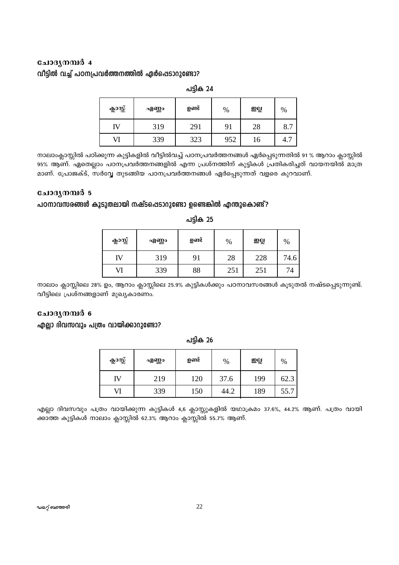# ചോദൃനമ്പർ 4 വീട്ടിൽ വച്ച് പഠനപ്രവർത്തനത്തിൽ ഏർപ്പെടാറുണ്ടോ?

|          |       | — J···· — · |     |    |     |
|----------|-------|-------------|-----|----|-----|
| ക്ലാസ്സ് | എണ്ണം | ഉണ്ട്       | %   | ஐ  | %   |
| IV       | 319   | 291         | 91  | 28 | 8.7 |
| VI       | 339   | 323         | 952 | 16 | —.  |

പടിക 24

നാലാംക്ലാസ്സിൽ പഠിക്കുന്ന കുട്ടികളിൽ വീട്ടിൽവച്ച് പഠനപ്രവർത്തനങ്ങൾ ഏർപ്പെടുന്നതിൽ 91 % ആറാം ക്ലാസ്സിൽ 95% ആണ്. ഏതെല്ലാം പഠനപ്രവർത്തനങ്ങളിൽ എന്ന പ്രശ്നത്തിന് കുട്ടികൾ പ്രതികരിച്ചത് വായനയിൽ മാത്ര മാണ്. പ്രോജക്ട്, സർവ്വേ തുടങ്ങിയ പഠനപ്രവർത്തനങ്ങൾ ഏർപ്പെടുന്നത് വളരെ കുറവാണ്.

### ചോദൃനമ്പർ 5

### പഠനാവസരങ്ങൾ കൂടുതലായി നഷ്ടപ്പെടാറുണ്ടോ ഉണ്ടെങ്കിൽ എന്തുകൊണ്ട്?

| ക്ലാസ്സ് | എണ്ണം | ഉണ്ട് | %   | ஐ்  | $\%$ |
|----------|-------|-------|-----|-----|------|
| īV       | 319   | 91    | 28  | 228 | 74.6 |
| VI       | 339   | 88    | 251 | 251 | 74   |

പട്ടിക 25

നാലാം ക്ലാസ്സിലെ 28% ഉം, ആറാം ക്ലാസ്സിലെ 25.9% കുട്ടികൾക്കും പഠനാവസരങ്ങൾ കൂടുതൽ നഷ്ടപ്പെടുന്നുണ്ട്. വീട്ടിലെ പ്രശ്നങ്ങളാണ് മുഖ്യകാരണം.

### ചോദൃനമ്പർ 6

### എല്ലാ ദിവസവും പത്രം വായിക്കാറുണ്ടോ?

| ക്ലാസ്സ് | എണ്ണം | ഉണ്ട് | %    | ஐ   | %    |
|----------|-------|-------|------|-----|------|
| IV       | 219   | 120   | 37.6 | 199 | 62.3 |
| VI       | 339   | 150   | 44.2 | 189 | 55.7 |

പട്ടിക 26

എല്ലാ ദിവസവും പത്രം വായിക്കുന്ന കുട്ടികൾ 4,6 ക്ലാസ്സുകളിൽ യഥാക്രമം 37.6%, 44.2% ആണ്. പത്രം വായി ക്കാത്ത കുട്ടികൾ നാലാം ക്ലാസ്സിൽ 62.3% ആറാം ക്ലാസ്സിൽ 55.7% ആണ്.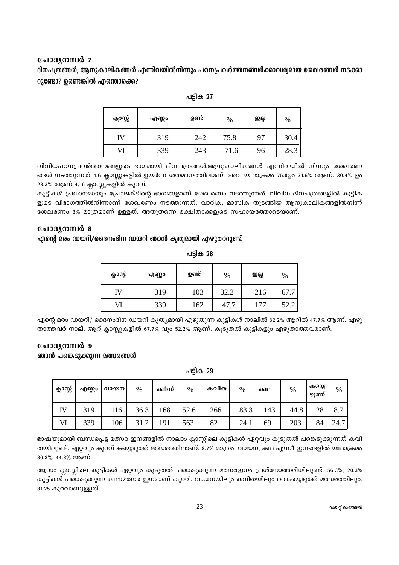### ചോദൃനമ്പർ 7

ദിനപത്രങ്ങൾ, ആനുകാലികങ്ങൾ എന്നിവയിൽനിന്നും പഠനപ്രവർത്തനങ്ങൾക്കാവശ്യമായ ശേഖരങ്ങൾ നടക്കാ റുണ്ടോ? ഉണ്ടെങ്കിൽ എന്തൊക്കെ?

| ക്ലാസ്സ് | എണ്ണം | ഉണ്ട് | %    | ஐ  | %    |
|----------|-------|-------|------|----|------|
| IV       | 319   | 242   | 75.8 | 97 | 30.4 |
| VI       | 339   | 243   | 71.6 | 96 | 28.3 |

പട്ടിക 27

വിവിധപഠനപ്രവർത്തനങ്ങളുടെ ഭാഗമായി ദിനപത്രങ്ങൾ,ആനുകാലികങ്ങൾ എന്നിവയിൽ നിന്നും ശേഖരണ ങ്ങൾ നടത്തുന്നത് 4,6 ക്ലാസ്സുകളിൽ ഉയർന്ന ശതമാനത്തിലാണ്. അവ യഥാക്രമം 75.8ഉം 71.6% ആണ്. 30.4% ഉം 28.3% ആണ് 4, 6 ക്ലാസ്സുകളിൽ കുറവ്.

കുട്ടികൾ പ്രധാനമായും പ്രോജക്ടിന്റെ ഭാഗങ്ങളാണ് ശേഖരണം നടത്തുന്നത്. വിവിധ ദിനപത്രങ്ങളിൽ കുട്ടിക ളുടെ വിഭാഗത്തിൽനിന്നാണ് ശേഖരണം നടത്തുന്നത്. വാരിക, മാസിക തുടങ്ങിയ ആനുകാലികങ്ങളിൽനിന്ന് ശേഖരണം 3% മാത്രമാണ് ഉള്ളത്. അതുതന്നെ രക്ഷിതാക്കളുടെ സഹായത്തോടെയാണ്.

### ചോദൃനമ്പർ 8

എന്റെ മരം ഡയറി/ദൈനംദിന ഡയറി ഞാൻ ക്വത്വമായി എഴുതാറുണ്ട്.

| ക്ലാസ്സ് | എണ്ണം | ഉണ്ട് | $\%$ | ஐ்  | %    |
|----------|-------|-------|------|-----|------|
| IV       | 319   | 103   | 32.2 | 216 | 67.7 |
| VI       | 339   | 162   | 47.7 | 177 | 52.2 |

പടിക 28

എന്റെ മരം ഡയറി/ ദൈനംദിന ഡയറി കൃത്യമായി എഴുതുന്ന കൂട്ടികൾ നാലിൽ 32.2% ആറിൽ 47.7% ആണ്. എഴു താത്തവർ നാല്, ആറ് ക്ലാസ്സുകളിൽ 67.7% വും 52.2% ആണ്. കൂടുതൽ കുട്ടികളും എഴുതാത്തവരാണ്.

### ചോദൃനമ്പർ 9 ഞാൻ പങ്കെടുക്കുന്ന മത്സരങ്ങൾ

പട്ടിക 29

| ക്ലാസ്സ് | എണ്ണം | വായന | $\%$ | കിസ് | $\%$ | കവിത | %    | கம  | $\%$ | கல்<br>ഴുത്ത് | $\%$ |
|----------|-------|------|------|------|------|------|------|-----|------|---------------|------|
| IV       | 319   | 116  | 36.3 | 168  | 52.6 | 266  | 83.3 | 143 | 44.8 | 28            | 8.7  |
| VI       | 339   | 106  | 31.2 | 191  | 563  | 82   | 24.1 | 69  | 203  | 84            | 24.7 |

ഭാഷയുമായി ബന്ധപ്പെട്ട മത്സര ഇനങ്ങളിൽ നാലാം ക്ലാസ്സിലെ കുട്ടികൾ ഏറ്റവും കൂടുതൽ പങ്കെടുക്കുന്നത് കവി തയിലുണ്ട്. ഏറ്റവും കുറവ് കയ്യെഴുത്ത് മത്സരത്തിലാണ്. 8.7% മാത്രം. വായന, കഥ എന്നീ ഇനങ്ങളിൽ യഥാക്രമം 36.3%, 44.8% ആണ്.

ആറാം ക്ലാസ്സിലെ കുട്ടികൾ ഏറ്റവും കൂടുതൽ പങ്കെടുക്കുന്ന മത്സരഇനം പ്രശ്നോത്തരിയിലുണ്ട്. 56.3%, 20.3% കുട്ടികൾ പങ്കെടുക്കുന്ന കഥാമത്സര ഇനമാണ് കുറവ്. വായനയിലും കവിതയിലും കൈയ്യെഴുത്ത് മത്സരത്തിലും. 31.25 കുറവാണുള്ളത്.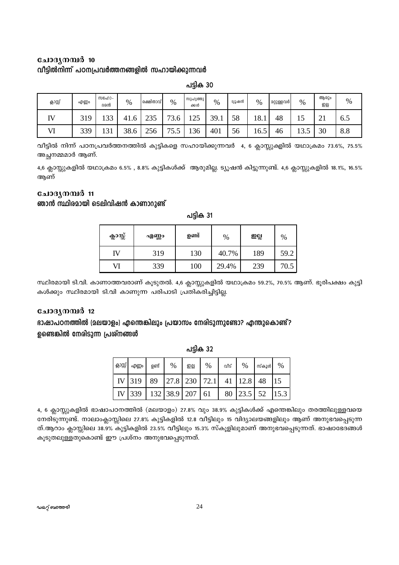# ചോദൃനമ്പർ 10 വീട്ടിൽനിന്ന് പഠനപ്രവർത്തനങ്ങളിൽ സഹായിക്കുന്നവർ

| ക്ലാസ്സ് | എണ്ണം      | സഹോ-<br>ദരൻ | %         | രക്ഷിതാവ് | %                   | സുഹൃത്തു<br>ക്കൾ                 | %    | ട്വൂഷൻ | %                      | മറ്റുള്ളവർ | %        | ആരും<br>உல | $\%$ |
|----------|------------|-------------|-----------|-----------|---------------------|----------------------------------|------|--------|------------------------|------------|----------|------------|------|
| IV       | Q<br>ر د ب | 133         | 41<br>. 0 | 235       | $\mathbf{z}$<br>3.0 | $\cap \subset$<br>$\overline{2}$ | 39.1 | 58     | $\Omega$<br>$\cdot$ 0. | 48         | ⊥J       | ∠⊥         | 6.5  |
| VI       | 339        | 131         | 38.6      | 256       | 75.5                | 36                               | 401  | 56     | $\overline{ }$<br>.6.J | 46         | ⌒<br>ن.ر | 30         | 8.8  |

പട്ടിക 30

വീട്ടിൽ നിന്ന് പഠനപ്രവർത്തനത്തിൽ കുട്ടികളെ സഹായിക്കുന്നവർ 4, 6 ക്ലാസ്റ്റുകളിൽ യഥാക്രമം 73.6%, 75.5% അച്ഛനമ്മമാർ ആണ്.

4,6 ക്ലാസ്സുകളിൽ യഥാക്രമം 6.5% , 8.8% കുട്ടികൾക്ക് ആരുമില്ല. ട്യൂഷൻ കിട്ടുന്നുണ്ട്. 4,6 ക്ലാസ്സുകളിൽ 18.1%, 16.5% അണ്

### ചോദൃനമ്പർ 11

ഞാൻ സ്ഥിരമായി ടെലിവിഷൻ കാണാറുണ്ട്

പട്ടിക 31

| ക്ലാസ്സ് | എണ്ണം | ഉണ്ട് | $\%$  | ஐ்  | %    |
|----------|-------|-------|-------|-----|------|
| IV       | 319   | 130   | 40.7% | 189 | 59.2 |
| VI       | 339   | 100   | 29.4% | 239 | 70.5 |

സ്ഥിരമായി ടി.വി. കാണാത്തവരാണ് കൂടുതൽ. 4,6 ക്ലാസ്റ്റുകളിൽ യഥാക്രമം 59.2%, 70.5% ആണ്. ഭൂരിപക്ഷം കുട്ടി കൾക്കും സ്ഥിരമായി ടി.വി കാണുന്ന പരിപാടി പ്രതികരിച്ചിട്ടില്ല.

### ചോദൃനമ്പർ 12

# ഭാഷാപഠനത്തിൽ (മലയാളം) എന്തെങ്കിലും പ്രയാസം നേരിടുന്നുണ്ടോ? എന്തുകൊണ്ട്? ഉണ്ടെങ്കിൽ നേരിടുന്ന പ്രശ്നങ്ങൾ

| ஓ்.<br>இ | എണ്ണം                                    | ഉണ്ട് | $\%$     | ഇല്ല | %                                          | വീട് | $\%$           | സ്കൂൾ | $\%$ |
|----------|------------------------------------------|-------|----------|------|--------------------------------------------|------|----------------|-------|------|
|          | IV 319                                   | 89    |          |      | $\left[27.8\right]230$ $\left[72.1\right]$ | 41   | $ 12.8\rangle$ |       |      |
| IV       | $\begin{array}{c} \n 339 \n \end{array}$ |       | 132 38.9 | 207  | 61                                         | 80   | 23.5           | 52    |      |

പട്ടിക 32

4, 6 ക്ലാസ്സുകളിൽ ഭാഷാപഠനത്തിൽ (മലയാളം) 27.8% വും 38.9% കുട്ടികൾക്ക് എന്തെങ്കിലും തരത്തിലുള്ളവയെ നേരിടുന്നുണ്ട്. നാലാംക്ലാസ്സിലെ 27.8% കുട്ടികളിൽ 12.8 വീട്ടിലും 15 വിദ്യാലയങ്ങളിലും ആണ് അനുഭവപ്പെടുന്ന ത്.ആറാം ക്ലാസ്സിലെ 38.9% കുട്ടികളിൽ 23.5% വീട്ടിലും 15.3% സ്കൂളിലുമാണ് അനുഭവപ്പെടുന്നത്. ഭാഷാഭേദങ്ങൾ കൂടുതലുള്ളതുകൊണ്ട് ഈ പ്രശ്നം അനുഭവപ്പെടുന്നത്.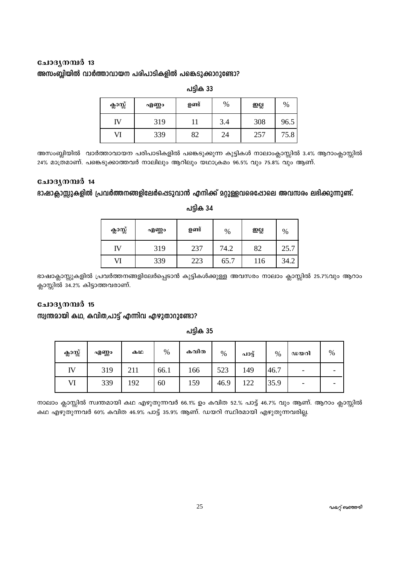# ചോദൃനമ്പർ 13 അസംബ്ലിയിൽ വാർത്താവായന പരിപാടികളിൽ പങ്കെടുക്കാറുണ്ടോ?

| ക്ലാസ്സ് | എണ്ണം | ഉണ്ട് | $\%$ | ஐ   | %    |
|----------|-------|-------|------|-----|------|
| IV       | 319   |       | 3.4  | 308 | 96.5 |
| VI       | 339   | 82    | 24   | 257 | 75.8 |

പട്ടിക 33

അസംബ്ലിയിൽ വാർത്താവായന പരിപാടികളിൽ പങ്കെടുക്കുന്ന കുട്ടികൾ നാലാംക്ലാസ്സിൽ 3.4% ആറാംക്ലാസ്സിൽ 24% മാത്രമാണ്. പങ്കെടുക്കാത്തവർ നാലിലും ആറിലും യഥാക്രമം 96.5% വും 75.8% വും ആണ്.

### ചോദൃനമ്പർ 14

# ഭാഷാക്ലാസ്സുകളിൽ പ്രവർത്തനങ്ങളിലേർപ്പെടുവാൻ എനിക്ക് മറ്റുള്ളവരെപ്പോലെ അവസരം ലഭിക്കുന്നുണ്ട്.

| ക്ലാസ്സ് | എണ്ണം | ഉണ്ട് | $\%$ | ஐ்  | %    |
|----------|-------|-------|------|-----|------|
| IV       | 319   | 237   | 74.2 | 82  | 25.7 |
| VI       | 339   | 223   | 65.7 | 116 |      |

പട്ടിക 34

ഭാഷാക്ലാസ്സുകളിൽ പ്രവർത്തനങ്ങളിലേർപ്പെടാൻ കുട്ടികൾക്കുള്ള അവസരം നാലാം ക്ലാസ്സിൽ 25.7%വും ആറാം ക്ലാസ്സിൽ 34.2% കിട്ടാത്തവരാണ്.

### ചോദൃനമ്പർ 15

### സ്വന്തമായി കഥ, കവിത,പാട്ട് എന്നിവ എഴുതാറുണ്ടോ?

പടിക 35

| ക്ലാസ്സ് | എണ്ണം | கம  | $\%$ | കവിത | $\%$ | പാട്ട് | %    | ഡയറി | $\%$ |
|----------|-------|-----|------|------|------|--------|------|------|------|
| IV       | 319   | 211 | 66.1 | 166  | 523  | 149    | 46.7 | -    |      |
| VI       | 339   | 192 | 60   | 159  | 46.9 | 122    | 35.9 | -    |      |

നാലാം ക്ലാസ്സിൽ സ്വന്തമായി കഥ എഴുതുന്നവർ 66.1% ഉം കവിത 52.% പാട്ട് 46.7% വും ആണ്. ആറാം ക്ലാസ്സിൽ കഥ എഴുതുന്നവർ 60% കവിത 46.9% പാട്ട് 35.9% ആണ്. ഡയറി സ്ഥിരമായി എഴുതുന്നവരില്ല.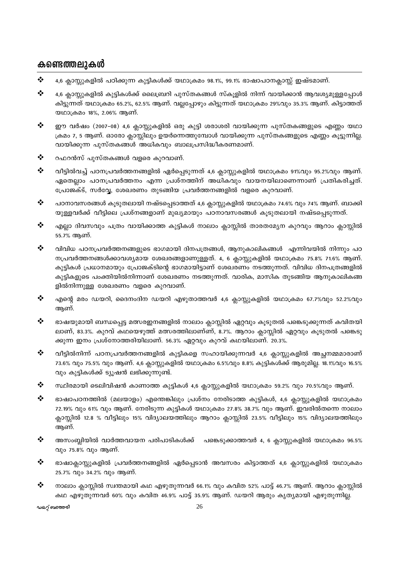# കണ്ടെത്തലുകൾ

- $\frac{1}{2}$ 4,6 കാസ്കുകളിൽ പഠിക്കുന്ന കുട്ടികൾക്ക് യഥാക്രമം 98.1%, 99.1% ഭാഷാപഠനകാസ് ഇഷ്ടമാണ്.
- $\frac{1}{2}$ 4,6 ക്ലാസ്റ്റുകളിൽ കുട്ടികൾക്ക് ലൈബ്രറി പുസ്തകങ്ങൾ സ്കുളിൽ നിന്ന് വായിക്കാൻ ആവശ്യമുള്ളപ്പോൾ കിട്ടുന്നത് യഥാക്രമം 65.2%, 62.5% ആണ്. വല്ലപ്പോഴും കിട്ടുന്നത് യഥാക്രമം 29%വും 35.3% ആണ്. കിട്ടാത്തത് യഥാക്രമം 18%, 2.06% ആണ്.
- $\frac{1}{2}$ ഈ വർഷം (2007–08) 4,6 ക്ലാസ്സുകളിൽ ഒരു കുട്ടി ശരാശരി വായിക്കുന്ന പുസ്തകങ്ങളുടെ എണ്ണം യഥാ ക്രമം 7, 5 ആണ്. ഓരോ ക്ലാസ്സിലും ഉയർന്നെത്തുമ്പോൾ വായിക്കുന്ന പുസ്തകങ്ങളുടെ എണ്ണം കൂട്ടുന്നില്ല. വായിക്കുന്ന പുസ്തകങ്ങൾ അധികവും ബാലപ്രസിദ്ധീകരണമാണ്.
- $\bullet^{\bullet}_{\bullet} \bullet$ റഫറൻസ് പുസ്തകങ്ങൾ വളരെ കുറവാണ്.
- $\frac{1}{2}$ വീട്ടിൽവച്ച് പഠനപ്രവർത്തനങ്ങളിൽ ഏർപ്പെടുന്നത് 4,6 ക്ലാസ്സുകളിൽ യഥാക്രമം 91%വും 95.2%വും ആണ്. ഏതെല്ലാം പഠനപ്രവർത്തനം എന്ന പ്രശ്നത്തിന് അധികവും വായനയിലാണെന്നാണ് പ്രതികരിച്ചത്. പ്രോജക്ട്, സർവ്വേ, ശേഖരണം തുടങ്ങിയ പ്രവർത്തനങ്ങളിൽ വളരെ കുറവാണ്.
- $\frac{1}{2}$ പഠനാവസരങ്ങൾ കൂടുതലായി നഷ്ടപ്പെടാത്തത് 4,6 ക്ലാസ്റ്റുകളിൽ യഥാക്രമം 74.6% വും 74% ആണ്. ബാക്കി യുള്ളവർക്ക് വീട്ടിലെ പ്രശ്നങ്ങളാണ് മുഖ്യമായും പഠനാവസരങ്ങൾ കുടുതലായി നഷ്ടപ്പെടുന്നത്.
- $\frac{1}{2}$ എല്ലാ ദിവസവും പത്രം വായിക്കാത്ത കുട്ടികൾ നാലാം ക്ലാസ്സിൽ താരതമ്യേന കുറവും ആറാം ക്ലാസ്സിൽ 55.7% അണ്.
- $\cdot$ വിവിധ പഠനപ്രവർത്തനങ്ങളുടെ ഭാഗമായി ദിനപത്രങ്ങൾ, ആനുകാലികങ്ങൾ എന്നിവയിൽ നിന്നും പഠ നപ്രവർത്തനങ്ങൾക്കാവശ്യമായ ശേഖരങ്ങളാണുള്ളത്. 4, 6 ക്ലാസ്സുകളിൽ യഥാക്രമം 75.8% 71.6% ആണ്. കുട്ടികൾ പ്രധാനമായും പ്രോജക്ടിന്റെ ഭാഗമായിട്ടാണ് ശേഖരണം നടത്തുന്നത്. വിവിധ ദിനപത്രങ്ങളിൽ കുട്ടികളുടെ പംക്തിയിൽനിന്നാണ് ശേഖരണം നടത്തുന്നത്. വാരിക, മാസിക തുടങ്ങിയ ആനുകാലികങ്ങ ളിൽനിന്നുള്ള ശേഖരണം വളരെ കുറവാണ്.
- $\frac{1}{2}$ എന്റെ മരം ഡയറി, ദൈനംദിന ഡയറി എഴുതാത്തവർ 4,6 ക്ലാസ്സുകളിൽ യഥാക്രമം 67.7%വും 52.2%വും ആണ്.
- $\frac{1}{2}$ ഭാഷയുമായി ബന്ധപ്പെട്ട മത്സരഇനങ്ങളിൽ നാലാം ക്ലാസ്സിൽ ഏറ്റവും കൂടുതൽ പങ്കെടുക്കുന്നത് കവിതയി ലാണ്, 83.3%. കുറവ് കഥയെഴുത്ത് മത്സരത്തിലാണ്ണ്, 8.7%. ആറാം ക്ലാസ്സിൽ ഏറ്റവും കൂടുതൽ പങ്കെടു ക്കുന്ന ഇനം പ്രശ്നോത്തരിയിലാണ്. 56.3% ഏറ്റവും കുറവ് കഥയിലാണ്. 20.3%.
- $\bullet^*_{\mathcal{A}}$ വീട്ടിൽനിന്ന് പഠനപ്രവർത്തനങ്ങളിൽ കുട്ടികളെ സഹായിക്കുന്നവർ 4,6 ക്ലാസ്സുകളിൽ അച്ഛനമ്മമാരാണ് 73.6% വും 75.5% വും ആണ്. 4,6 ക്ലാസ്സുകളിൽ യഥാക്രമം 6.5%വും 8.8% കുട്ടികൾക്ക് ആരുമില്ല. 18.1%വും 16.5% വും കൂട്ടികൾക്ക് ട്യൂഷൻ ലഭിക്കുന്നുണ്ട്.
- $\frac{1}{2}$ സ്ഥിരമായി ടെലിവിഷൻ കാണാത്ത കുട്ടികൾ 4,6 ക്ലാസ്സുകളിൽ യഥാക്രമം 59.2% വും 70.5%വും ആണ്.
- ❖ ഭാഷാപഠനത്തിൽ (മലയാളം) എന്തെങ്കിലും പ്രശ്നം നേരിടാത്ത കുട്ടികൾ, 4,6 ക്ലാസ്സുകളിൽ യഥാക്രമം 72.19% വും 61% വും ആണ്. നേരിടുന്ന കൂട്ടികൾ യഥാക്രമം 27.8% 38.7% വും ആണ്. ഇവരിൽതന്നെ നാലാം ക്ലാസ്സിൽ 12.8 % വീട്ടിലും 15% വിദ്യാലയത്തിലും ആറാം ക്ലാസ്സിൽ 23.5% വീട്ടിലും 15% വിദ്യാലയത്തിലും അണ്.
- $\frac{1}{2}$ അസംബ്ലിയിൽ വാർത്തവായന പരിപാടികൾക്ക് പങ്കെടുക്കാത്തവർ 4, 6 ക്ലാസ്സുകളിൽ യഥാക്രമം 96.5% വും 75.8% വും ആണ്.
- $\boldsymbol{\cdot}$ ഭാഷാക്ലാസ്സുകളിൽ പ്രവർത്തനങ്ങളിൽ ഏർപ്പെടാൻ അവസരം കിട്ടാത്തത് 4,6 ക്ലാസ്സുകളിൽ യഥാക്രമം 25.7% വും 34.2% വും ആണ്.
- $\frac{1}{2}$ നാലാം ക്ലാസ്സിൽ സ്ഥതമായി കഥ എഴുതുന്നവർ 66.1% വും കവിത 52% പാട്ട് 46.7% ആണ്. ആറാം ക്ലാസ്സിൽ കഥ എഴുതുന്നവർ 60% വും കവിത 46.9% പാട്ട് 35.9% ആണ്. ഡയറി ആരും കൃത്യമായി എഴുതുന്നില്ല.

**ഡ**കറ്റ് ബത്തേരി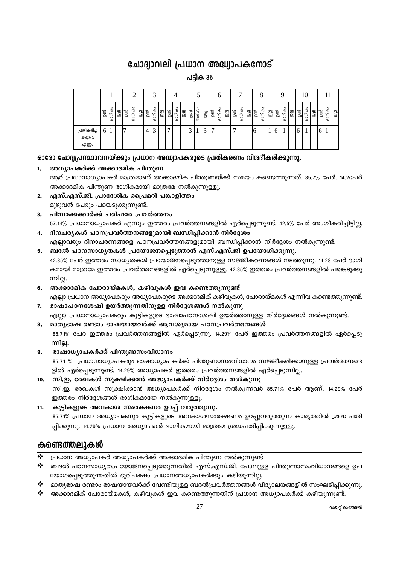# ്ചോദ്വാവലി പ്രധാന അദ്ധ്വാപകനോട്

പടിക 36

|                                                                                     |                                                                                                               |     | $\mathbf{1}$ |  |               | $\overline{2}$ |    |                | 3      |               |   | 4      |  |                      | 5            |                |                | 6      |               | $\boldsymbol{7}$ |                      | 8      |                         |               | 9            |           |   | 10           |                                                    |               | 11     |         |
|-------------------------------------------------------------------------------------|---------------------------------------------------------------------------------------------------------------|-----|--------------|--|---------------|----------------|----|----------------|--------|---------------|---|--------|--|----------------------|--------------|----------------|----------------|--------|---------------|------------------|----------------------|--------|-------------------------|---------------|--------------|-----------|---|--------------|----------------------------------------------------|---------------|--------|---------|
|                                                                                     |                                                                                                               | бщ  | ദാഗിക        |  | $\frac{1}{2}$ | ദാഗികം         | මූ | $\frac{1}{2}$  | ദാഗികം | $\frac{2}{2}$ |   | ദാഗികം |  | $\frac{2}{\sqrt{2}}$ | ദാഗികം       | $\boxplus$     | ഉണ്ട്          | ദാഗികം | $\frac{2}{2}$ | ദാഗികം           | $\frac{2}{\sqrt{2}}$ | ദാഗികം | $\overline{\mathbb{B}}$ | $\frac{1}{2}$ | ദാഗികം       | <b>as</b> |   | ദാഗികം       | $\begin{array}{ c } \hline \mathbb{B} \end{array}$ | $\frac{1}{2}$ | ദാഗികം | a<br> a |
|                                                                                     | പ്രതികരിച്ച<br>വരുടെ<br>എണ്ണം                                                                                 | 6 1 |              |  | 7             |                |    | $\overline{4}$ | 3      |               | 7 |        |  | 3                    | $\mathbf{1}$ | $\overline{3}$ | $\overline{7}$ |        | 7             |                  | 6                    |        | 1 6                     |               | $\mathbf{1}$ |           | 6 | $\mathbf{1}$ |                                                    | 6 1           |        |         |
|                                                                                     | ാ ചോദ്വപ്രസ്ഥാവനയ്ക്കും പ്രധാന അദ്ധ്വാപകരുടെ പ്രതികരണം വിരദീകരിക്കുന്നു.                                      |     |              |  |               |                |    |                |        |               |   |        |  |                      |              |                |                |        |               |                  |                      |        |                         |               |              |           |   |              |                                                    |               |        |         |
|                                                                                     | അധ്യാപകർക്ക് അക്കാദമിക പിന്തുണ                                                                                |     |              |  |               |                |    |                |        |               |   |        |  |                      |              |                |                |        |               |                  |                      |        |                         |               |              |           |   |              |                                                    |               |        |         |
|                                                                                     | ആറ് പ്രധാനാധ്യാപകർ മാത്രമാണ് അക്കാദമിക പിന്തുണയ്ക്ക് സമയം കണ്ടെത്തുന്നത്. 85.7% പേർ.                          |     |              |  |               |                |    |                |        |               |   |        |  |                      |              |                |                |        |               |                  |                      |        |                         |               |              |           |   |              |                                                    |               |        |         |
|                                                                                     | <mark>അക്കാദമിക പിന്തുണ ഭാഗികമായി മാത്രമേ ന</mark> ൽകുന്നുള്ളൂ.                                               |     |              |  |               |                |    |                |        |               |   |        |  |                      |              |                |                |        |               |                  |                      |        |                         |               |              |           |   |              |                                                    |               |        |         |
|                                                                                     | എസ്.എസ്.ജി. പ്രാദേശിക പ്രൈമറി പങ്കാളിത്തം                                                                     |     |              |  |               |                |    |                |        |               |   |        |  |                      |              |                |                |        |               |                  |                      |        |                         |               |              |           |   |              |                                                    |               |        |         |
|                                                                                     | മുഴുവൻ പേരും പങ്കെടുക്കുന്നുണ്ട്.<br>പിന്നാക്കക്കാർക്ക് പരിഹാര പ്രവർത്തനം                                     |     |              |  |               |                |    |                |        |               |   |        |  |                      |              |                |                |        |               |                  |                      |        |                         |               |              |           |   |              |                                                    |               |        |         |
|                                                                                     | 57.14% പ്രധാനാധ്യാപകർ എന്നും ഇത്തരം പ്രവർത്തനങ്ങളിൽ ഏർപ്പെടുന്നുണ്ട്. 42.5% പേർ അംഗീക                         |     |              |  |               |                |    |                |        |               |   |        |  |                      |              |                |                |        |               |                  |                      |        |                         |               |              |           |   |              |                                                    |               |        |         |
|                                                                                     |                                                                                                               |     |              |  |               |                |    |                |        |               |   |        |  |                      |              |                |                |        |               |                  |                      |        |                         |               |              |           |   |              |                                                    |               |        |         |
|                                                                                     | ദിനചര്യകൾ പഠനപ്രവർത്തനങ്ങളുമായി ബന്ധിപ്പിക്കാൻ നിർദ്ദേശം                                                      |     |              |  |               |                |    |                |        |               |   |        |  |                      |              |                |                |        |               |                  |                      |        |                         |               |              |           |   |              |                                                    |               |        |         |
| എല്ലാവരും ദിനാചരണങ്ങളെ പഠനപ്രവർത്തനങ്ങളുമായി ബന്ധിപ്പിക്കാൻ നിർദ്ദേശം നൽകുന്നുണ്ട്. |                                                                                                               |     |              |  |               |                |    |                |        |               |   |        |  |                      |              |                |                |        |               |                  |                      |        |                         |               |              |           |   |              |                                                    |               |        |         |
|                                                                                     | മ്പദൽ പഠനസാധ്യതകൾ പ്രയോജനപ്പെടുത്താൻ എസ്.എസ്.ജി ഉപയോഗിക്കുന്നു.                                               |     |              |  |               |                |    |                |        |               |   |        |  |                      |              |                |                |        |               |                  |                      |        |                         |               |              |           |   |              |                                                    |               |        |         |
|                                                                                     | i2.85% പേർ ഇത്തരം സാധ്യതകൾ പ്രയോജനപ്പെടുത്താനുള്ള സജ്ജീകരണങ്ങൾ നടത്തുന്നു. 14.28 േ                            |     |              |  |               |                |    |                |        |               |   |        |  |                      |              |                |                |        |               |                  |                      |        |                         |               |              |           |   |              |                                                    |               |        |         |
|                                                                                     | കമായി മാത്രമേ ഇത്തരം പ്രവർത്തനങ്ങളിൽ ഏർപ്പെടുന്നുള്ളൂ. 42.85% ഇത്തരം പ്രവർത്തനങ്ങളിൽ പ $\epsilon$             |     |              |  |               |                |    |                |        |               |   |        |  |                      |              |                |                |        |               |                  |                      |        |                         |               |              |           |   |              |                                                    |               |        |         |
| നില്ല.                                                                              |                                                                                                               |     |              |  |               |                |    |                |        |               |   |        |  |                      |              |                |                |        |               |                  |                      |        |                         |               |              |           |   |              |                                                    |               |        |         |
|                                                                                     | അക്കാദമിക പോരായ്മകൾ, കഴിവുകൾ ഇവ കണ്ടെത്തുന്നുണ്ട <mark>്</mark>                                               |     |              |  |               |                |    |                |        |               |   |        |  |                      |              |                |                |        |               |                  |                      |        |                         |               |              |           |   |              |                                                    |               |        |         |
|                                                                                     | എല്ലാ പ്രധാന അധ്യാപകരും അധ്യാപകരുടെ അക്കാദമിക് കഴിവുകൾ, പോരായ്മകൾ എന്ന <mark>ിവ</mark> കണ്ടെത് <mark>ന</mark> |     |              |  |               |                |    |                |        |               |   |        |  |                      |              |                |                |        |               |                  |                      |        |                         |               |              |           |   |              |                                                    |               |        |         |
|                                                                                     | ഭാഷാപഠനശേഷി ഉയർത്തുന്നതിനുള്ള നിർദ്ദേശങ്ങൾ നൽകുന്നു                                                           |     |              |  |               |                |    |                |        |               |   |        |  |                      |              |                |                |        |               |                  |                      |        |                         |               |              |           |   |              |                                                    |               |        |         |
|                                                                                     | എല്ലാ പ്രധാനാധ്യാപകരും കുട്ടികളുടെ ഭാഷാപഠനശേഷി ഉയർത്താനുള്ള നിർദ്ദേശങ്ങൾ നൽകുന്നു                             |     |              |  |               |                |    |                |        |               |   |        |  |                      |              |                |                |        |               |                  |                      |        |                         |               |              |           |   |              |                                                    |               |        |         |
|                                                                                     | മാതൃഭാഷ രണ്ടാം ഭാഷയായവർക്ക് ആവശ്യമായ പഠനപ്രവർത്തനങ്ങൾ                                                         |     |              |  |               |                |    |                |        |               |   |        |  |                      |              |                |                |        |               |                  |                      |        |                         |               |              |           |   |              |                                                    |               |        |         |
|                                                                                     | 85.71% പേർ ഇത്തരം പ്രവർത്തനങ്ങളിൽ ഏർപ്പെടുന്നു. 14.29% പേർ ഇത്തരം പ്രവർത്തനങ്ങളിൽ $\epsilon$                  |     |              |  |               |                |    |                |        |               |   |        |  |                      |              |                |                |        |               |                  |                      |        |                         |               |              |           |   |              |                                                    |               |        |         |
| ന്നില്ല.                                                                            |                                                                                                               |     |              |  |               |                |    |                |        |               |   |        |  |                      |              |                |                |        |               |                  |                      |        |                         |               |              |           |   |              |                                                    |               |        |         |
|                                                                                     | ഭാഷാധ്യാപകർക്ക് പിന്തുണസംവിധാനം                                                                               |     |              |  |               |                |    |                |        |               |   |        |  |                      |              |                |                |        |               |                  |                      |        |                         |               |              |           |   |              |                                                    |               |        |         |
|                                                                                     | 85.71 % പ്രധാനാധ്യാപകരും ഭാഷാധ്യാപകർക്ക് പിന്തുണാസംവിധാനം സജ്ജീകരിക്കാനുള്ള പ്രവർ                             |     |              |  |               |                |    |                |        |               |   |        |  |                      |              |                |                |        |               |                  |                      |        |                         |               |              |           |   |              |                                                    |               |        |         |
|                                                                                     | ളിൽ ഏർപ്പെടുന്നുണ്ട്. 14.29% അധ്യാപകർ ഇത്തരം പ്രവർത്തനങ്ങളിൽ ഏർപ്പെടുന്നില്ല.                                 |     |              |  |               |                |    |                |        |               |   |        |  |                      |              |                |                |        |               |                  |                      |        |                         |               |              |           |   |              |                                                    |               |        |         |
|                                                                                     | സി.ഇ. രേഖകൾ സൂക്ഷിക്കാൻ അദ്ധ്യാപകർക്ക് നിർദ്ദേശം നൽകുന്നു                                                     |     |              |  |               |                |    |                |        |               |   |        |  |                      |              |                |                |        |               |                  |                      |        |                         |               |              |           |   |              |                                                    |               |        |         |
|                                                                                     | സി.ഇ. രേഖകൾ സൂക്ഷിക്കാൻ അധ്യാപകർക്ക് നിർദ്ദേശം നൽകുന്നവർ 85.71% പേർ ആണ്. 14.2                                 |     |              |  |               |                |    |                |        |               |   |        |  |                      |              |                |                |        |               |                  |                      |        |                         |               |              |           |   |              |                                                    |               |        |         |
|                                                                                     | ഇത്തരം നിർദ്ദേശങ്ങൾ ഭാഗികമായേ നൽകുന്നുള്ളൂ.                                                                   |     |              |  |               |                |    |                |        |               |   |        |  |                      |              |                |                |        |               |                  |                      |        |                         |               |              |           |   |              |                                                    |               |        |         |
|                                                                                     | കുട്ടികളുടെ അവകാശ സംരക്ഷണം ഉറപ്പ് വരുത്തുന്നു.                                                                |     |              |  |               |                |    |                |        |               |   |        |  |                      |              |                |                |        |               |                  |                      |        |                         |               |              |           |   |              |                                                    |               |        |         |
|                                                                                     | 85.71% പ്രധാന അധ്യാപകനും കുട്ടികളുടെ അവകാശസംരക്ഷണം ഉറപ്പുവരുത്തുന്ന കാര്യത്തിൽ ശ്ര                            |     |              |  |               |                |    |                |        |               |   |        |  |                      |              |                |                |        |               |                  |                      |        |                         |               |              |           |   |              |                                                    |               |        |         |
|                                                                                     | പിക്കുന്നു. 14.29% പ്രധാന അധ്യാപകർ ഭാഗികമായി മാത്രമേ ശ്രദ്ധപതിപിക്കുന്നുള്ളു.                                 |     |              |  |               |                |    |                |        |               |   |        |  |                      |              |                |                |        |               |                  |                      |        |                         |               |              |           |   |              |                                                    |               |        |         |

### ്കാരോ ചോ<u>ദ്വപ്രസ്ഥാവനയ്ക്കും പ്ര</u>ധാന അദ്ധ്വാപകരുടെ പ്രതികരണം വിശദീകരിക്കുന്നു.

### 1. അധ്യാപകർക്ക് അക്കാദമിക പിന്തുണ

ആറ് പ്രധാനാധ്യാപകർ മാത്രമാണ് അക്കാദമിക പിന്തുണയ്ക്ക് സമയം കണ്ടെത്തുന്നത്. 85.7% പേർ. 14.2പേർ അക്കാദമിക പിന്തുണ ഭാഗികമായി മാത്രമേ നൽകുന്നുള്ളു.

- 2. എസ്.എസ്.ജി. പ്രാദേശിക പ്രൈമറി പങ്കാളിത്തം മുഴുവൻ പേരും പങ്കെടുക്കുന്നുണ്ട്.
- 3. പിന്നാക്കക്കാർക്ക് പരിഹാര പ്രവർത്തനം 57.14% പ്രധാനാധ്യാപകർ എന്നും ഇത്തരം പ്രവർത്തനങ്ങളിൽ ഏർപ്പെടുന്നുണ്ട്. 42.5% പേർ അംഗീകരിച്ചിട്ടില്ല.
- 4. ദിനചര്യകൾ പഠനപ്രവർത്തനങ്ങളുമായി ബന്ധിപ്പിക്കാൻ നിർദ്ദേശം എല്ലാവരും ദിനാചരണങ്ങളെ പഠനപ്രവർത്തനങ്ങളുമായി ബന്ധിപ്പിക്കാൻ നിർദ്ദേശം നൽകുന്നുണ്ട്.
- **5. \_Z¬ ]T-\-km-[y-X-Iƒ {]tbm-P-\-s∏-Sp-Øm≥ Fkv.Fkv.Pn D]-tbm-Kn-°p∂p.** 42.85% പേർ ഇത്തരം സാധ്യതകൾ പ്രയോജനപ്പെടുത്താനുള്ള സജ്ജീകരണങ്ങൾ നടത്തുന്നു. 14.28 പേർ ഭാഗി കമായി മാത്രമേ ഇത്തരം പ്രവർത്തനങ്ങളിൽ ഏർപ്പെടുന്നുള്ളൂ. 42.85% ഇത്തരം പ്രവർത്തനങ്ങളിൽ പങ്കെടുക്കു ന്നില്ല.
- 6. അക്കാദമിക പോരായ്മകൾ, കഴിവുകൾ ഇവ കണ്ടെത്തുന്നുണ്ട്

എല്ലാ പ്രധാന അധ്യാപകരും അധ്യാപകരുടെ അക്കാദമിക് കഴിവുകൾ, പോരായ്മകൾ എന്നിവ കണ്ടെത്തുന്നുണ്ട്. 7. ഭാഷാപഠനശേഷി ഉയർത്തുന്നതിനുള്ള നിർദ്ദേശങ്ങൾ നൽകുന്നു

എല്ലാ പ്രധാനാധ്യാപകരും കുട്ടികളുടെ ഭാഷാപഠനശേഷി ഉയർത്താനുള്ള നിർദ്ദേശങ്ങൾ നൽകുന്നുണ്ട്.

8. മാതൃഭാഷ രണ്ടാം ഭാഷയായവർക്ക് ആവശ്യമായ പഠനപ്രവർത്തനങ്ങൾ 85.71% പേർ ഇത്തരം പ്രവർത്തനങ്ങളിൽ ഏർപ്പെടുന്നു. 14.29% പേർ ഇത്തരം പ്രവർത്തനങ്ങളിൽ ഏർപ്പെടു ന്നില്ല.

9. ഭാഷാധ്യാപകർക്ക് പിന്തുണസംവിധാനം

85.71 % പ്രധാനാധ്യാപകരും ഭാഷാധ്യാപകർക്ക് പിന്തുണാസംവിധാനം സജ്ജീകരിക്കാനുള്ള പ്രവർത്തനങ്ങ ളിൽ ഏർപ്പെടുന്നുണ്ട്. 14.29% അധ്യാപകർ ഇത്തരം പ്രവർത്തനങ്ങളിൽ ഏർപ്പെടുന്നില്ല.

10. സി.ഇ. രേഖകൾ സൂക്ഷിക്കാൻ അദ്ധ്യാപകർക്ക് നിർദ്ദേശം നൽകുന്നു സി.ഇ. രേഖകൾ സൂക്ഷിക്കാൻ അധ്യാപകർക്ക് നിർദ്ദേശം നൽകുന്നവർ 85.71% പേർ ആണ്. 14.29% പേർ ഇത്തരം നിർദ്ദേശങ്ങൾ ഭാഗികമായേ നൽകുന്നുള്ളൂ.

11. കുട്ടികളുടെ അവകാശ സംരക്ഷണം ഉറപ്പ് വരുത്തുന്നു.

85.71% പ്രധാന അധ്യാപകനും കുട്ടികളുടെ അവകാശസംരക്ഷണം ഉറപ്പുവരുത്തുന്ന കാര്യത്തിൽ ശ്രദ്ധ പതി

### കണ്ടെത്തലുകൾ

- $\overline{\bf{3}}$  പ്രധാന അധ്യാപകർ അധ്യാപകർക്ക് അക്കാദമിക പിന്തുണ നൽകുന്നുണ്ട്
- ❖ ബദൽ പഠനസാധൃതപ്രയോജനപ്പെടുത്തുന്നതിൽ എസ്.എസ്.ജി. പോലുള്ള പിന്തുണാസംവിധാനങ്ങളെ ഉപ യോഗപ്പെടുത്തുന്നതിൽ ഭൂരിപക്ഷം പ്രധാനഅധ്യാപകർക്കും കഴിയുന്നില്ല.
- $\boldsymbol{\hat{\cdot}}$  മാതൃഭാഷ രണ്ടാം ഭാഷയായവർക്ക് വേണ്ടിയുള്ള ബദൽപ്രവർത്തനങ്ങൾ വിദ്യാലയങ്ങളിൽ സംഘടിപ്പിക്കുന്നു.
- � അക്കാദമിക് പോരായ്മകൾ, കഴിവുകൾ ഇവ കണ്ടെത്തുന്നതിന് പ്രധാന അധ്യാപകർക്ക് കഴിയുന്നുണ്ട്.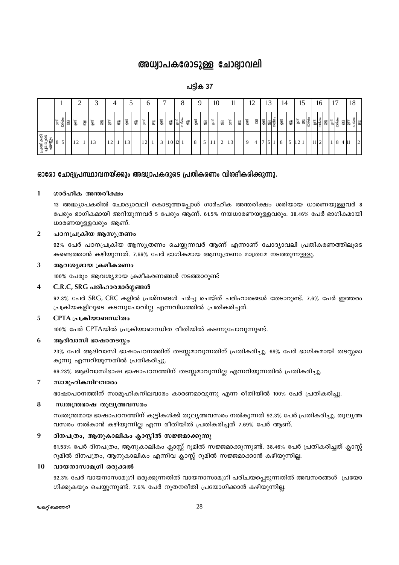# അധ്വാപകരോടുള്ള ചോദ്വാവലി

### പട്ടിക 37

|                                        |            |         |                |    |     |    |            |    |             |         | O           |    |      |           |  |         |    | 10          |        | 11    |    |      | ി<br>∸   |                | 13                | 14          |    |          | 15 | 16          |     | $\overline{ }$ |        | 18 |   |
|----------------------------------------|------------|---------|----------------|----|-----|----|------------|----|-------------|---------|-------------|----|------|-----------|--|---------|----|-------------|--------|-------|----|------|----------|----------------|-------------------|-------------|----|----------|----|-------------|-----|----------------|--------|----|---|
|                                        | <b>BEL</b> | $\circ$ | <b>goarg</b>   | ෂී |     | ෂී | <b> </b> 篙 | ෂූ | <b>ging</b> | eg<br>M | <b>gons</b> | ෂී | 9005 | ඹී        |  | ଭୂଗନ୍ତି | සු | <b>gons</b> | 8      | ഉണ്ട് | සී | parš | ee<br>Si | <b>SOCIA</b>   | $\frac{80}{1000}$ | <b>ging</b> | සී |          |    |             | l 歌 |                |        |    | 鷗 |
| പ്രതികരി<br>ച്ചവരുടെ<br>എണ്ണം<br>എണ്ണം |            | 5       | $\cdot$ $\sim$ |    | 13' |    | $\sim$     | -  | 13.         |         | 12          |    | 3    | 1 0 1 1 1 |  | 8       | J  | 1           | ⌒<br>∸ | 13    |    | 9    | 4        | $\overline{ }$ | $\leq$ 1          | 8           | 5  | $\gamma$ |    | $\sim$<br>∸ |     | 8              | 4   11 |    | 2 |

#### ഓരോ ചോദ്വപ്രസ്ഥാവനയ്ക്കും അദ്ധ്വാപകരുടെ പ്രതികരണം വിശദീകരിക്കുന്നു.

#### $\mathbf{1}$ ഗാർഹിക അന്തരീക്ഷം

13 അദ്ധ്യാപകരിൽ ചോദ്യാവലി കൊടുത്തപ്പോൾ ഗാർഹിക അന്തരീക്ഷം ശരിയായ ധാരണയുള്ളവർ 8 പേരും ഭാഗികമായി അറിയുന്നവർ 5 പേരും ആണ്. 61.5% നയധാരണയുള്ളവരും. 38.46% പേർ ഭാഗികമായി ധാരണയുള്ളവരും ആണ്.

#### $\overline{2}$ പഠനപ്രക്രിയ ആസുത്രണം

92% പേർ പഠനപ്രക്രിയ ആസൂത്രണം ചെയ്യുന്നവർ ആണ് എന്നാണ് ചോദ്യാവലി പ്രതികരണത്തിലൂടെ കണ്ടെത്താൻ കഴിയുന്നത്. 7.69% പേർ ഭാഗികമായ ആസുത്രണം മാത്രമേ നടത്തുന്നുള്ളു.

#### 3 ആവശ്യമായ ക്രമീകരണം

100% പേരും ആവശ്യമായ ക്രമീകരണങ്ങൾ നടത്താറുണ്ട്

#### $\overline{\mathbf{4}}$ C.R.C, SRG പരിഹാരമാർഗ്ഗങ്ങൾ

92.3% പേർ SRG, CRC കളിൽ പ്രശ്നങ്ങൾ ചർച്ച ചെയ്ത് പരിഹാരങ്ങൾ തേടാറുണ്ട്. 7.6% പേർ ഇത്തരം പ്രക്രിയകളിലൂടെ കടന്നുപോവില്ല എന്നവിധത്തിൽ പ്രതികരിച്ചത്.

#### 5 CPTA പ്രക്രിയാബന്ധിതം

100% പേർ CPTAയിൽ പ്രക്രിയാബന്ധിത രീതിയിൽ കടന്നുപോവുന്നുണ്ട്.

#### 6 ആദിവാസി ഭാഷാതടസ്സം

23% പേർ ആദിവാസി ഭാഷാപഠനത്തിന് തടസ്സമാവുന്നതിന് പ്രതികരിച്ചു. 69% പേർ ഭാഗികമായി തടസ്സമാ കുന്നു എന്നറിയുന്നതിൽ പ്രതികരിച്ചു.

69.23% ആദിവാസിഭാഷ ഭാഷാപഠനത്തിന് തടസ്സമാവുന്നില്ല എന്നറിയുന്നതിൽ പ്രതികരിച്ചു.

#### $\overline{7}$ സാമൂഹികനിലവാരം

ഭാഷാപഠനത്തിന് സാമൂഹികനിലവാരം കാരണമാവുന്നു എന്ന രീതിയിൽ 100% പേർ പ്രതികരിച്ചു.

#### 8 സ്വതന്ത്രഭാഷ തുലൃഅവസരം

സ്വതന്ത്രമായ ഭാഷാപഠനത്തിന് കുട്ടികൾക്ക് തുലൃഅവസരം നൽകുന്നത് 92.3% പേർ പ്രതികരിച്ചു. തുലൃഅ വസരം നൽകാൻ കഴിയുന്നില്ല എന്ന രീതിയിൽ പ്രതികരിച്ചത് 7.69% പേർ ആണ്.

#### 9 ദിനപത്രം, ആനുകാലികം ക്ലാസ്സിൽ സജ്ജമാക്കുന്നു

61.53% പേർ ദിനപത്രം, ആനുകാലികം ക്ലാസ്സ് റൂമിൽ സജ്ജമാക്കുന്നുണ്ട്. 38.46% പേർ പ്രതികരിച്ചത് ക്ലാസ്സ് റൂമിൽ ദിനപത്രം, ആനുകാലികം എന്നിവ ക്ലാസ്സ് റൂമിൽ സജ്ജമാക്കാൻ കഴിയുന്നില്ല.

#### 10 വായനാസാമഗ്രി ഒരുക്കൽ

92.3% പേർ വായനാസാമഗ്രി ഒരുക്കുന്നതിൽ വായനാസാമഗ്രി പരിചയപ്പെടുന്നതിൽ അവസരങ്ങൾ പ്രയോ ഗിക്കുകയും ചെയ്യുന്നുണ്ട്. 7.6% പേർ നൂതനരീതി പ്രയോഗിക്കാൻ കഴിയുന്നില്ല.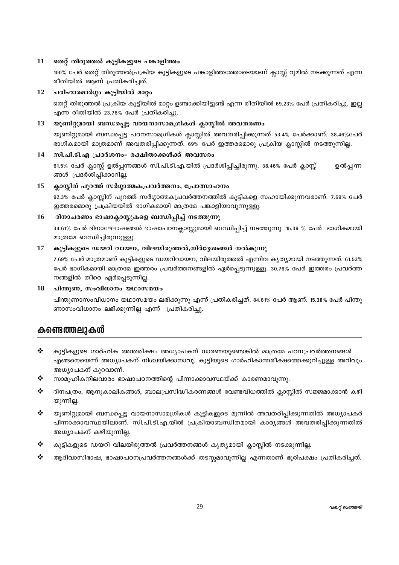#### 11 **ംതറ്റ് തിരുത്തൽ കൂട്ടികളുടെ പങ്കാളി**ത്തം

100% പേർ തെറ്റ് തിരുത്തൽപ്രക്രിയ കുട്ടികളുടെ പങ്കാളിത്തത്തോടെയാണ് ക്ലാസ്സ് റൂമിൽ നടക്കുന്നത് എന്ന രീതിയിൽ ആണ് പ്രതികരിച്ചത്.

#### 12 **പരിഹാരമാർഗ്ഗം കുട്ടിയിൽ മാറ്റം**

തെറ്റ് തിരുത്തൽ പ്രക്രിയ കുട്ടിയിൽ മാറ്റം ഉണ്ടാക്കിയിട്ടുണ്ട് എന്ന രീതിയിൽ 69.23% പേർ പ്രതികരിച്ചു. ഇല്ല എന്ന രീതിയിൽ 23.76% പേർ പ്രതികരിച്ചു.

#### 13 യൂണിറ്റുമായി ബന്ധപ്പെട്ട വായനാസാമഗ്രികൾ ക്ലാസ്സിൽ അവതരണം

യൂണിറ്റുമായി ബന്ധപ്പെട്ട പഠനസാമഗ്രികൾ ക്ലാസ്സിൽ അവതരിപ്പിക്കുന്നത് 53.4% പേർക്കാണ്. 38.46%പേർ ഭാഗികമായി മാത്രമാണ് അവതരിപ്പിക്കുന്നത്. 69% പേർ ഇത്തരമൊരു പ്രക്രിയ ക്ലാസ്സിൽ നടത്തുന്നില്ല.

#### 14 **സി.പി.ടി.എ പ്രദർശനം- രക്ഷിതാക്കൾക്ക്** അവസരം

61.5% പേർ ക്ലാസ്സ് ഉൽപ്പന്നങ്ങൾ സി.പി.ടി.എ.യിൽ പ്രദർശിപ്പിച്ചിരുന്നു. 38.46% പേർ ക്ലാസ്സ് ഉൽപ്പന്ന ങ്ങൾ പ്രദർശിപ്പിക്കാറില്ല.

#### 15 ക്ലാസ്സിന് പുറത്ത് സർഗ്ഗാത്മകപ്രവർത്തനം, പ്രോത്സാഹനം

92.3% പേർ ക്ലാസ്സിന് പുറത്ത് സർഗ്ഗാത്മകപ്രവർത്തനത്തിൽ കുട്ടികളെ സഹായിക്കുന്നവരാണ്. 7.69% പേർ ഇത്തരമൊരു പ്രക്രിയയിൽ ഭാഗികമായി മാത്രമേ പങ്കാളിയാവുന്നുള്ളൂ.

#### 16 ദിനാചരണം ഭാഷാക്ലാസ്സുകളെ ബന്ധിപ്പിച്ച് നടത്തുന്നു

34.61% പേർ ദിനാഘോഷങ്ങൾ ഭാഷാപഠനക്ലാസ്സുമായി ബന്ധിപ്പിച്ച് നടത്തുന്നു. 15.39 % പേർ ഭാഗികമായി മാത്രമേ ബന്ധിച്ചിരുന്നുള്ളൂ.

#### 17 *കു***ട്ടികളുടെ ഡയറി വായന, വിലയിരുത്തൽ,നിർദ്ദേശങ്ങൾ നൽകുന്നു**

7.69% പേർ മാത്രമാണ് കുട്ടികളുടെ ഡയറിവായന, വിലയിരുത്തൽ എന്നിവ കൃത്യമായി നടത്തുന്നത്. 61.53% പേർ ഭാഗികമായി മാത്രമേ ഇത്തരം പ്രവർത്തനങ്ങളിൽ ഏർപ്പെടുന്നുള്ളൂ. 30.76% പേർ ഇത്തരം പ്രവർത്ത നങ്ങളിൽ തീരെ ഏർപ്പെടുന്നില്ല.

#### 18 **പിന്തുണ, സംവിധാനം യഥാസമയം**

പിന്തുണാസംവിധാനം യഥാസമയം ലഭിക്കുന്നു എന്ന് പ്രതികരിച്ചത്. 84.61% പേർ ആണ്. 15.38% പേർ പിന്തു ണാസംവിധാനം ലഭിക്കുന്നില്ല എന്ന് പ്രതികരിച്ചു.

### കണ്ടെത്തലുകൾ

- $\bm{\dot{\ast}}$  കുട്ടികളുടെ ഗാർഹിക അന്തരീക്ഷം അധ്യാപകന് ധാരണയുണ്ടെങ്കിൽ മാത്രമേ പഠനപ്രവർത്തനങ്ങൾ എങ്ങനെയെന്ന് അധ്യാപകന് നിശ്ചയിക്കാനാവൂ. കുട്ടിയുടെ ഗാർഹികാന്തരീക്ഷത്തെക്കുറിച്ചുള്ള അറിവും അധ്യാപകന് കുറവാണ്.
- $\dots$  സാമൂഹികനിലവാരം ഭാഷാപഠനത്തിന്റെ പിന്നാക്കാവസ്ഥയ്ക്ക് കാരണമാവുന്നു.
- $\clubsuit$  ദിനപത്രം, ആനുകാലികങ്ങൾ, ബാലപ്രസിദ്ധീകരണങ്ങൾ വേണ്ടവിധത്തിൽ ക്ലാസ്സിൽ സജ്ജമാക്കാൻ കഴി യുന്നില്ല.
- � യൂണിറ്റുമായി ബന്ധപ്പെട്ട വായനാസാമഗ്രികൾ കുട്ടികളുടെ മുന്നിൽ അവതരിപ്പിക്കുന്നതിൽ അധ്യാപകർ പിന്നാക്കാവസ്ഥയിലാണ്. സി.പി.ടി.എ.യിൽ പ്രക്രിയാബന്ധിതമായി കാര്യങ്ങൾ അവതരിപ്പിക്കുന്നതിൽ അധ്യാപകന് കഴിയുന്നില്ല.
- ❖ കുട്ടികളുടെ ഡയറി വിലയിരുത്തൽ പ്രവർത്തനങ്ങൾ കൃത്യമായി ക്ലാസ്സിൽ നടക്കുന്നില്ല.
- ❖ ആദിവാസിഭാഷ, ഭാഷാപഠനപ്രവർത്തനങ്ങൾക്ക് തടസ്സമാവുന്നില്ല എന്നതാണ് ഭൂരിപക്ഷം പ്രതികരിച്ചത്.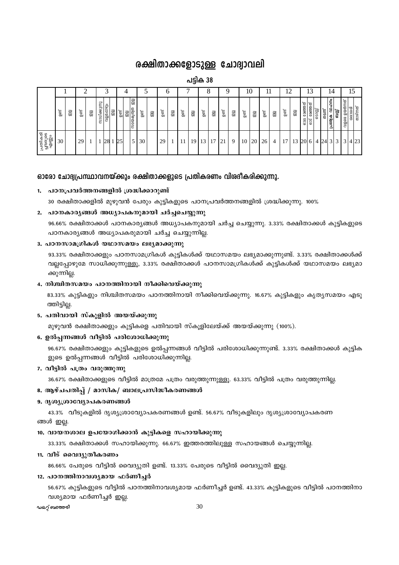# രക്ഷിതാക്കളോടുള്ള ചോദ്വാവലി

പടിക 38

|                        |     |   | ⌒     |    |              | ⌒           |          |     | 4                         |       |    |       | 6  | −     |          |     | O        | Q              |    | 10    |    |     |                | റ<br>⊥∠ |    |                       | 13                                        |          | 14                        |                |                  |       |           |
|------------------------|-----|---|-------|----|--------------|-------------|----------|-----|---------------------------|-------|----|-------|----|-------|----------|-----|----------|----------------|----|-------|----|-----|----------------|---------|----|-----------------------|-------------------------------------------|----------|---------------------------|----------------|------------------|-------|-----------|
|                        | eag | 8 | ഉണ്ട് | ඹු | സാധിക്കുന്നു | വല്ലപ്പോഴും | <b>B</b> | இள் | ය<br>මූ<br>യിയികതലെ<br>ඹු | ഉണ്ട് | මූ | ഉണ്ട് | ඹී | ഉണ്ട് | as<br>al | இள் | ee<br>ee | ഉണ്ട്          | ඹු | ഉണ്ട് | මූ | இள் | මු             | ഉണ്ട്   | මු | ഛേത്തത്<br><b>GCG</b> | ഛേത്തത്<br>$\frac{1}{\cos \theta}$<br>ືຂີ |          | $\frac{1}{2}$<br>പ്രത്വേക |                | ഉയർന്നത്<br>വളരെ | രോശരി | താഴ്ന്നത് |
| ം<br>അയേപ്പം<br>ഉഴിയാല | 30  |   | 29    |    |              | 28          |          | 125 | 5                         | 30    |    | 29    |    | 11    | 19       | 13  | 17       | 2 <sup>1</sup> | 9  | 10    | 20 | 26  | $\overline{4}$ | 17      | 13 | 20                    | 6                                         | 24 <br>4 | 3                         | 3 <sup>1</sup> | 3                | 4 23  |           |

#### ഓരോ ചോദ്വപ്രസ്ഥാവനയ്ക്കും രക്ഷിതാക്കളുടെ പ്രതികരണം വിശദീകരിക്കുന്നു.

#### 1. പഠനപ്രവർത്തനങ്ങളിൽ ശ്രദ്ധിക്കാറുണ്ട്

30 രക്ഷിതാക്കളിൽ മുഴുവൻ പേരും കുട്ടികളുടെ പഠനപ്രവർത്തനങ്ങളിൽ ശ്രദ്ധിക്കുന്നു. 100%

#### 2. പഠനകാര്യങ്ങൾ അധ്യാപകനുമായി ചർച്ചചെയ്യുന്നു

96.66% രക്ഷിതാക്കൾ പഠനകാര്യങ്ങൾ അധ്യാപകനുമായി ചർച്ച ചെയ്യുന്നു. 3.33% രക്ഷിതാക്കൾ കുട്ടികളുടെ പഠനകാര്യങ്ങൾ അധ്യാപകരുമായി ചർച്ച ചെയ്യുന്നില്ല.

#### 3. പഠനസാമഗ്രികൾ യഥാസമയം ലഭ്യമാക്കുന്നു

93,33% രക്ഷിതാക്കളും പഠനസാമഗ്രികൾ കൂട്ടികൾക്ക് യഥാസമയം ലഭ്യമാക്കുന്നുണ്ട്. 3,33% രക്ഷിതാക്കൾക്ക് വല്ലപ്പോഴുമേ സാധിക്കുന്നുള്ളൂ, 3.33% രക്ഷിതാക്കൾ പഠനസാമഗ്രികൾക്ക് കുട്ടികൾക്ക് യഥാസമയം ലഭ്യമാ ക്കുന്നില്ല.

#### 4. നിശ്ചിതസമയം പഠനത്തിനായി നീക്കിവെയ്ക്കുന്നു

83.33% കുട്ടികളും നിശ്ചിതസമയം പഠനത്തിനായി നീക്കിവെയ്ക്കുന്നു. 16.67% കുട്ടികളും കൃതൃസമയം എടു ത്തിട്ടില്ല.

#### 5. പതിവായി സ്കൂളിൽ അയയ്ക്കുന്നു

മുഴുവൻ രക്ഷിതാക്കളും കുട്ടികളെ പതിവായി സ്കൂളിലേയ്ക്ക് അയയ്ക്കുന്നു (100%).

#### 6. ഉൽപന്നങ്ങൾ വീട്ടിൽ പരിശോധിക്കുന്നു

96.67% രക്ഷിതാക്കളും കുട്ടികളുടെ ഉൽപ്പന്നങ്ങൾ വീട്ടിൽ പരിശോധിക്കുന്നുണ്ട്. 3.33% രക്ഷിതാക്കൾ കുട്ടിക ളുടെ ഉൽപ്പന്നങ്ങൾ വീട്ടിൽ പരിശോധിക്കുന്നില്ല.

#### 7. വീട്ടിൽ പത്രം വരുത്തുന്നു

36.67% രക്ഷിതാക്കളുടെ വീട്ടിൽ മാത്രമേ പത്രം വരുത്തുന്നുള്ളു. 63.33% വീട്ടിൽ പത്രം വരുത്തുന്നില്ല.

#### 8. ആഴ്ചപതിപ്പ് / മാസിക/ ബാലപ്രസിദ്ധീകരണങ്ങൾ

#### 9. ദൃശ്യശ്രാവ്യോപകരണങ്ങൾ

43.3% വീടുകളിൽ ദൃശ്യശ്രാവ്യോപകരണങ്ങൾ ഉണ്ട്. 56.67% വീടുകളിലും ദൃശ്യശ്രാവ്യോപകരണ ങ്ങൾ ഇല്ല.

#### 10. വായനശാല ഉപയോഗിക്കാൻ കുട്ടികളെ സഹായിക്കുന്നു

33.33% രക്ഷിതാക്കൾ സഹായിക്കുന്നു. 66.67% ഇത്തരത്തിലുള്ള സഹായങ്ങൾ ചെയ്യുന്നില്ല.

#### 11. വീട് വൈദ്യുതീകരണം

86.66% പേരുടെ വീട്ടിൽ വൈദ്യുതി ഉണ്ട്. 13.33% പേരുടെ വീട്ടിൽ വൈദ്യുതി ഇല്ല.

#### 12. പഠനത്തിനാവശ്യമായ ഫർണീച്ചർ

56.67% കുട്ടികളുടെ വീട്ടിൽ പഠനത്തിനാവശ്യമായ ഫർണീച്ചർ ഉണ്ട്. 43.33% കുട്ടികളുടെ വീട്ടിൽ പഠനത്തിനാ വശ്യമായ ഫർണീച്ചർ ഇല്ല.

#### **ഡ**കറ്റ് ബത്തേരി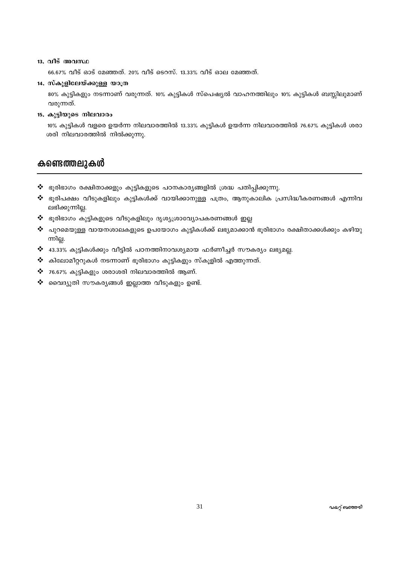#### 13. വീട് അവസ്ഥ

66.67% വീട് ഓട് മേഞ്ഞത്. 20% വീട് ടെറസ്. 13.33% വീട് ഓല മേഞ്ഞത്.

#### 14. സ്കൂളിലേയ്ക്കുള്ള യാത്ര

80% കുട്ടികളും നടന്നാണ് വരുന്നത്. 10% കുട്ടികൾ സ്പെഷ്യൽ വാഹനത്തിലും 10% കുട്ടികൾ ബസ്സിലുമാണ് വരുന്നത്.

#### 15. കൂട്ടിയുടെ നിലവാരം

10% കുട്ടികൾ വളരെ ഉയർന്ന നിലവാരത്തിൽ 13.33% കുട്ടികൾ ഉയർന്ന നിലവാരത്തിൽ 76.67% കുട്ടികൾ ശരാ ശരി നിലവാരത്തിൽ നിൽക്കുന്നു.

# കണ്ടെത്തലുകൾ

- $\bm{\hat{X}}$  ഭൂരിഭാഗം രക്ഷിതാക്കളും കുട്ടികളുടെ പഠനകാര്യങ്ങളിൽ ശ്രദ്ധ പതിപ്പിക്കുന്നു.
- ❖ ഭൂരിപക്ഷം വീടുകളിലും കുട്ടികൾക്ക് വായിക്കാനുള്ള പത്രം, ആനുകാലിക പ്രസിദ്ധീകരണങ്ങൾ എന്നിവ ലഭിക്കുന്നില്ല.
- $\boldsymbol{\cdot}$  ഭൂരിഭാഗം കുട്ടികളുടെ വീടുകളിലും ദൃശ്യശ്രാവ്യോപകരണങ്ങൾ ഇല്ല
- ❖ പുറമെയുള്ള വായനശാലകളുടെ ഉപയോഗം കുട്ടികൾക്ക് ലഭ്യമാക്കാൻ ഭൂരിഭാഗം രക്ഷിതാക്കൾക്കും കഴിയു ന്നില്ല.
- ❖ 43.33% കുട്ടികൾക്കും വീട്ടിൽ പഠനത്തിനാവശ്യമായ ഫർണീച്ചർ സൗകര്യം ലഭ്യമല്ല.
- $\bm{\dot{\cdot}}$  കിലോമീറ്ററുകൾ നടന്നാണ് ഭൂരിഭാഗം കുട്ടികളും സ്കൂളിൽ എത്തുന്നത്.
- $\clubsuit$  76.67% കുട്ടികളും ശരാശരി നിലവാരത്തിൽ ആണ്.
- $\boldsymbol{\dot{\cdot}}$  വൈദ്യുതി സൗകര്യങ്ങൾ ഇല്ലാത്ത വീടുകളും ഉണ്ട്.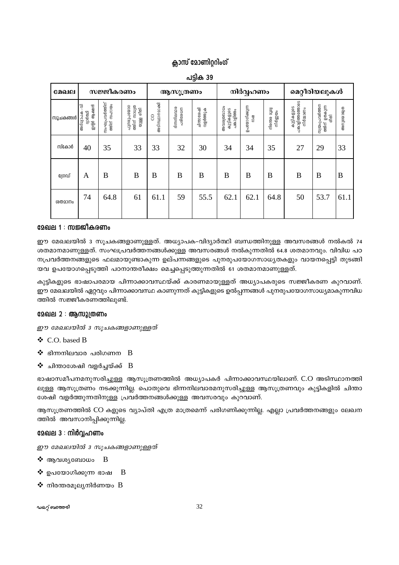### ക്ലാസ് മോണിറ്ററിംഗ്

| മേഖല     |                                               | സജ്ജീകരണം                         |                                               |                     | ആസൂത്രണം                          |                        |                                         | നിർവ്വഹണം                     |                                    |                                              | മെറ്റീരിയലുകൾ                                   |           |
|----------|-----------------------------------------------|-----------------------------------|-----------------------------------------------|---------------------|-----------------------------------|------------------------|-----------------------------------------|-------------------------------|------------------------------------|----------------------------------------------|-------------------------------------------------|-----------|
| സൂചകങ്ങൾ | ā<br>ആക്ഷൻ<br>ദ്വാർത്ഥി<br>അദ്ധ്യാപക<br>ഇന്റർ | സംഘപ്രവർത്തിന്<br>സഹായം<br>ത്തിന് | യന്നാന്<br>നത്താസ്ല<br>രീതി<br>ගැහු<br>ത്തിന് | അടിസ്ഥാനമാക്കി<br>8 | <b>s</b> mm<br>endents<br>പരിശേധന | ചിന്താശേഷി<br>വളർത്തുക | അവശ്വബോധം<br>കുട്ടികളുടെ<br>പങ്കാളിത്തം | ഉപയോഗിക്കുന്ന<br><b>B</b> 0c8 | <b>Fete</b><br>നിർണ്ണയം<br>നിരന്തര | പങ്കാളിത്തത്തോടെ<br>കുട്ടികളുടെ<br>നിർമ്മാണം | സ്വയംപ്രവർത്തന<br>ഉതകുന്ന<br>$\omega$<br>ത്തിന് | അനുയോജ്വത |
| സ്കോർ    | 40                                            | 35                                |                                               | 33                  | 32                                | 30                     | 34                                      | 34                            | 35                                 | 27                                           | 29                                              | 33        |
| ത്രേഡ്   | A                                             | B                                 | B                                             | B                   | B                                 | B                      | B                                       | B                             | B                                  | B                                            | B                                               | B         |
| ശതമാനം   | 74                                            | 64.8                              | 61                                            | 61.1                | 59                                | 55.5                   | 62.1                                    | 62.1                          | 64.8                               | 50                                           | 53.7                                            | 61.1      |

പട്ടിക 39

#### മേഖല 1 : സജ്ജീകരണം

ഈ മേഖലയിൽ 3 സൂചകങ്ങളാണുള്ളത്. അധ്യാപക-വിദ്യാർത്ഥി ബന്ധത്തിനുള്ള അവസരങ്ങൾ നൽകൽ 74 ശതമാനമാണുള്ളത്. സംഘപ്രവർത്തനങ്ങൾക്കുള്ള അവസരങ്ങൾ നൽകുന്നതിൽ 64.8 ശതമാനവും. വിവിധ പഠ നപ്രവർത്തനങ്ങളുടെ ഫലമായുണ്ടാകുന്ന ഉല്പന്നങ്ങളുടെ പുനരുപയോഗസാധ്യതകളും വായനപ്പെട്ടി തുടങ്ങി യവ ഉപയോഗപ്പെടുത്തി പഠനാന്തരീക്ഷം മെച്ചപ്പെടുത്തുന്നതിൽ 61 ശതമാനമാണുള്ളത്.

കുട്ടികളുടെ ഭാഷാപരമായ പിന്നാക്കാവസ്ഥയ്ക്ക് കാരണമായുള്ളത് അധ്യാപകരുടെ സജ്ജീകരണ കുറവാണ്. ഈ മേഖലയിൽ ഏറ്റവും പിന്നാക്കാവസ്ഥ കാണുന്നത് കുട്ടികളുടെ ഉൽപ്പന്നങ്ങൾ പുനരുപയോഗസാധ്യമാകുന്നവിധ ത്തിൽ സജ്ജീകരണത്തിലുണ്ട്.

#### മേഖല 2 : ആസൂത്രണം

ഈ മേഖലയിൽ 3 സുചകങ്ങളാണുള്ളത്

- ❖ C.O. based B
- $\mathbf{\hat{P}}$  ഭിന്നനിലവാര പരിഗണന  $\, {\bf B} \,$
- $\clubsuit$  ചിന്താശേഷി വളർച്ചയ്ക്ക്  $\,$  B

ഭാഷാസമീപനമനുസരിച്ചുള്ള ആസൂത്രണത്തിൽ അധ്യാപകർ പിന്നാക്കാവസ്ഥയിലാണ്. C.O അടിസ്ഥാനത്തി ലുള്ള ആസൂത്രണം നടക്കുന്നില്ല. പൊതുവെ ഭിന്നനിലവാരമനുസരിച്ചുള്ള ആസൂത്രണവും കുട്ടികളിൽ ചിന്താ ശേഷി വളർത്തുന്നതിനുള്ള പ്രവർത്തനങ്ങൾക്കുള്ള അവസരവും കുറവാണ്.

ആസുത്രണത്തിൽ CO കളുടെ വ്യാപ്തി എത്ര മാത്രമെന്ന് പരിഗണിക്കുന്നില്ല. എല്ലാ പ്രവർത്തനങ്ങളും ലേഖന ത്തിൽ അവസാനിപ്പിക്കുന്നില്ല.

#### മേഖല 3 : നിർവ്വഹണം

ഈ മേഖലയിൽ 3 സുചകങ്ങളാണുള്ളത്

- $\clubsuit$  ആവശ്യബോധം  $\overline{B}$
- ❖ ഉപയോഗിക്കുന്ന ഭാഷ B
- $\mathbf{\hat{P}}$  നിരന്തരമുല്യനിർണയം  $\mathbf B$

#### **ഡ**കറ്റ് ബത്തേരി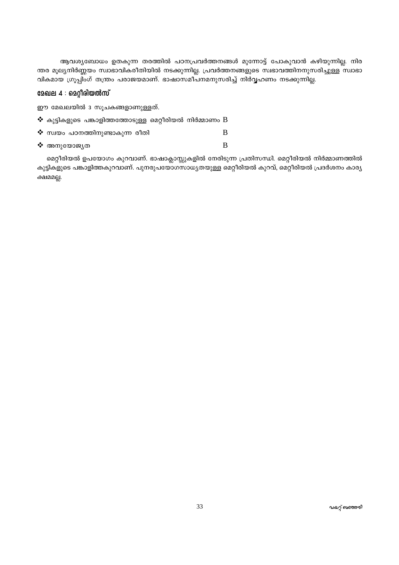ആവശ്യബോധം ഉതകുന്ന തരത്തിൽ പഠനപ്രവർത്തനങ്ങൾ മുന്നോട്ട് പോകുവാൻ കഴിയുന്നില്ല. നിര ന്തര മൂല്യനിർണ്ണയം സ്വാഭാവികരീതിയിൽ നടക്കുന്നില്ല. പ്രവർത്തനങ്ങളുടെ സ്വഭാവത്തിനനുസരിച്ചുള്ള സ്വാഭാ വികമായ ഗ്രൂപ്പിംഗ് തന്ത്രം പരാജയമാണ്. ഭാഷാസമീപനമനുസരിച്ച് നിർവ്വഹണം നടക്കുന്നില്ല.

### മേഖല 4 : മെറ്റീരിയൽസ്

ഈ മേഖലയിൽ 3 സൂചകങ്ങളാണുള്ളത്.

|  |  | $\boldsymbol{\cdot}$ കുട്ടികളുടെ പങ്കാളിത്തത്തോടുള്ള മെറ്റീരിയൽ നിർമ്മാണം $\boldsymbol{\mathrm{B}}$ |  |  |  |
|--|--|-----------------------------------------------------------------------------------------------------|--|--|--|
|--|--|-----------------------------------------------------------------------------------------------------|--|--|--|

|  |  | $\boldsymbol{\dot{\cdot}}$ സ്വയം പഠനത്തിനുണ്ടാകുന്ന രീതി |  |  |
|--|--|----------------------------------------------------------|--|--|
|--|--|----------------------------------------------------------|--|--|

❖ അനുയോജൃത

മെറ്റീരിയൽ ഉപയോഗം കുറവാണ്. ഭാഷാക്ലാസ്സുകളിൽ നേരിടുന്ന പ്രതിസന്ധി. മെറ്റീരിയൽ നിർമ്മാണത്തിൽ കുട്ടികളുടെ പങ്കാളിത്തകുറവാണ്. പുനരുപയോഗസാധ്യതയുള്ള മെറ്റീരിയൽ കുറവ്, മെറ്റീരിയൽ പ്രദർശനം കാര്യ ക്ഷമമല്ല.

 $\overline{B}$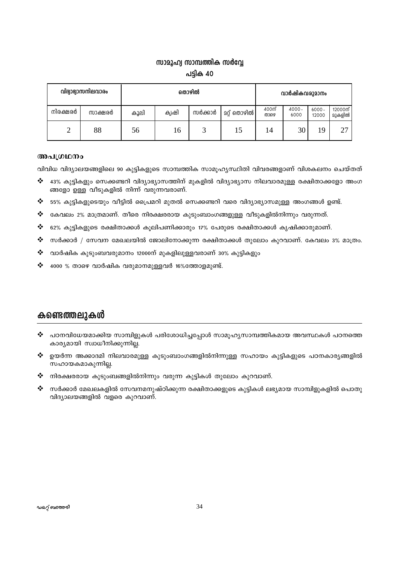# സാമൂഹ്വ സാമ്പത്തിക സർവ്വേ പട്ടിക 40

|          | വിദ്വാഭ്വാസനിലവാരം |      |       | തൊഴിൽ   | വാർഷികവരുമാനം      |                          |                  |                   |                     |
|----------|--------------------|------|-------|---------|--------------------|--------------------------|------------------|-------------------|---------------------|
| നിരക്ഷരർ | സാക്ഷരർ            | കൂലി | ക്വഷി | സർക്കാർ | <b>മറ്റ് തൊഴിൽ</b> | 400 <sub>0</sub><br>താഴെ | $4000 -$<br>6000 | $6000 -$<br>12000 | 12000ന് ।<br>മുകളിൽ |
| ∠        | 88                 | 56   | 16    | ت       | 15                 | 14                       | 30               | 19                | 27                  |

#### അപഗ്രഥനം

വിവിധ വിദ്യാലയങ്ങളിലെ 90 കുട്ടികളുടെ സാമ്പത്തിക സാമുഹൃസ്ഥിതി വിവരങ്ങളാണ് വിശകലനം ചെയ്തത്

- $\frac{1}{2}$ 43% കുട്ടികളും സെക്കണ്ടറി വിദ്യാഭ്യാസത്തിന് മുകളിൽ വിദ്യാഭ്യാസ നിലവാരമുള്ള രക്ഷിതാക്കളോ അംഗ ങ്ങളോ ഉള്ള വീടുകളിൽ നിന്ന് വരുന്നവരാണ്.
- $\bm{\hat{P}}$  55% കുട്ടികളുടെയും വീട്ടിൽ പ്രൈമറി മുതൽ സെക്കണ്ടറി വരെ വിദ്യാഭ്യാസമുള്ള അംഗങ്ങൾ ഉണ്ട്.
- ❖ കേവലം 2% മാത്രമാണ്. തീരെ നിരക്ഷരരായ കുടുംബാംഗങ്ങളുള്ള വീടുകളിൽനിന്നും വരുന്നത്.
- $\mathbf{\hat{*}}$  62% കുട്ടികളുടെ രക്ഷിതാക്കൾ കൂലിപണിക്കാരും 17% പേരുടെ രക്ഷിതാക്കൾ കൃഷിക്കാരുമാണ്.
- $\bm{\hat{P}}$  സർക്കാർ / സേവന മേഖലയിൽ ജോലിനോക്കുന്ന രക്ഷിതാക്കൾ തുലോം കുറവാണ്. കേവലം 3% മാത്രം.
- $\mathbf{r}^{\star}_{\bullet}$ വാർഷിക കുടുംബവരുമാനം 12000ന് മുകളിലുള്ളവരാണ് 30% കുട്ടികളും
- ❖ 4000 % താഴെ വാർഷിക വരുമാനമുള്ളവർ 16%ത്തോളമുണ്ട്.

# കണ്ടെത്തലുകൾ

- $\bm{\cdot}$  പഠനവിധേയമാക്കിയ സാമ്പിളുകൾ പരിശോധിച്ചപ്പോൾ സാമൂഹ്യസാമ്പത്തികമായ അവസ്ഥകൾ പഠനത്തെ കാര്യമായി സ്വാധീനിക്കുന്നില്ല.
- ❖ ഉയർന്ന അക്കാദമി നിലവാരമുള്ള കുടുംബാംഗങ്ങളിൽനിന്നുള്ള സഹായം കുട്ടികളുടെ പഠനകാരൃങ്ങളിൽ സഹായകമാകുന്നില്ല.
- $\boldsymbol{\hat{\cdot}}$  നിരക്ഷരരായ കുടുംബങ്ങളിൽനിന്നും വരുന്ന കുട്ടികൾ തുലോം കുറവാണ്.
- ❖ സർക്കാർ മേഖലകളിൽ സേവനമനുഷ്ഠിക്കുന്ന രക്ഷിതാക്കളുടെ കുട്ടികൾ ലഭ്യമായ സാമ്പിളുകളിൽ പൊതു വിദ്യാലയങ്ങളിൽ വളരെ കുറവാണ്.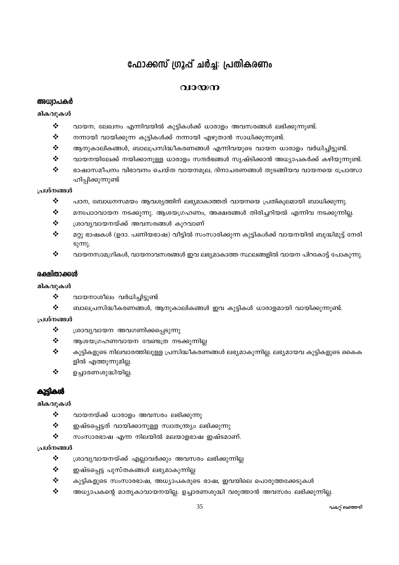# ഫോക്കസ് ഗ്രൂഷ് ചർച്ച: പ്രതികരണം

### വായന

#### അധ്വാപകർ

#### മികവുകൾ

- $\frac{1}{2}$ വായന, ലേഖനം എന്നിവയിൽ കൂട്ടികൾക്ക് ധാരാളം അവസരങ്ങൾ ലഭിക്കുന്നുണ്ട്.
- $\ddot{\bullet}$ നന്നായി വായിക്കുന്ന കൂട്ടികൾക്ക് നന്നായി എഴുതാൻ സാധിക്കുന്നുണ്ട്.
- $\frac{1}{2}$ ആനുകാലികങ്ങൾ, ബാലപ്രസിദ്ധീകരണങ്ങൾ എന്നിവയുടെ വായന ധാരാളം വർധിച്ചിട്ടുണ്ട്.
- $\frac{1}{2}$ വായനയിലേക്ക് നയിക്കാനുള്ള ധാരാളം സന്ദർഭങ്ങൾ സൃഷ്ടിക്കാൻ അധ്യാപകർക്ക് കഴിയുന്നുണ്ട്.
- ❖ ഭാഷാസമീപനം വിഭാവനം ചെയ്ത വായനമുല, ദിനാചരണങ്ങൾ തുടങ്ങിയവ വായനയെ പ്രോത്സാ ഹിപ്പിക്കുന്നുണ്ട്

#### പ്രശ്നങ്ങൾ

- $\bullet$ പഠന, ബോധനസമയം ആവശ്യത്തിന് ലഭ്യമാകാത്തത് വായനയെ പ്രതികൂലമായി ബാധിക്കുന്നു.
- $\cdot$ മനഃപാഠവായന നടക്കുന്നു. ആശയഗ്രഹണം, അക്ഷരങ്ങൾ തിരിച്ചറിയൽ എന്നിവ നടക്കുന്നില്ല.
- ❖ ശ്രാവ്യവായനയ്ക്ക് അവസരങ്ങൾ കുറവാണ്
- $\ddot{\bullet}$ മറ്റു ഭാഷകൾ (ഉദാ. പണിയഭാഷ) വീട്ടിൽ സംസാരിക്കുന്ന കൂട്ടികൾക്ക് വായനയിൽ ബുദ്ധിമുട്ട് നേരി ടുന്നു.
- $\ddot{\cdot}$ വായനസാമഗ്രികൾ, വായനാവസരങ്ങൾ ഇവ ലഭ്യമാകാത്ത സ്ഥലങ്ങളിൽ വായന പിറകോട്ട് പോകുന്നു.

#### രക്ഷിതാക്കൾ

#### മികവുകൾ

- $\bullet^{\bullet}_{\bullet^{\bullet}}$ വായനാശീലം വർധിച്ചിട്ടുണ്ട്
- $\frac{1}{2}$ ബാലപ്രസിദ്ധീകരണങ്ങൾ, ആനുകാലികങ്ങൾ ഇവ കുട്ടികൾ ധാരാളമായി വായിക്കുന്നുണ്ട്.

### പ്രശ്നങ്ങൾ

- $\cdot$ ശ്രാവ്യവായന അവഗണിക്കപ്പെടുന്നു
- $\cdot$ ആശയഗ്രഹണവായന വേണ്ടത്ര നടക്കുന്നില്ല
- $\frac{1}{2}$ കുട്ടികളുടെ നിലവാരത്തിലുള്ള പ്രസിദ്ധീകരണങ്ങൾ ലഭ്യമാകുന്നില്ല. ലഭ്യമായവ കുട്ടികളുടെ കൈക ളിൽ എത്തുന്നുമില്ല.
- $\frac{1}{2}$ ഉച്ചാരണശുദ്ധിയില്ല.

# കൂട്ടികൾ

#### മികവുകൾ

- $\cdot$ വായനയ്ക്ക് ധാരാളം അവസരം ലഭിക്കുന്നു
- ❖ ഇഷ്ടപ്പെട്ടത് വായിക്കാനുള്ള സ്വാതന്ത്ര്യം ലഭിക്കുന്നു
- $\frac{1}{2}$ സംസാരഭാഷ എന്ന നിലയിൽ മലയാളഭാഷ ഇഷ്ടമാണ്.

#### പ്രശ്നങ്ങൾ

- $\frac{1}{2}$ ശ്രാവ്യവായനയ്ക്ക് എല്ലാവർക്കും അവസരം ലഭിക്കുന്നില്ല
- ÷ ഇഷ്ടപ്പെട്ട പുസ്തകങ്ങൾ ലഭ്യമാകുന്നില്ല
- $\mathbf{r}^{\star}_{\mathbf{r}^{\star}}$ കുട്ടികളുടെ സംസാരഭാഷ, അധ്യാപകരുടെ ഭാഷ, ഇവയിലെ പൊരുത്തക്കേടുകൾ
- $\frac{1}{2}$ അധ്യാപകന്റെ മാതൃകാവായനയില്ല. ഉച്ചാരണശുദ്ധി വരുത്താൻ അവസരം ലഭിക്കുന്നില്ല.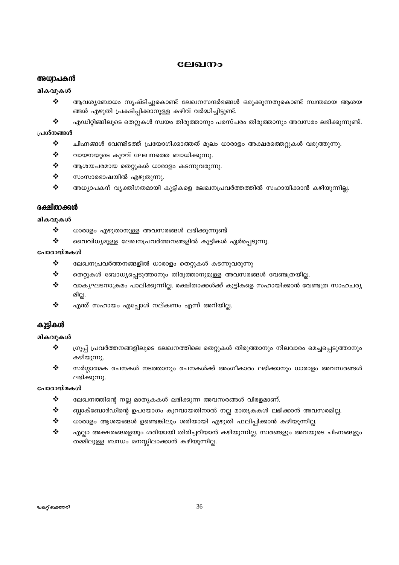#### ലേഖനം

#### അധ്വാപകൻ

മികവുകൾ

- ❖ ആവശ്യബോധം സൃഷ്ടിച്ചുകൊണ്ട് ലേഖനസന്ദർഭങ്ങൾ ഒരുക്കുന്നതുകൊണ്ട് സ്വന്തമായ ആശയ ങ്ങൾ എഴുതി പ്രകടിപ്പിക്കാനുള്ള കഴിവ് വർദ്ധിച്ചിട്ടുണ്ട്.
- $\frac{1}{2}$ എഡിറ്റിങ്ങിലൂടെ തെറ്റുകൾ സ്വയം തിരുത്താനും പരസ്പരം തിരുത്താനും അവസരം ലഭിക്കുന്നുണ്ട്.

പ്രശ്നങ്ങൾ

- $\frac{1}{2}$ ചിഹ്നങ്ങൾ വേണ്ടിടത്ത് പ്രയോഗിക്കാത്തത് മൂലം ധാരാളം അക്ഷരത്തെറ്റുകൾ വരുത്തുന്നു.
- $\frac{1}{2}$ വായനയുടെ കുറവ് ലേഖനത്തെ ബാധിക്കുന്നു.
- $\frac{1}{2}$ ആശയപരമായ തെറ്റുകൾ ധാരാളം കടന്നുവരുന്നു.
- $\cdot$ സംസാരഭാഷയിൽ എഴുതുന്നു.
- $\cdot$ അധ്യാപകന് വ്യക്തിഗതമായി കുട്ടികളെ ലേഖനപ്രവർത്തത്തിൽ സഹായിക്കാൻ കഴിയുന്നില്ല.

#### രക്ഷിതാക്കൾ

#### മികവുകൾ

- $\frac{1}{2}$ ധാരാളം എഴുതാനുള്ള അവസരങ്ങൾ ലഭിക്കുന്നുണ്ട്
- $\frac{1}{2}$ വൈവിധ്യമുള്ള ലേഖനപ്രവർത്തനങ്ങളിൽ കുട്ടികൾ ഏർപ്പെടുന്നു.

#### പോരായ്മകൾ

- $\cdot$ ലേഖനപ്രവർത്തനങ്ങളിൽ ധാരാളം തെറ്റുകൾ കടന്നുവരുന്നു
- $\ddot{\cdot}$ തെറ്റുകൾ ബോധ്യപ്പെടുത്താനും തിരുത്താനുമുള്ള അവസരങ്ങൾ വേണ്ടത്രയില്ല.
- $\frac{1}{2}$ വാകൃഘടനാക്രമം പാലിക്കുന്നില്ല. രക്ഷിതാക്കൾക്ക് കുട്ടികളെ സഹായിക്കാൻ വേണ്ടത്ര സാഹചര്യ മില്ല.
- ❖ എന്ത് സഹായം എപ്പോൾ നല്കണം എന്ന് അറിയില്ല.

### കുട്ടികൾ

### മികവുകൾ

- $\frac{1}{2}$ ഗ്രൂപ്പ് പ്രവർത്തനങ്ങളിലൂടെ ലേഖനത്തിലെ തെറ്റുകൾ തിരുത്താനും നിലവാരം മെച്ചപ്പെടുത്താനും കഴിയുന്നു.
- ❖ സർഗ്ഗാത്മക രചനകൾ നടത്താനും രചനകൾക്ക് അംഗീകാരം ലഭിക്കാനും ധാരാളം അവസരങ്ങൾ ലഭിക്കുന്നു.

#### പോരായ്മകൾ

- $\frac{1}{2}$ ലേഖനത്തിന്റെ നല്ല മാതൃകകൾ ലഭിക്കുന്ന അവസരങ്ങൾ വിരളമാണ്.
- $\frac{1}{2}$ ബ്ലാക്ബോർഡിന്റെ ഉപയോഗം കുറവായതിനാൽ നല്ല മാതൃകകൾ ലഭിക്കാൻ അവസരമില്ല.
- $\frac{1}{2}$ ധാരാളം ആശയങ്ങൾ ഉണ്ടെങ്കിലും ശരിയായി എഴുതി ഫലിപ്പിക്കാൻ കഴിയുന്നില്ല.
- $\bullet$ എല്ലാ അക്ഷരങ്ങളെയും ശരിയായി തിരിച്ചറിയാൻ കഴിയുന്നില്ല. സ്വരങ്ങളും അവയുടെ ചിഹ്നങ്ങളും തമ്മിലുള്ള ബന്ധം മനസ്സിലാക്കാൻ കഴിയുന്നില്ല.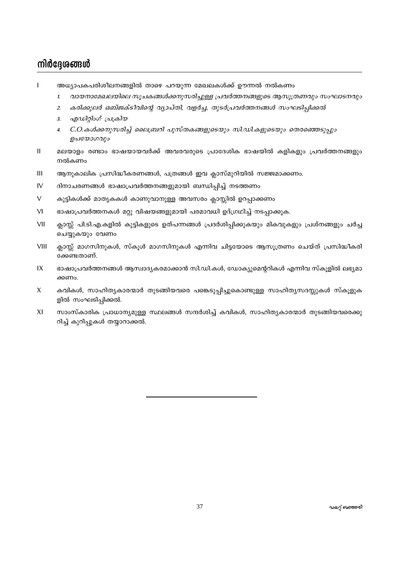# നിർദേശങ്ങൾ

- $\mathbf{I}$ അധ്യാപകപരിശീലനങ്ങളിൽ താഴെ പറയുന്ന മേഖലകൾക്ക് ഊന്നൽ നൽകണം
	- വായനാമേഖലയിലെ സൂചകങ്ങൾക്കനുസരിച്ചുള്ള പ്രവർത്തനങ്ങളുടെ ആസൂത്രണവും സംഘാടനവും  $\mathbf{1}$
	- കരിക്കുലർ ഒബ്ജക്ടീവിന്റെ വ്യാപ്തി, വളർച്ച, തുടർപ്രവർത്തനങ്ങൾ സംഘടിപ്പിക്കൽ  $\overline{2}$
	- എഡിറ്റിംഗ് പ്രക്രിയ 3.
	- C.O.കൾക്കനുസരിച്ച് ലൈബ്രറി പുസ്തകങ്ങളുടെയും സി.ഡി.കളുടെയും തെരഞ്ഞെടുപ്പും  $\boldsymbol{4}$ ഉപയോഗവും
- $\mathbf{H}$ മലയാളം രണ്ടാം ഭാഷയായവർക്ക് അവരവരുടെ പ്രാദേശിക ഭാഷയിൽ കളികളും പ്രവർത്തനങ്ങളും നൽകണം
- $III$ ആനുകാലിക പ്രസിദ്ധീകരണങ്ങൾ, പത്രങ്ങൾ ഇവ ക്ലാസ്മുറിയിൽ സജ്ജമാക്കണം.
- IV ദിനാചരണങ്ങൾ ഭാഷാപ്രവർത്തനങ്ങളുമായി ബന്ധിപ്പിച്ച് നടത്തണം
- V കുട്ടികൾക്ക് മാതൃകകൾ കാണുവാനുള്ള അവസരം ക്ലാസ്സിൽ ഉറപ്പാക്കണം
- $VI$ ഭാഷാപ്രവർത്തനകൾ മറ്റു വിഷയങ്ങളുമായി പരമാവധി ഉദ്ഗ്രഥിച്ച് നടപ്പാക്കുക.
- VII ക്ലാസ്സ് പി.ടി.എ.കളിൽ കുട്ടികളുടെ ഉത്പന്നങ്ങൾ പ്രദർശിപ്പിക്കുകയും മികവുകളും പ്രശ്നങ്ങളും ചർച്ച ചെയ്യുകയും വേണം
- VIII ക്ലാസ്സ് മാഗസിനുകൾ, സ്കൂൾ മാഗസിനുകൾ എന്നിവ ചിട്ടയോടെ ആസുത്രണം ചെയ്ത് പ്രസിദ്ധീകരി ക്കേണ്ടതാണ്.
- $IX$ ഭാഷാപ്രവർത്തനങ്ങൾ ആസ്ഥാദ്യകരമാക്കാൻ സി.ഡി.കൾ, ഡോക്യുമെന്ററികൾ എന്നിവ സ്കൂളിൽ ലഭ്യമാ ക്കണം.
- $\mathsf{X}$ കവികൾ, സാഹിത്യകാരന്മാർ തുടങ്ങിയവരെ പങ്കെടുപ്പിച്ചുകൊണ്ടുള്ള സാഹിത്യസദസ്സുകൾ സ്കൂളുക ളിൽ സംഘടിപ്പിക്കൽ.
- $XI$ സാംസ്കാരിക പ്രാധാന്യമുള്ള സ്ഥലങ്ങൾ സന്ദർശിച്ച് കവികൾ, സാഹിത്യകാരന്മാർ തുടങ്ങിയവരെക്കു റിച്ച് കുറിപ്പുകൾ തയ്യാറാക്കൽ.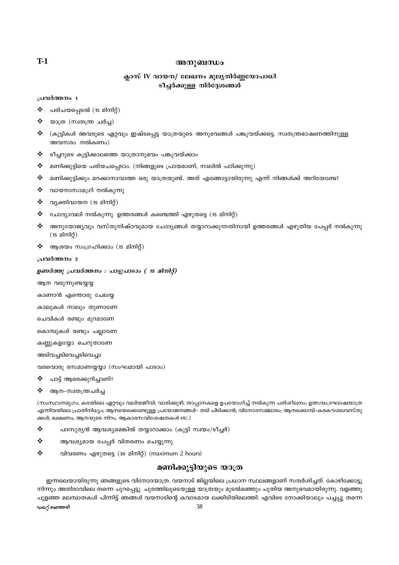#### അനുബന്ധം

### ക്ലാസ് IV വായന/ ലേഖനം മൂല്യനിർണ്ണയോപാധി ടീച്ചർക്കുള്ള നിർദ്ദേശങ്ങൾ

#### പ്രവർത്തനം 1

- $\bullet^*_{\bullet}$ പരിചയപ്പെടൽ (15 മിനിറ്റ്)
- $\frac{1}{2}$ യാത്ര (സ്വതന്ത്ര ചർച്ച)
- ❖ (കുട്ടികൾ അവരുടെ ഏറ്റവും ഇഷ്ടപ്പെട്ട യാത്രയുടെ അനുഭവങ്ങൾ പങ്കുവയ്ക്കട്ടെ. സ്വതന്ത്രഭാഷണത്തിനുള്ള അവസരം നൽകണം)
- ❖ ടീച്ചറുടെ കുട്ടിക്കാലത്തെ യാത്രാനുഭവം പങ്കുവയ്ക്കാം
- ❖ മണിക്കുട്ടിയെ പരിയചപ്പെടാം. (നിങ്ങളുടെ പ്രായമാണ്; നാലിൽ പഠിക്കുന്നു)
- $\star^*$ മണിക്കുട്ടിക്കും മറക്കാനാവാത്ത ഒരു യാത്രയുണ്ട്. അത് എങ്ങോട്ടായിരുന്നു എന്ന് നിങ്ങൾക്ക് അറിയേണ്ടേ?
- ❖ വായനാസാമഗ്രി നൽകുന്നു
- $\frac{1}{2}$ വ്യക്തിവായന (15 മിനിറ്റ്)
- ചോദ്യാവലി നൽകുന്നു. ഉത്തരങ്ങൾ കണ്ടെത്തി എഴുതട്ടെ (15 മിനിറ്റ്) ❖
- $\bullet^*_{\mathcal{A}}$ അനുയോജ്യവും വസ്തുനിഷ്ഠവുമായ ചോദ്യങ്ങൾ തയ്യാറാക്കുന്നതിനായി ഉത്തരങ്ങൾ എഴുതിയ പേപ്പർ നൽകുന്നു  $(15 \n  $\Omega$$
- ആശയം സംഗ്രഹിക്കാം (15 മിനിറ്റ്) ❖

#### പ്രവർത്തനം 2

#### ഉണർത്തു പ്രവർത്തനം : പാട്ടുപാടാം ( 15 മിനിറ്റ്)

ആന വരുന്നുണ്ടയുയു

- കാണാൻ എന്തൊരു ചേലയ്യ
- കാലുകൾ നാലും തുണാണേ
- ചെവികൾ രണ്ടും മുറമാണേ
- കൊമ്പുകൾ രണ്ടും പല്ലാണേ

കണ്ണുകളയ്യോ ചെറുതാണേ

അടിവച്ചടിവെച്ചടിവെച്ചാ

- വരവൊരു രസമാണയയാ (സംഘമായി പാടാം)
- $\frac{1}{2}$ പാട് അരെക്കുറിചാണ്?
- ❖ ആന-സ്വതന്ത്രചർച്ച

(സംസ്ഥാനമൃഗം; കരയിലെ ഏറ്റവും വലിയജീവി; വാരിക്കുഴി; താപ്പാനകളെ ഉപയോഗിച്ച് നൽകുന്ന പരിശീലനം; ഉത്സവം,ഘോഷയാത്ര എന്നിവയിലെ പ്രാതിനിധ്യം; ആനയെക്കൊണ്ടുള്ള പ്രയോജനങ്ങൾ– തടി പിടിക്കാൻ; വിനോദസഞ്ചാരം; ആനക്കൊമ്പ്–കരകൗശലവസ്തു ക്കൾ; ഭക്ഷണം; ആനയുടെ നിറം, ആകാരസവിശേഷതകൾ etc.)

- $\ddot{\cdot}$ പദസുര്യൻ ആവശ്യമെങ്കിൽ തയ്യാറാക്കാം (കുട്ടി സ്വയം/ടീച്ചർ)
- $\frac{1}{2}$ ആവശ്യമായ പേപ്പർ വിതരണം ചെയ്യുന്നു
- $\frac{1}{2}$ വിവരണം എഴുതട്ടെ (30 മിനിറ്റ്) (maximum 2 hours)

#### മണിക്കുട്ടിയുടെ യാത്ര

ഇന്നലെയായിരുന്നു ഞങ്ങളുടെ വിനോദയാത്ര. വയനാട് ജില്ലയിലെ പ്രധാന സ്ഥലങ്ങളാണ് സന്ദർശിച്ചത്. കോഴിക്കോട്ടു നിന്നും അതിരാവിലെ തന്നെ പുറപ്പെട്ടു. ചുരത്തിലുടെയുള്ള യാത്രയും മുടൽമഞ്ഞും പുതിയ അനുഭവമായിരുന്നു. വളഞ്ഞു പുളഞ്ഞ മലമ്പാതകൾ പിന്നിട്ട് ഞങ്ങൾ വയനാടിന്റെ കവാടമായ ലക്കിടിയിലെത്തി. എവിടെ നോക്കിയാലും പച്ചപ്പു തന്നെ

**ഡ**കറ്റ് ബത്തേരി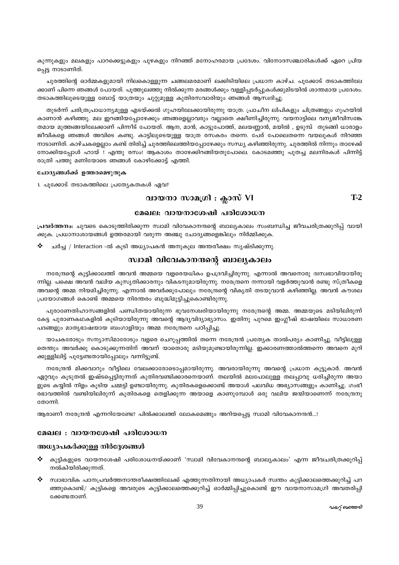കുന്നുകളും മലകളും പാറക്കെട്ടുകളും പുഴകളും നിറഞ്ഞ് മനോഹരമായ പ്രദേശം. വിനോദസഞ്ചാരികൾക്ക് ഏറെ പ്രിയ പ്പെട്ട നാടാണിത്.

ചുരത്തിന്റെ ഓർമ്മകളുമായി നിലകൊള്ളുന്ന ചങ്ങലമരമാണ് ലക്കിടിയിലെ പ്രധാന കാഴ്ച. പുക്കോട് തടാകത്തിലേ ക്കാണ് പിന്നെ ഞങ്ങൾ പോയത്. പുത്തുലഞ്ഞു നിൽക്കുന്ന മരങ്ങൾക്കും വള്ളിപ്പടർപ്പുകൾക്കുമിടയിൽ ശാന്തമായ പ്രദേശം. തടാകത്തിലൂടെയുള്ള ബോട്ട് യാത്രയും ചുറ്റുമുള്ള കുതിരസവാരിയും ഞങ്ങൾ ആസ്വദിച്ചു.

തുടർന്ന് ചരിത്രപ്രാധാന്യമുള്ള എടയ്ക്കൽ ഗുഹയിലേക്കായിരുന്നു യാത്ര. പ്രാചീന ലിപികളും ചിത്രങ്ങളും ഗുഹയിൽ കാണാൻ കഴിഞ്ഞു. മല ഇറങ്ങിയപ്പോഴേക്കും ഞങ്ങളെല്ലാവരും വല്ലാതെ ക്ഷീണിച്ചിരുന്നു. വയനാട്ടിലെ വന്യജീവിസങ്കേ തമായ മുത്തങ്ങയിലേക്കാണ് പിന്നീട് പോയത്. ആന, മാൻ, കാട്ടുപോത്ത്, മലയണ്ണാൻ, മയിൽ , ഉടുമ്പ് തുടങ്ങി ധാരാളം ജീവികളെ ഞങ്ങൾ അവിടെ കണ്ടു. കാട്ടിലുടെയുള്ള യാത്ര രസകരം തന്നെ. പേര് പോലെതന്നെ വയലുകൾ നിറഞ്ഞ നാടാണിത്. കാഴ്ചകളെല്ലാം കണ്ട് തിരിച്ച് ചുരത്തിലെത്തിയപ്പോഴേക്കും സന്ധ്യ കഴിഞ്ഞിരുന്നു. ചുരത്തിൽ നിന്നും താഴേക്ക് നോക്കിയപ്പോൾ ഹായ് ! എന്തു രസം! ആകാശം താഴേക്കിറങ്ങിയതുപോലെ. കോടമഞ്ഞു പുതച്ച മലനിരകൾ പിന്നിട്ട് രാത്രി പത്തു മണിയോടെ ഞങ്ങൾ കോഴിക്കോട്ട് എത്തി.

#### ചോദൃങ്ങൾക്ക് ഉത്തരമെഴുതുക

1. പുക്കോട് തടാകത്തിലെ പ്രത്യേകതകൾ ഏവ?

### വായനാ സാമഗ്രി : ക്ലാസ് VI

 $T-2$ 

#### മേഖല: വായനാശേഷി പരിശോധന

പ്രവർത്തനം; ചുവടെ കൊടുത്തിരിക്കുന്ന സ്വാമി വിവേകാനന്ദന്റെ ബാല്യകാലം സംബന്ധിച്ച ജീവചരിത്രക്കുറിപ് വായി ക്കുക. പ്രധാനാശായങ്ങൾ ഉത്തരമായി വരുന്ന അഞ്ചു ചോദ്യങ്ങളെങ്കിലും നിർമ്മിക്കുക.

÷ ചർച്ച / Interaction -ൽ കൂടി അധ്യാപകൻ അനുകൂല അന്തരീക്ഷം സൃഷ്ടിക്കുന്നു.

#### സ്വാമി വിവേകാനന്ദന്റെ ബാല്യകാലം

നരേന്ദ്രന്റെ കുട്ടിക്കാലത്ത് അവൻ അമ്മയെ വളരെയധികം ഉപദ്രവിച്ചിരുന്നു. എന്നാൽ അവനൊരു ദഃസ്വഭാവിയായിരു ന്നില്ല. പക്ഷെ അവൻ വലിയ കുസൃതിക്കാരനും വികടനുമായിരുന്നു. നരേന്ദ്രനെ നന്നായി വളർത്തുവാൻ രണ്ടു സ്ത്രീകളെ അവന്റെ അമ്മ നിയമിച്ചിരുന്നു. എന്നാൽ അവർക്കുപോലും നരേന്ദ്രന്റെ വികൃതി തടയുവാൻ കഴിഞ്ഞില്ല. അവൻ കൗശല പ്രയോഗങ്ങൾ കൊണ്ട് അമ്മയെ നിരന്തരം ബുദ്ധിമുട്ടിച്ചുകൊണ്ടിരുന്നു.

പുരാണേതിഹാസങ്ങളിൽ പണ്ഡിതയായിരുന്ന ഭുവനേശ്വരിയായിരുന്നു നരേന്ദ്രന്റെ അമ്മ. അമ്മയുടെ മടിയിലിരുന്ന് കേട്ട പുരാണകഥകളിൽ കൂടിയായിരുന്നു അവന്റെ ആദ്യവിദ്യാഭ്യാസം. ഇതിനു പുറമെ ഇംഗ്ലീഷ് ഭാഷയിലെ സാധാരണ പദങ്ങളും മാതൃഭാഷയായ ബംഗാളിയും അമ്മ നരേന്ദ്രനെ പഠിപ്പിച്ചു.

യാചകരോടും സന്യാസിമാരോടും വളരെ ചെറുപ്പത്തിൽ തന്നെ നരേന്ദ്രൻ പ്രത്യേക താൽപര്യം കാണിച്ചു. വീട്ടിലുള്ള തെന്തും അവർക്കു കൊടുക്കുന്നതിന് അവന് യാതൊരു മടിയുമുണ്ടായിരുന്നില്ല. ഇക്കാരണത്താൽത്തന്നെ അവനെ മുറി ക്കുള്ളിലിട്ട് പുട്ടേണ്ടതായിപ്പോലും വന്നിട്ടുണ്ട്.

നരേന്ദ്രൻ മിക്കവാറും വീട്ടിലെ വേലക്കാരോടൊപ്പമായിരുന്നു. അവരായിരുന്നു അവന്റെ പ്രധാന കൂട്ടൂകാർ. അവൻ ഏറ്റവും കൂടുതൽ ഇഷ്ടപ്പെട്ടിരുന്നത് കുതിരവണ്ടിക്കാരനെയാണ്. തലയിൽ മലപോലുള്ള തലപ്പാവു ധരിച്ചിരുന്ന അയാ ളുടെ കയ്യിൽ നിളം കൂടിയ ചമ്മട്ടി ഉണ്ടായിരുന്നു. കുതിരകളെക്കൊണ്ട് അയാൾ പലവിധ അഭ്യാസങ്ങളും കാണിച്ചു. ഗംഭീ രഭാവത്തിൽ വണ്ടിയിലിരുന്ന് കുതിരകളെ തെളിക്കുന്ന അയാളെ കാണുമ്പോൾ ഒരു വലിയ ജന്മിയാണെന്ന് നരേന്ദ്രനു ഭതാന്നി

ആരാണീ നരേന്ദ്രൻ എന്നറിയേണ്ടേ? പിൽക്കാലത്ത് ലോകമെങ്ങും അറിയപ്പെട്ട സ്വാമി വിവേകാനന്ദൻ...!

#### മേഖല : വായനശേഷി പരിശോധന

#### അധ്യാപകർക്കുള്ള നിർദ്ദേശങ്ങൾ

- $\boldsymbol{\hat{\cdot}}$  കൂട്ടികളുടെ വായനശേഷി പരിശോധനയ്ക്കാണ് 'സ്വാമി വിവേകാനന്ദന്റെ ബാല്യകാലം' എന്ന ജീവചരിത്രക്കുറിപ് നൽകിയിരിക്കുന്നത്.
- ❖ സ്ഥാഭാവിക പഠനപ്രവർത്തനാന്തരീക്ഷത്തിലേക്ക് എത്തുന്നതിനായി അധ്യാപകർ സ്വന്തം കുട്ടിക്കാലത്തെക്കുറിച്ച് പറ ഞ്ഞുകൊണ്ട്/ കുട്ടികളെ അവരുടെ കുട്ടിക്കാലത്തെക്കുറിച്ച് ഓർമ്മിപ്പിച്ചുകൊണ്ട് ഈ വായനാസാമഗ്രി അവതരിപ്പി ക്കേണ്ടതാണ്.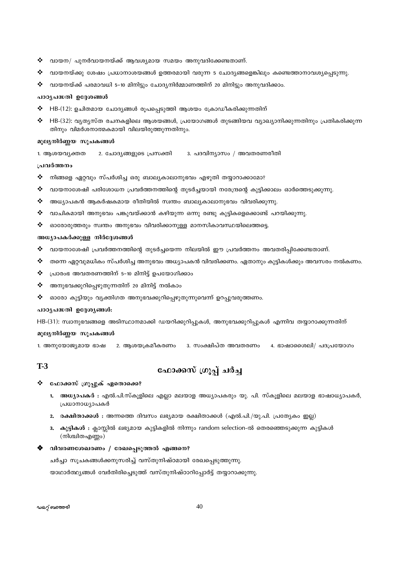40

ചർച്ചാ സുചകങ്ങൾക്കനുസരിച്ച് വസ്തുനിഷ്ഠമായി രേഖപ്പെടുത്തുന്നു.

#### വിവരണശേഖരണം / രേഖപ്പെടുത്തൽ എങ്ങനെ?

യാഥാർത്ഥ്യങ്ങൾ വേർതിരിച്ചെടുത്ത് വസ്തുനിഷ്ഠാറിപ്പോർട്ട് തയ്യാറാക്കുന്നു.

3. കുട്ടികൾ : ക്ലാസ്സിൽ ലഭ്യമായ കുട്ടികളിൽ നിന്നും random selection-ൽ തെരഞ്ഞെടുക്കുന്ന കുട്ടികൾ  $(\text{mI}\omega\text{II}\omega\text{m})$ ന്യാ $(\text{mI}\omega\text{m})$ 

# 2. രക്ഷിതാക്കൾ : അന്നത്തെ ദിവസം ലഭ്യമായ രക്ഷിതാക്കൾ (എൽ.പി./യു.പി. പ്രത്യേകം ഇല്ല)

പ്രധാനാധ്യാപകർ

1. അധ്യാപകർ : എൽ.പി.സ്കൂളിലെ എല്ലാ മലയാള അധ്യാപകരും യു. പി. സ്കൂളിലെ മലയാള ഭാഷാധ്യാപകർ,

#### ❖ ഫോക്കസ് ഗ്രൂപ്പുക് ഏതൊക്കെ?

# ഫോക്കസ് ഗ്രൂപ്പ് ചർച്ച

1. അനുയോജ്യമായ ഭാഷ 2. ആശയക്രമീകരണം 3. സംക്ഷിപ്ത അവതരണം 4. ഭാഷാശൈലി/ പദപ്രയോഗം

HB-(31): സ്വാനുഭവങ്ങളെ അടിസ്ഥാനമാക്കി ഡയറിക്കുറിപ്പുകൾ, അനുഭവക്കുറിപ്പുകൾ എന്നിവ തയ്യാറാക്കുന്നതിന് മൂല്യനിർണ്ണയ സൂചകങ്ങൾ

### ❖ അനുഭവക്കുറിപ്പെഴുതുന്നതിന് 20 മിനിട്ട് നൽകാം

പാഠ്യപദ്ധതി ഉദ്ദേശ്യങ്ങൾ:

 $\clubsuit$  (പാരംഭ അവതരണത്തിന് 5-10 മിനിട്ട് ഉപയോഗിക്കാം

തിനും വിമർശനാത്മകമായി വിലയിരുത്തുന്നതിനും.

2. ചോദ്യങ്ങളുടെ പ്രസക്തി

- 豪。 തന്നെ ഏറ്റവുമധികം സ്പർശിച്ച അനുഭവം അധ്യാപകൻ വിവരിക്കണം. ഏതാനും കുട്ടികൾക്കും അവസരം നൽകണം.
- വായനാശേഷി പ്രവർത്തനത്തിന്റെ തുടർച്ചയെന്ന നിലയിൽ ഈ പ്രവർത്തനം അവതരിപ്പിക്കേണ്ടതാണ്.

#### ❖

### അധ്യാപകർക്കുള്ള നിർദ്ദേശങ്ങൾ

❖

❖

പാഠ്യപദ്ധതി ഉദ്ദേശങ്ങൾ

മൂല്യനിർണ്ണയ സൂചകങ്ങൾ

1. ആശയവ്യക്തത

പ്രവർത്തനം

 $\mathbf{A}$ 

**T-3** 

ഓരോരുത്തരും സ്വന്തം അനുഭവം വിവരിക്കാനുള്ള മാനസികാവസ്ഥയിലെത്തട്ടെ.

ഓരോ കുട്ടിയും വ്യക്തിഗത അനുഭവക്കുറിപ്പെഴുതുന്നുവെന്ന് ഉറപ്പുവരുത്തണം.

### $\ddot{\cdot}$

 $\bm{\hat{B}}$  വാചികമായി അനുഭവം പങ്കുവയ്ക്കാൻ കഴിയുന്ന ഒന്നു രണ്ടു കുട്ടികളെക്കൊണ്ട് പറയിക്കുന്നു.

അധ്യാപകൻ ആകർഷകമായ രീതിയിൽ സ്വന്തം ബാല്യകാലാനുഭവം വിവരിക്കുന്നു.

### $\mathbf{A}$

- 
- 

### $\bullet^{\bullet}_{\bullet}$

 $\bm{\hat{B}}$  വായനയ്ക്കു ശേഷം പ്രധാനാശയങ്ങൾ ഉത്തരമായി വരുന്ന 5 ചോദ്യങ്ങളെങ്കിലും കണ്ടെത്താനാവശ്യപ്പെടുന്നു.

HB-(32): വ്യത്യസ്ത രചനകളിലെ ആശയങ്ങൾ, പ്രയോഗങ്ങൾ തുടങ്ങിയവ വ്യാഖ്യാനിക്കുന്നതിനും പ്രതികരിക്കുന്ന

3. പദവിന്യാസം / അവതരണരീതി

- 
- 

#### നിങ്ങളെ ഏറ്റവും സ്പർശിച്ച ഒരു ബാല്യകാലാനുഭവം എഴുതി തയ്യാറാക്കാമോ?

വായന/ പുനർവായനയ്ക്ക് ആവശ്യമായ സമയം അനുവദിക്കേണ്ടതാണ്.

 $\mathbf{\hat{\cdot}}$  HB-(12): ഉചിതമായ ചോദ്യങ്ങൾ രൂപപെടുത്തി ആശയം ക്രോഡീകരിക്കുന്നതിന്

### ❖

വായനയ്ക്ക് പരമാവധി 5–10 മിനിട്ടും ചോദ്യനിർമ്മാണത്തിന് 20 മിനിട്ടും അനുവദിക്കാം.

### വായനാശേഷി പരിശോധന പ്രവർത്തനത്തിന്റെ തുടർച്ചയായി നരേന്ദ്രന്റെ കൂട്ടിക്കാലം ഓർത്തെടുക്കുന്നു.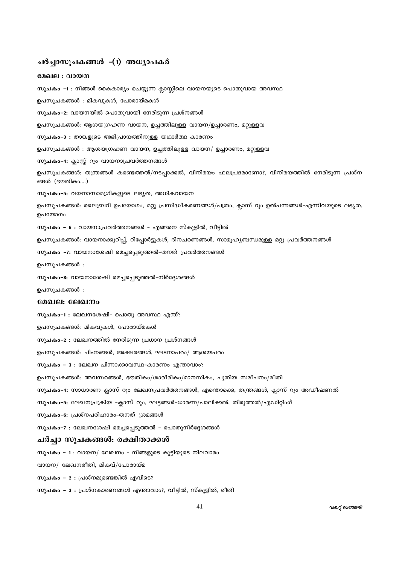#### ചർച്ചാസൂചകങ്ങൾ -(1) അധ്യാപകർ

#### മേഖല : വായന

സൂചകം –1 : നിങ്ങൾ കൈകാര്യം ചെയ്യുന്ന ക്ലാസ്സിലെ വായനയുടെ പൊതുവായ അവസ്ഥ ഉപസൂചകങ്ങൾ : മികവുകൾ, പോരായ്മകൾ സുചകം-2: വായനയിൽ പൊതുവായി നേരിടുന്ന പ്രശ്നങ്ങൾ ഉപസൂചകങ്ങൾ: ആശയഗ്രഹണ വായന, ഉച്ചത്തിലുള്ള വായന/ഉച്ചാരണം, മറ്റുള്ളവ സൂചകം-3 : താങ്കളുടെ അഭിപ്രായത്തിനുള്ള യഥാർത്ഥ കാരണം ഉപസൂചകങ്ങൾ : ആശയഗ്രഹണ വായന, ഉച്ചത്തിലുള്ള വായന/ ഉച്ചാരണം, മറ്റുള്ളവ സൂചകം-4: ക്ലാസ്സ് റൂം വായനാപ്രവർത്തനങ്ങൾ ഉപസൂചകങ്ങൾ: തന്ത്രങ്ങൾ കണ്ടെത്തൽ/നടപ്പാക്കൽ, വിനിമയം ഫലപ്രദമാണോ?, വിനിമയത്തിൽ നേരിടുന്ന പ്രശ്ന ങ്ങൾ (ഭൗതികം....) സൂചകം-5: വയനാസാമഗ്രികളുടെ ലഭ്യത, അധികവായന ഉപസൂചകങ്ങൾ: ലൈബ്രറി ഉപയോഗം, മറ്റു പ്രസിദ്ധീകരണങ്ങൾ/പത്രം, ക്ലാസ് റൂം ഉൽപന്നങ്ങൾ-എന്നിവയുടെ ലഭ്യത, ഉപയോഗം സൂചകം - 6 : വായനാപ്രവർത്തനങ്ങൾ - എങ്ങനെ സ്കൂളിൽ, വീട്ടിൽ ഉപസുചകങ്ങൾ: വായനാക്കുറിപ്പ്, റിപ്പോർട്ടുകൾ, ദിനചരണങ്ങൾ, സാമൂഹൃബന്ധമുള്ള മറ്റു പ്രവർത്തനങ്ങൾ സൂചകം −7: വായനാശേഷി മെച്ചപ്പെടുത്തൽ-തനത് പ്രവർത്തനങ്ങൾ ഉപസൂചകങ്ങൾ : സൂചകം-8: വായനാശേഷി മെച്ചപ്പെടുത്തൽ-നിർദ്ദേശങ്ങൾ ഉപസൂചകങ്ങൾ : മേഖല: ലേഖനം

സൂചകം-1 : ലേഖനശേഷി- പൊതു അവസ്ഥ എന്ത്? ഉപസുചകങ്ങൾ: മികവുകൾ, പോരായ്മകൾ സൂചകം–2 : ലേഖനത്തിൽ നേരിടുന്ന പ്രധാന പ്രശ്നങ്ങൾ ഉപസുചകങ്ങൾ: ചിഹ്നങ്ങൾ, അക്ഷരങ്ങൾ, ഘടനാപരം/ ആശയപരം സുചകം - 3 : ലേഖന പിന്നാക്കാവസ്ഥ-കാരണം എന്താവാം? ഉപസൂചകങ്ങൾ: അവസരങ്ങൾ, ഭൗതികം/ശാരീരികം/മാനസികം, പുതിയ സമീപനം/രീതി സൂചകം–4: സാധാരണ ക്ലാസ് റൂം ലേഖനപ്രവർത്തനങ്ങൾ, എന്തൊക്കെ, തന്ത്രങ്ങൾ, ക്ലാസ് റൂം അഡീഷണൽ സൂചകം–5: ലേഖനപ്രക്രിയ -ക്ലാസ് റൂം, ഘട്ടങ്ങൾ-ധാരണ/പാലിക്കൽ, തിരുത്തൽ/എഡിറ്റിംഗ് സൂചകം-6: പ്രശ്നപരിഹാരം-തനത് ശ്രമങ്ങൾ സൂചകം-7 : ലേഖനശേഷി മെച്ചപ്പെടുത്തൽ - പൊതുനിർദ്ദേശങ്ങൾ ചർച്ചാ സുചകങ്ങൾ: രക്ഷിതാക്കൾ സുചകം – 1 : വായന/ ലേഖനം – നിങ്ങളുടെ കുട്ടിയുടെ നിലവാരം വായന/ ലേഖനരീതി, മികവ്/പോരായ്മ  $\omega$ ുചകം – 2 : പ്രശ്നമുണ്ടെങ്കിൽ എവിടെ?

സുചകം – 3 : പ്രശ്നകാരണങ്ങൾ എന്താവാം?, വീട്ടിൽ, സ്കൂളിൽ, രീതി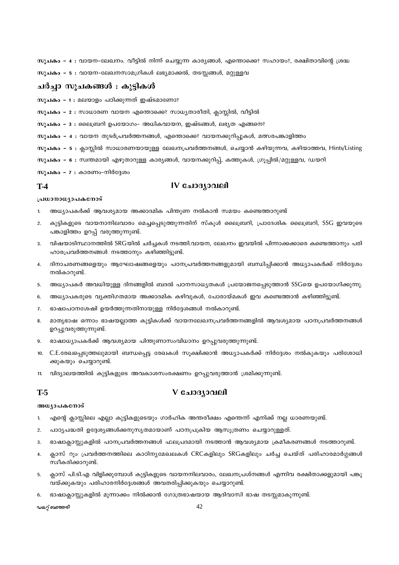സൂചകം – 4 : വായന-ലേഖനം. വീട്ടിൽ നിന്ന് ചെയ്യുന്ന കാര്യങ്ങൾ, എന്തൊക്കെ? സഹായം?, രക്ഷിതാവിന്റെ ശ്രദ്ധ

സൂചകം - 5 : വായന-ലേഖനസാമഗ്രികൾ ലഭ്യമാക്കൽ, തടസ്സങ്ങൾ, മറ്റുള്ളവ

### ചർച്ചാ സുചകങ്ങൾ : കുട്ടികൾ

സൂചകം – 1 : മലയാളം പഠിക്കുന്നത് ഇഷ്ടമാണോ?

സൂചകം – 2 : സാധാരണ വായന എന്തൊക്കെ? സാധ്യതാരീതി, ക്ലാസ്സിൽ, വീട്ടിൽ

സൂചകം - 3 : ലൈബ്രറി ഉപയോഗം- അധികവായന, ഇഷ്ടങ്ങൾ, ലഭൃത എങ്ങനെ?

സൂചകം – 4 : വായന തുടർപ്രവർത്തനങ്ങൾ, എന്തൊക്കെ? വായനക്കുറിപ്പുകൾ, മത്സരപങ്കാളിത്തം

സൂചകം – 5 : ക്ലാസ്സിൽ സാധാരണയായുള്ള ലേഖനപ്രവർത്തനങ്ങൾ, ചെയ്യാൻ കഴിയുന്നവ, കഴിയാത്തവ, Hints/Listing

സൂചകം – 6 : സ്വന്തമായി എഴുതാറുള്ള കാര്യങ്ങൾ, വായനക്കുറിപ്പ്, കത്തുകൾ, ഗ്രൂപ്പിൽ/മറ്റുള്ളവ, ഡയറി

സൂചകം - 7 : കാരണം-നിർദ്ദേശം

#### $T-4$

### IV ചോദ്യാവലി

#### പ്രധാനാധ്യാപകനോട്

- അധ്യാപകർക്ക് ആവശ്യമായ അക്കാദമിക പിന്തുണ നൽകാൻ സമയം കണ്ടെത്താറുണ്ട്  $1<sup>1</sup>$
- കുട്ടികളുടെ വായനാനിലവാരം മെച്ചപ്പെടുത്തുന്നതിന് സ്കൂൾ ലൈബ്രറി, പ്രാദേശിക ലൈബ്രറി, SSG ഇവയുടെ  $2.$ പങ്കാളിത്തം ഉറപ്പ് വരുത്തുന്നുണ്ട്.
- 3. വിഷയാടിസ്ഥാനത്തിൽ SRGയിൽ ചർച്ചകൾ നടത്തി.വായന, ലേഖനം ഇവയിൽ പിന്നാക്കക്കാരെ കണ്ടെത്താനും പരി ഹാരപ്രവർത്തനങ്ങൾ നടത്താനും കഴിഞ്ഞിട്ടുണ്ട്.
- 4. ദിനാചരണങ്ങളെയും ആഘോഷങ്ങളെയും പഠനപ്രവർത്തനങ്ങളുമായി ബന്ധിപ്പിക്കാൻ അധ്യാപകർക്ക് നിർദ്ദേശം നൽകാറുണ്ട്.
- അധ്യാപകർ അവധിയുള്ള ദിനങ്ങളിൽ ബദൽ പഠനസാധ്യതകൾ പ്രയോജനപെടുത്താൻ SSGയെ ഉപയോഗിക്കുന്നു. 5
- അധ്യാപകരുടെ വ്യക്തിഗതമായ അക്കാദമിക കഴിവുകൾ, പോരായ്മകൾ ഇവ കണ്ടെത്താൻ കഴിഞ്ഞിട്ടുണ്ട്. 6.
- ഭാഷാപഠനശേഷി ഉയർത്തുന്നതിനായുള്ള നിർദ്ദേശങ്ങൾ നൽകാറുണ്ട്.  $\overline{7}$ .
- മാതൃഭാഷ ഒന്നാം ഭാഷയല്ലാത്ത കുട്ടികൾക്ക് വായനലേഖനപ്രവർത്തനങ്ങളിൽ ആവശ്യമായ പഠനപ്രവർത്തനങ്ങൾ 8. ഉറപ്പുവരുത്തുന്നുണ്ട്.
- ഭാഷാധ്യാപകർക്ക് ആവശ്യമായ പിന്തുണാസംവിധാനം ഉറപ്പുവരുത്തുന്നുണ്ട്. 9.
- 10. C.E.രേഖപ്പെടുത്തലുമായി ബന്ധപ്പെട്ട രേഖകൾ സൂക്ഷിക്കാൻ അധ്യാപകർക്ക് നിർദ്ദേശം നൽകുകയും പരിശോധി ക്കുകയും ചെയ്യാറുണ്ട്.
- 11. വിദ്യാലയത്തിൽ കുട്ടികളുടെ അവകാശസംരക്ഷണം ഉറപ്പുവരുത്താൻ ശ്രമിക്കുന്നുണ്ട്.

### **T-5**

### $V$  ചോദ്യാവലി

#### അധ്യാപകനോട്

- എന്റെ ക്ലാസ്സിലെ എല്ലാ കുട്ടികളുടെയും ഗാർഹിക അന്തരീക്ഷം എന്തെന്ന് എനിക്ക് നല്ല ധാരണയുണ്ട്.  $1.$
- $\overline{2}$ പാഠ്യപദ്ധതി ഉദ്ദേശ്യങ്ങൾക്കനുസൃതമായാണ് പഠനപ്രക്രിയ ആസുത്രണം ചെയ്യാറുള്ളത്.
- ഭാഷാക്ലാസ്സുകളിൽ പഠനപ്രവർത്തനങ്ങൾ ഫലപ്രദമായി നടത്താൻ ആവശ്യമായ ക്രമീകരണങ്ങൾ നടത്താറുണ്ട്.  $\overline{3}$ .
- ക്ലാസ് റും പ്രവർത്തനത്തിലെ കാഠിനൃമേഖലകൾ CRCകളിലും SRGകളിലും ചർച്ച ചെയ്ത് പരിഹാരമാർഗ്ഗങ്ങൾ  $\mathbf{4}$ സ്വീകരിക്കാറുണ്ട്.
- ക്ലാസ് പി.ടി.എ വിളിക്കുമ്പോൾ കുട്ടികളുടെ വായനനിലവാരം, ലേഖനപ്രശ്നങ്ങൾ എന്നിവ രക്ഷിതാക്കളുമായി പങ്കു 5. വയ്ക്കുകയും പരിഹാരനിർദ്ദേശങ്ങൾ അവതരിപ്പിക്കുകയും ചെയ്യാറുണ്ട്.
- ഭാഷാക്ലാസ്സുകളിൽ മുന്നാക്കം നിൽക്കാൻ ഗോത്രഭാഷയായ ആദിവാസി ഭാഷ തടസ്സമാകുന്നുണ്ട്.

**ഡ**കറ്റ് ബത്തേരി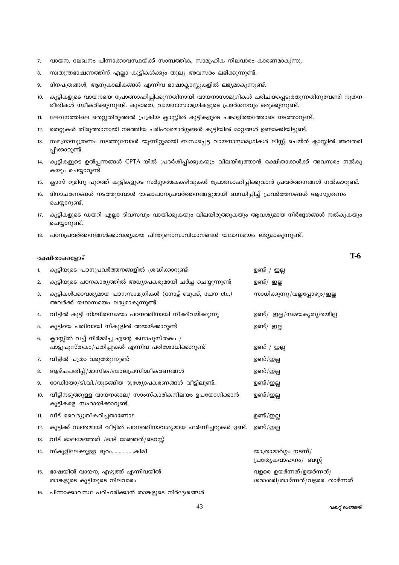- വായന, ലേഖനം പിന്നാക്കാവസ്ഥയ്ക്ക് സാമ്പത്തിക, സാമൂഹിക നിലവാരം കാരണമാകുന്നു.  $\overline{7}$ .
- സ്വതന്ത്രഭാഷണത്തിന് എല്ലാ കുട്ടികൾക്കും തുല്യ അവസരം ലഭിക്കുന്നുണ്ട്. 8.
- ദിനപത്രങ്ങൾ, ആനുകാലികങ്ങൾ എന്നിവ ഭാഷാക്ലാസ്സുകളിൽ ലഭ്യമാകുന്നുണ്ട്. 9.
- കുട്ടികളുടെ വായനയെ പ്രോത്സാഹിപ്പിക്കുന്നതിനായി വായനാസാമഗ്രികൾ പരിചയപ്പെടുത്തുന്നതിനുവേണ്ടി നൂതന  $10.$ രീതികൾ സ്ഥീകരിക്കുന്നുണ്ട്. കൂടാതെ, വായനാസാമഗ്രികളുടെ പ്രദർശനവും ഒരുക്കുന്നുണ്ട്.
- ലേഖനത്തിലെ തെറ്റുതിരുത്തൽ പ്രക്രിയ ക്ലാസ്സിൽ കുട്ടികളുടെ പങ്കാളിത്തത്തോടെ നടത്താറുണ്ട്.  $11.$
- തെറ്റുകൾ തിരുത്താനായി നടത്തിയ പരിഹാരമാർഗ്ഗങ്ങൾ കുട്ടിയിൽ മാറ്റങ്ങൾ ഉണ്ടാക്കിയിട്ടുണ്ട്.  $12.$
- 13. സമഗ്രാസൂത്രണം നടത്തുമ്പോൾ യൂണിറ്റുമായി ബന്ധപ്പെട്ട വായനാസാമഗ്രികൾ ലിസ്റ്റ് ചെയ്ത് ക്ലാസ്സിൽ അവതരി പ്പിക്കാറുണ്ട്.
- 14. കുട്ടികളുടെ ഉൽപ്പന്നങ്ങൾ CPTA യിൽ പ്രദർശിപ്പിക്കുകയും വിലയിരുത്താൻ രക്ഷിതാക്കൾക്ക് അവസരം നൽകു കയും ചെയ്യാറുണ്ട്.
- 15. ക്ലാസ് റുമിനു പുറത്ത് കുട്ടികളുടെ സർഗ്ഗാത്മകകഴിവുകൾ പ്രോത്സാഹിപ്പിക്കുവാൻ പ്രവർത്തനങ്ങൾ നൽകാറുണ്ട്.
- 16. ദിനാചരണങ്ങൾ നടത്തുമ്പോൾ ഭാഷാപഠനപ്രവർത്തനങ്ങളുമായി ബന്ധിപ്പിച്ച് പ്രവർത്തനങ്ങൾ ആസൂത്രണം ചെയ്യാറുണ്ട്.
- 17. കുട്ടികളുടെ ഡയറി എല്ലാ ദിവസവും വായിക്കുകയും വിലയിരുത്തുകയും ആവശ്യമായ നിർദ്ദേശങ്ങൾ നൽകുകയും ചെയ്യാറുണ്ട്.
- 18. പഠനപ്രവർത്തനങ്ങൾക്കാവശ്യമായ പിന്തുണാസംവിധാനങ്ങൾ യഥാസമയം ലഭ്യമാകുന്നുണ്ട്.

#### രക്ഷിതാക്കളോട്

**T-6** 

| 1.  | കുട്ടിയുടെ പഠനപ്രവർത്തനങ്ങളിൽ ശ്രദ്ധിക്കാറുണ്ട്                                                   | ഉണ്ട് $/$ ഇല്ല                                             |
|-----|---------------------------------------------------------------------------------------------------|------------------------------------------------------------|
| 2.  | കുട്ടിയുടെ പഠനകാര്യത്തിൽ അധ്യാപകരുമായി ചർച്ച ചെയ്യുന്നുണ്ട്                                       | ഉണ്ട്/ ഇല്ല                                                |
| 3.  | കുട്ടികൾക്കാവശ്യമായ പഠനസാമഗ്രികൾ (നോട്ട് ബുക്ക്, പേന etc.)<br>അവർക്ക് യഥാസമയം ലഭ്യമാകുന്നുണ്ട്.   | സാധിക്കുന്നു/വല്ലപ്പോഴും/ഇല്ല                              |
| 4.  | വീട്ടിൽ കുട്ടി നിശ്ചിതസമയം പഠനത്തിനായി നീക്കിവയ്ക്കുന്നു                                          | ഉണ്ട്/ ഇല്ല/സമയകൃത്യതയില്ല                                 |
| 5.  | കുട്ടിയെ പതിവായി സ്കൂളിൽ അയയ്ക്കാറുണ്ട്                                                           | ഉണ്ട്/ ഇല്ല                                                |
| 6.  | ക്ലാസ്സിൽ വച്ച് നിർമ്മിച്ച എന്റെ കഥാപുസ്തകം /<br>പാട്ടുപുസ്തകം/പതിപ്പുകൾ എന്നിവ പരിശോധിക്കാറുണ്ട് | ഉണ്ട് / ഇല്ല                                               |
| 7.  | വീട്ടിൽ പത്രം വരുത്തുന്നുണ്ട്                                                                     | ഉണ്ട് /ഇല്ല                                                |
| 8.  | ആഴ്ചപതിപ്പ്/മാസിക/ബാലപ്രസിദ്ധീകരണങ്ങൾ                                                             | ഉണ്ട്/ഇല്ല                                                 |
| 9.  | റേഡിയോ/ടി.വി./തുടങ്ങിയ ദൃശ്യോപകരണങ്ങൾ വീട്ടിലുണ്ട്.                                               | ഉണ്ട്/ഇല്ല                                                 |
| 10. | വീട്ടിനടുത്തുള്ള വായനശാല/ സാംസ്കാരികനിലയം ഉപയോഗിക്കാൻ<br>കുട്ടികളെ സഹായിക്കാറുണ്ട്.               | ഉണ്ട്/ഇല്ല                                                 |
| 11. | വീട് വൈദ്യുതീകരിച്ചതാണോ?                                                                          | ഉണ്ട്/ഇല്ല                                                 |
| 12. | കുട്ടിക്ക് സ്ഥതമായി വീട്ടിൽ പഠനത്തിനാവശ്യമായ ഫർണിച്ചറുകൾ ഉണ്ട്. ഉണ്ട്/ഇല്ല                        |                                                            |
| 13. | വീട് ഓലമേഞ്ഞത് /ഓട് മേഞ്ഞത്/ടെറസ്സ്                                                               |                                                            |
| 14. | സ്കൂളിലേക്കുള്ള ദൂരംകിമീ                                                                          | യാത്രാമാർഗ്ഗം നടന്ന്/<br>പ്രത്യേകവാഹനം/ ബസ്സ്              |
| 15. | ഭാഷയിൽ വായന, എഴുത്ത് എന്നിവയിൽ<br>താങ്കളുടെ കുട്ടിയുടെ നിലവാരം                                    | വളരെ ഉയർന്നത്/ഉയർന്നത്/<br>ശരാശരി/താഴ്ന്നത്/വളരെ താഴ്ന്നത് |

16. പിന്നാക്കാവസ്ഥ പരിഹരിക്കാൻ താങ്കളുടെ നിർദ്ദേശങ്ങൾ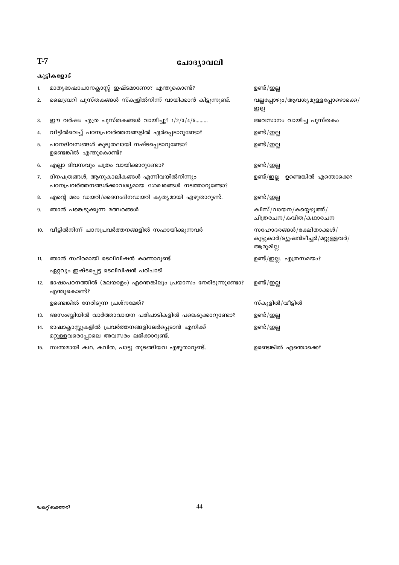$T-7$ 

# ചോദ്യാവലി

|     | കുട്ടികളോട്                                                                                      |                                                                          |
|-----|--------------------------------------------------------------------------------------------------|--------------------------------------------------------------------------|
| 1.  | മാതൃഭാഷാപഠനക്ലാസ്സ് ഇഷ്ടമാണോ? എന്തുകൊണ്ട്?                                                       | ഉണ്ട് /ഇല്ല                                                              |
| 2.  | ലൈബ്രറി പുസ്തകങ്ങൾ സ്കൂളിൽനിന്ന് വായിക്കാൻ കിട്ടുന്നുണ്ട്.                                       | വല്ലപ്പോഴും/ആവശ്യമുള്ളപ്പോഴൊക്കെ/<br>ഇല്ല                                |
| 3.  | ഈ വർഷം എത്ര പുസ്തകങ്ങൾ വായിച്ചു? 1/2/3/4/5                                                       | അവസാനം വായിച്ച പുസ്തകം                                                   |
| 4.  | വീട്ടിൽവെച്ച് പഠനപ്രവർത്തനങ്ങളിൽ ഏർപ്പെടാറുണ്ടോ?                                                 | ഉണ്ട്/ഇല്ല                                                               |
| 5.  | പഠനദിവസങ്ങൾ കൂടുതലായി നഷ്ടപ്പെടാറുണ്ടോ?<br>ഉണ്ടെങ്കിൽ എന്തുകൊണ്ട്?                               | ഉണ്ട് /ഇല്ല                                                              |
| 6.  | എല്ലാ ദിവസവും പത്രം വായിക്കാറുണ്ടോ?                                                              | ഉണ്ട് /ഇല്ല                                                              |
| 7.  | ദിനപത്രങ്ങൾ, ആനുകാലികങ്ങൾ എന്നിവയിൽനിന്നും<br>പഠനപ്രവർത്തനങ്ങൾക്കാവശ്യമായ ശേഖരങ്ങൾ നടത്താറുണ്ടോ? | ഉണ്ട്/ഇല്ല ഉണ്ടെങ്കിൽ എന്തൊക്കെ?                                         |
| 8.  | എന്റെ മരം ഡയറി/ദൈനംദിനഡയറി കൃത്യമായി എഴുതാറുണ്ട്.                                                | ഉണ്ട് /ഇല്ല                                                              |
| 9.  | ഞാൻ പങ്കെടുക്കുന്ന മത്സരങ്ങൾ                                                                     | ക്വിസ്/വായന/കയ്യെഴുത്ത്/<br>ചിത്രരചന/കവിത/കഥാരചന                         |
| 10. | വീട്ടിൽനിന്ന് പഠനപ്രവർത്തനങ്ങളിൽ സഹായിക്കുന്നവർ                                                  | സഹോദരങ്ങൾ/രക്ഷിതാക്കൾ/<br>കൂട്ടുകാർ/ട്യൂഷൻടീച്ചർ/മറ്റുള്ളവർ/<br>ആരുമില്ല |
| 11. | ഞാൻ സ്ഥിരമായി ടെലിവിഷൻ കാണാറുണ്ട്                                                                | ഉണ്ട്/ഇല്ല. എത്രസമയം?                                                    |
|     | ഏറ്റവും ഇഷ്ടപ്പെട്ട ടെലിവിഷൻ പരിപാടി                                                             |                                                                          |
| 12. | ഭാഷാപഠനത്തിൽ (മലയാളം) എന്തെങ്കിലും പ്രയാസം നേരിടുന്നുണ്ടോ?<br>എന്തുകൊണ്ട്?                       | ഉണ്ട് /ഇല്ല                                                              |
|     | ഉണ്ടെങ്കിൽ നേരിടുന്ന പ്രശ്നമേത്?                                                                 | സ്കൂളിൽ/വീട്ടിൽ                                                          |
| 13. | അസംബ്ലിയിൽ വാർത്താവായന പരിപാടികളിൽ പങ്കെടുക്കാറുണ്ടോ?                                            | ഉണ്ട് /ഇല്ല                                                              |
| 14. | ഭാഷാക്ലാസ്സുകളിൽ പ്രവർത്തനങ്ങളിലേർപ്പെടാൻ എനിക്ക്<br>മറ്റുള്ളവരെപ്പോലെ അവസരം ലഭിക്കാറുണ്ട്.      | ഉണ്ട്/ഇല്ല                                                               |
| 15. | സ്വന്തമായി കഥ, കവിത, പാട്ടു തുടങ്ങിയവ എഴുതാറുണ്ട്.                                               | ഉണ്ടെങ്കിൽ എന്തൊക്കെ?                                                    |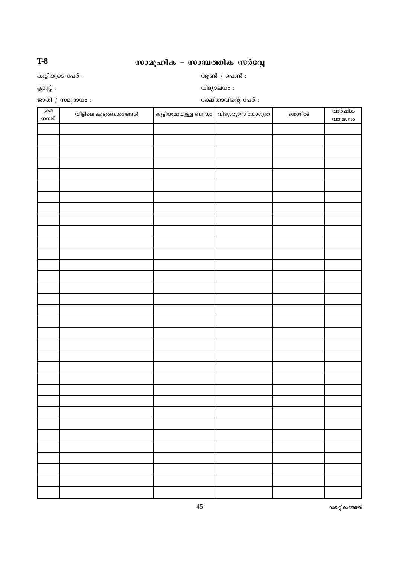# സാമൂഹിക - സാമ്പത്തിക സർവ്വേ

കുട്ടിയുടെ പേര് :

ആൺ  $/$  പെൺ  $\colon$ വിദ്യാലയം :

ക്ലാസ്സ് :

ജാതി / സമുദായം :

രക്ഷിതാവിന്റെ പേര് :

| ക്രമ<br>നമ്പർ | വീട്ടിലെ കുടുംബാംഗങ്ങൾ | കുട്ടിയുമായുള്ള ബന്ധം <mark> </mark> | വിദ്യാഭ്യാസ യോഗൃത | തൊഴിൽ | വാർഷിക<br>വരുമാനം |
|---------------|------------------------|--------------------------------------|-------------------|-------|-------------------|
|               |                        |                                      |                   |       |                   |
|               |                        |                                      |                   |       |                   |
|               |                        |                                      |                   |       |                   |
|               |                        |                                      |                   |       |                   |
|               |                        |                                      |                   |       |                   |
|               |                        |                                      |                   |       |                   |
|               |                        |                                      |                   |       |                   |
|               |                        |                                      |                   |       |                   |
|               |                        |                                      |                   |       |                   |
|               |                        |                                      |                   |       |                   |
|               |                        |                                      |                   |       |                   |
|               |                        |                                      |                   |       |                   |
|               |                        |                                      |                   |       |                   |
|               |                        |                                      |                   |       |                   |
|               |                        |                                      |                   |       |                   |
|               |                        |                                      |                   |       |                   |
|               |                        |                                      |                   |       |                   |
|               |                        |                                      |                   |       |                   |
|               |                        |                                      |                   |       |                   |
|               |                        |                                      |                   |       |                   |
|               |                        |                                      |                   |       |                   |
|               |                        |                                      |                   |       |                   |
|               |                        |                                      |                   |       |                   |
|               |                        |                                      |                   |       |                   |
|               |                        |                                      |                   |       |                   |
|               |                        |                                      |                   |       |                   |
|               |                        |                                      |                   |       |                   |
|               |                        |                                      |                   |       |                   |
|               |                        |                                      |                   |       |                   |
|               |                        |                                      |                   |       |                   |
|               |                        |                                      |                   |       |                   |
|               |                        |                                      |                   |       |                   |
|               |                        |                                      |                   |       |                   |

# **T-8**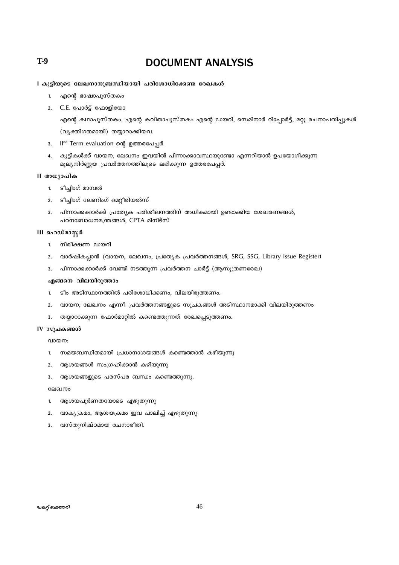# **DOCUMENT ANALYSIS**

#### l കുട്ടിയുടെ ലേഖനാനുബന്ധിയായി പരിശോധിക്കേണ്ട രേഖകൾ

- എന്റെ ഭാഷാപുസ്തകം  $\mathbf{1}$
- 2. C.E. പോർട്ട് ഫോളിയോ

എന്റെ കഥാപുസ്തകം, എന്റെ കവിതാപുസ്തകം എന്റെ ഡയറി, സെമിനാർ റിപ്പോർട്ട്, മറ്റു രചനാപതിപ്പുകൾ

(വ്യക്തിഗതമായി) തയ്യാറാക്കിയവ.

- II<sup>nd</sup> Term evaluation ന്റെ ഉത്തരപേപ്പർ  $3.$
- കുട്ടികൾക്ക് വായന, ലേഖനം ഇവയിൽ പിന്നാക്കാവസ്ഥയുണ്ടോ എന്നറിയാൻ ഉപയോഗിക്കുന്ന  $\overline{4}$ . മൂല്യനിർണ്ണയ പ്രവർത്തനത്തിലൂടെ ലഭിക്കുന്ന ഉത്തരപേപ്പർ.

#### II അധ്യാപിക

- $\mathbf{1}$ ടീച്ചിംഗ് മാന്വൽ
- 2. ടീച്ചിംഗ് ലേണിംഗ് മെറ്റീരിയൽസ്
- പിന്നാക്കക്കാർക്ക് പ്രത്യേക പരിശീലനത്തിന് അധികമായി ഉണ്ടാക്കിയ ശേഖരണങ്ങൾ,  $\mathbf{3}$ പഠനബോധനമന്ത്രങ്ങൾ, CPTA മിനിട്സ്

#### III ഹെഡ്മാസ്ര

- $\mathbf{1}$ നിരീക്ഷണ ഡയറി
- 2. വാർഷികപ്ലാൻ (വായന, ലേഖനം, പ്രത്യേക പ്രവർത്തനങ്ങൾ, SRG, SSG, Library Issue Register)
- പിന്നാക്കക്കാർക്ക് വേണ്ടി നടത്തുന്ന പ്രവർത്തന ചാർട്ട് (ആസുത്രണരേഖ)  $3.$

#### എങ്ങനെ വിലയിരുത്താം

- ടീം അടിസ്ഥാനത്തിൽ പരിശോധിക്കണം, വിലയിരുത്തണം.  $1.$
- വായന, ലേഖനം എന്നീ പ്രവർത്തനങ്ങളുടെ സൂചകങ്ങൾ അടിസ്ഥാനമാക്കി വിലയിരുത്തണം  $2.$
- തയ്യാറാക്കുന്ന ഫോർമാറ്റിൽ കണ്ടെത്തുന്നത് രേഖപ്പെടുത്തണം.  $\mathbf{3}$

#### IV സൂചകങ്ങൾ

വായന:

- സമയബന്ധിതമായി പ്രധാനാശയങ്ങൾ കണ്ടെത്താൻ കഴിയുന്നു  $\mathbf{1}$
- ആശയങ്ങൾ സംഗ്രഹിക്കാൻ കഴിയുന്നു  $2.$
- ആശയങ്ങളുടെ പരസ്പര ബന്ധം കണ്ടെത്തുന്നു.  $\overline{3}$ .

#### ലേഖനം

- ആശയപൂർണതയോടെ എഴുതുന്നു  $1.$
- വാക്യക്രമം, ആശയക്രമം ഇവ പാലിച്ച് എഴുതുന്നു  $2<sup>1</sup>$
- വസ്തുനിഷ്ഠമായ രചനാരീതി.  $\mathbf{R}$

 $T-9$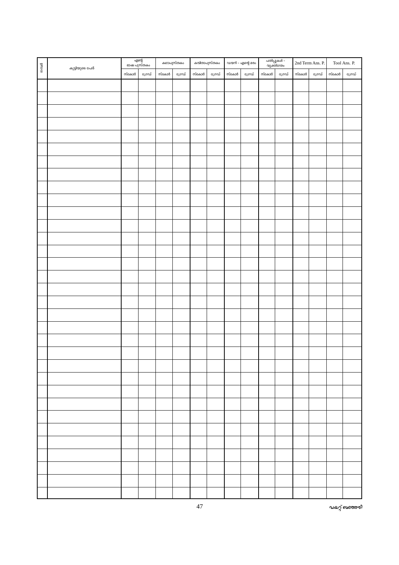|                | എന്റെ<br>ഭാഷ പുസ്തകം<br>കഥാപുസ്തകം |       | കവിതാപുസ്തകം |       | ഡയറി - എന്റെ മരം |       | പതിപ്പുകൾ -<br>വ്യക്തിഗതം |       | 2nd Term Ans. P. |       | Tool Ans. P. |       |        |       |    |
|----------------|------------------------------------|-------|--------------|-------|------------------|-------|---------------------------|-------|------------------|-------|--------------|-------|--------|-------|----|
| m <sub>0</sub> | കുട്ടിയുടെ പേര്                    | സ്കോർ | ഗ്രേഡ്       | സ്കോർ | ഗ്രേഡ്           | സ്കോർ | ഗ്രേഡ്                    | സ്കോർ | ഗ്രേഡ്           | സ്കോർ | ഗ്രേഡ്       | സ്കോർ | ഗ്രേഡ് | സ്കോർ | ൜൘ |
|                |                                    |       |              |       |                  |       |                           |       |                  |       |              |       |        |       |    |
|                |                                    |       |              |       |                  |       |                           |       |                  |       |              |       |        |       |    |
|                |                                    |       |              |       |                  |       |                           |       |                  |       |              |       |        |       |    |
|                |                                    |       |              |       |                  |       |                           |       |                  |       |              |       |        |       |    |
|                |                                    |       |              |       |                  |       |                           |       |                  |       |              |       |        |       |    |
|                |                                    |       |              |       |                  |       |                           |       |                  |       |              |       |        |       |    |
|                |                                    |       |              |       |                  |       |                           |       |                  |       |              |       |        |       |    |
|                |                                    |       |              |       |                  |       |                           |       |                  |       |              |       |        |       |    |
|                |                                    |       |              |       |                  |       |                           |       |                  |       |              |       |        |       |    |
|                |                                    |       |              |       |                  |       |                           |       |                  |       |              |       |        |       |    |
|                |                                    |       |              |       |                  |       |                           |       |                  |       |              |       |        |       |    |
|                |                                    |       |              |       |                  |       |                           |       |                  |       |              |       |        |       |    |
|                |                                    |       |              |       |                  |       |                           |       |                  |       |              |       |        |       |    |
|                |                                    |       |              |       |                  |       |                           |       |                  |       |              |       |        |       |    |
|                |                                    |       |              |       |                  |       |                           |       |                  |       |              |       |        |       |    |
|                |                                    |       |              |       |                  |       |                           |       |                  |       |              |       |        |       |    |
|                |                                    |       |              |       |                  |       |                           |       |                  |       |              |       |        |       |    |
|                |                                    |       |              |       |                  |       |                           |       |                  |       |              |       |        |       |    |
|                |                                    |       |              |       |                  |       |                           |       |                  |       |              |       |        |       |    |
|                |                                    |       |              |       |                  |       |                           |       |                  |       |              |       |        |       |    |
|                |                                    |       |              |       |                  |       |                           |       |                  |       |              |       |        |       |    |
|                |                                    |       |              |       |                  |       |                           |       |                  |       |              |       |        |       |    |
|                |                                    |       |              |       |                  |       |                           |       |                  |       |              |       |        |       |    |
|                |                                    |       |              |       |                  |       |                           |       |                  |       |              |       |        |       |    |
|                |                                    |       |              |       |                  |       |                           |       |                  |       |              |       |        |       |    |
|                |                                    |       |              |       |                  |       |                           |       |                  |       |              |       |        |       |    |
|                |                                    |       |              |       |                  |       |                           |       |                  |       |              |       |        |       |    |
|                |                                    |       |              |       |                  |       |                           |       |                  |       |              |       |        |       |    |
|                |                                    |       |              |       |                  |       |                           |       |                  |       |              |       |        |       |    |
|                |                                    |       |              |       |                  |       |                           |       |                  |       |              |       |        |       |    |
|                |                                    |       |              |       |                  |       |                           |       |                  |       |              |       |        |       |    |
|                |                                    |       |              |       |                  |       |                           |       |                  |       |              |       |        |       |    |
|                |                                    |       |              |       |                  |       |                           |       |                  |       |              |       |        |       |    |
|                |                                    |       |              |       |                  |       |                           |       |                  |       |              |       |        |       |    |
|                |                                    |       |              |       |                  |       |                           |       |                  |       |              |       |        |       |    |
|                |                                    |       |              |       |                  |       |                           |       |                  |       |              |       |        |       |    |
|                |                                    |       |              |       |                  |       |                           |       |                  |       |              |       |        |       |    |

**ഡ**കറ്റ് ബത്തേരി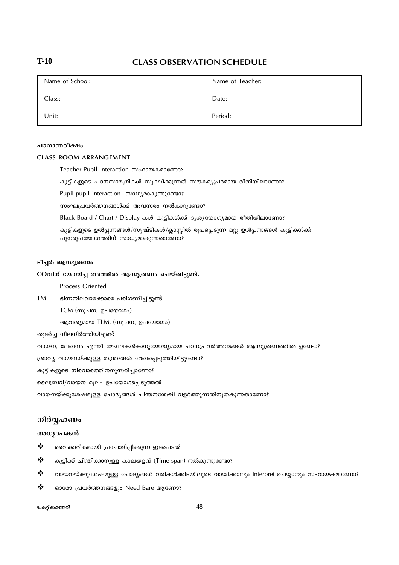### **CLASS OBSERVATION SCHEDULE**

| Name of School: | Name of Teacher: |
|-----------------|------------------|
| Class:          | Date:            |
| Unit:           | Period:          |

#### പറനാന്തരീക്ഷം

#### **CLASS ROOM ARRANGEMENT**

Teacher-Pupil Interaction klm-b-I-amtWm?

കുട്ടികളുടെ പഠനസാമഗ്രികൾ സൂക്ഷിക്കുന്നത് സൗകര്യപ്രദമായ രീതിയിലാണോ?

Pupil-pupil interaction - സാധ്യമാകുന്നുണ്ടോ?

സംഘപ്രവർത്തനങ്ങൾക്ക് അവസരം നൽകാറുണ്ടോ?

Black Board / Chart / Display കൾ കുട്ടികൾക്ക് ദൃശ്യയോഗ്യമായ രീതിയിലാണോ?

കുട്ടികളുടെ ഉൽപ്പന്നങ്ങൾ/സൃഷ്ടികൾ/ക്ലാസ്സിൽ രൂപപ്പെടുന്ന മറ്റു ഉൽപ്പന്നങ്ങൾ കുട്ടികൾക്ക് പുനരുപയോഗത്തിന് സാധൃമാകുന്നതാണോ?

#### ടീച്ചർ: ആസുത്രണം

#### COവിന് യോജിച്ച തരത്തിൽ ആസൂത്രണം ചെയ്തിട്ടുണ്ട്.

Process Oriented

TM ഭിന്നനിലവാരക്കാരെ പരിഗണിച്ചിട്ടുണ്ട്

 $TCM$  (സൂചന, ഉപയോഗം)

ആവശ്യമായ TLM, (സൂചന, ഉപയോഗം)

തുടർച്ച നിലനിർത്തിയിട്ടുണ്ട്

വായന, ലേഖനം എന്നീ മേഖലകൾക്കനുയോജ്യമായ പഠനപ്രവർത്തനങ്ങൾ ആസുത്രണത്തിൽ ഉണ്ടോ?

 $[$ ശാവ്യ വായനയ്ക്കുള്ള തന്ത്രങ്ങൾ രേഖപ്പെടുത്തിയിട്ടുണ്ടോ?

കുട്ടികളുടെ നിരവാരത്തിനനുസരിച്ചാണോ?

ലൈബ്രറി/വായന മൂല- ഉപയോഗപ്പെടുത്തൽ

വായനയ്ക്കുശേഷമുള്ള ചോദ്യങ്ങൾ ചിന്തനശേഷി വളർത്തുന്നതിനുതകുന്നതാണോ?

#### നിർവ്വഹണം

#### അധ്യാപകൻ

- ❖ ൈഖകാരികമായി പ്രചോദിപ്പിക്കുന്ന ഇടപെടൽ
- ❖ കുട്ടിക്ക് ചിന്തിക്കാനുള്ള കാലയളവ് (Time-span) നൽകുന്നുണ്ടോ?
- $\clubsuit$  വായനയ്ക്കുശേഷമുള്ള ചോദ്യങ്ങൾ വരികൾക്കിടയിലൂടെ വായിക്കാനും Interpret ചെയ്യാനും സഹായകമാണോ?
- $\clubsuit$  ഒാരോ പ്രവർത്തനങ്ങളും Need Bare ആണോ?

#### $\omega$ കറ്റ് ബത്തേരി സാധാന സാധാന  $48$